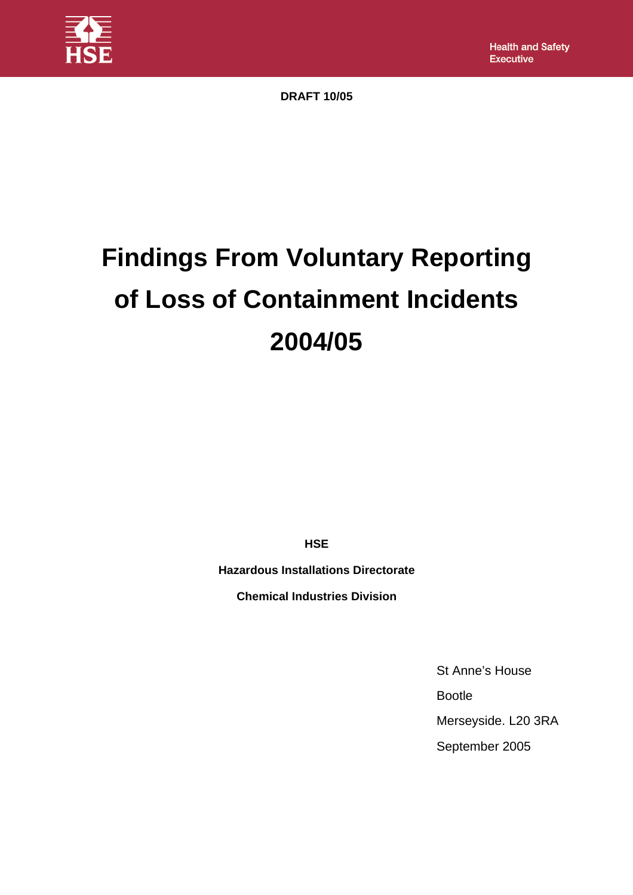

**DRAFT 10/05** 

# **Findings From Voluntary Reporting of Loss of Containment Incidents 2004/05**

**HSE** 

**Hazardous Installations Directorate** 

**Chemical Industries Division**

St Anne's House Bootle Merseyside. L20 3RA September 2005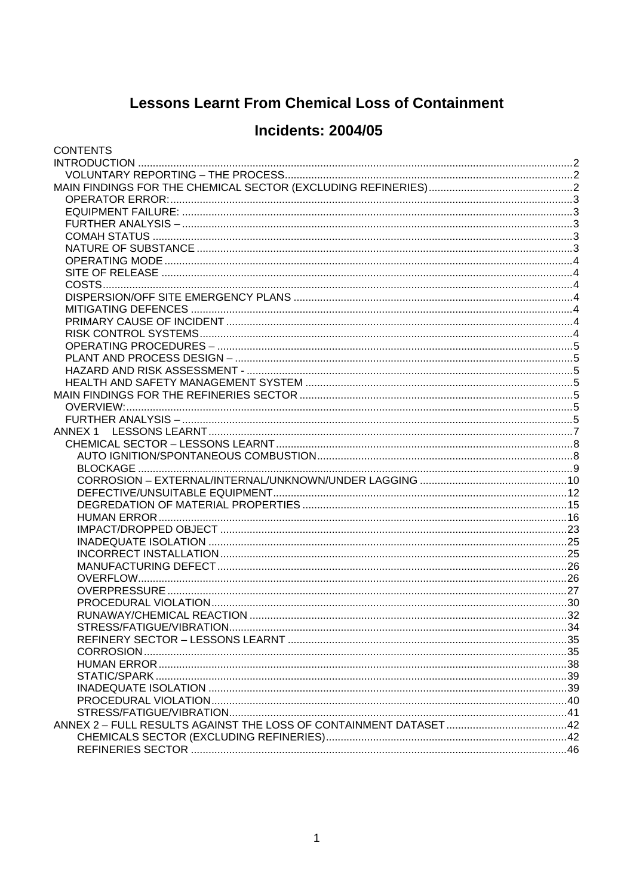# **Lessons Learnt From Chemical Loss of Containment**

# **Incidents: 2004/05**

| <b>CONTENTS</b> |  |
|-----------------|--|
|                 |  |
|                 |  |
|                 |  |
|                 |  |
|                 |  |
|                 |  |
|                 |  |
|                 |  |
|                 |  |
|                 |  |
|                 |  |
|                 |  |
|                 |  |
|                 |  |
|                 |  |
|                 |  |
|                 |  |
|                 |  |
|                 |  |
|                 |  |
|                 |  |
|                 |  |
|                 |  |
|                 |  |
|                 |  |
|                 |  |
|                 |  |
|                 |  |
|                 |  |
|                 |  |
|                 |  |
|                 |  |
|                 |  |
|                 |  |
|                 |  |
|                 |  |
|                 |  |
|                 |  |
|                 |  |
|                 |  |
|                 |  |
|                 |  |
|                 |  |
|                 |  |
|                 |  |
|                 |  |
|                 |  |
|                 |  |
|                 |  |
|                 |  |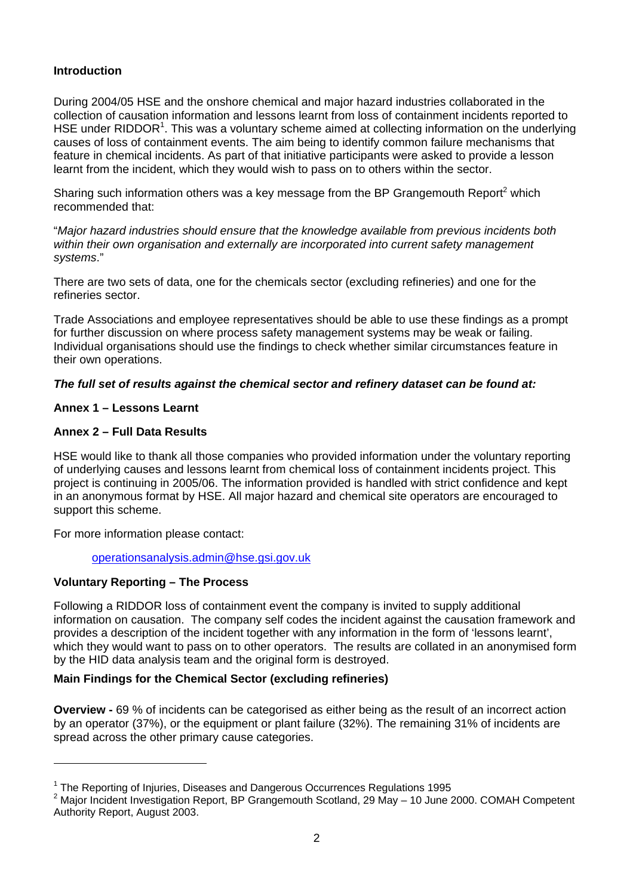#### <span id="page-2-0"></span>**Introduction**

During 2004/05 HSE and the onshore chemical and major hazard industries collaborated in the collection of causation information and lessons learnt from loss of containment incidents reported to HSE under RIDDOR<sup>1</sup>[.](#page-2-1) This was a voluntary scheme aimed at collecting information on the underlying causes of loss of containment events. The aim being to identify common failure mechanisms that feature in chemical incidents. As part of that initiative participants were asked to provide a lesson learnt from the incident, which they would wish to pass on to others within the sector.

Sharing such information others was a key message from the BP Grangemouth Report<sup>[2](#page-2-2)</sup> which recommended that:

"*Major hazard industries should ensure that the knowledge available from previous incidents both within their own organisation and externally are incorporated into current safety management systems*."

There are two sets of data, one for the chemicals sector (excluding refineries) and one for the refineries sector.

Trade Associations and employee representatives should be able to use these findings as a prompt for further discussion on where process safety management systems may be weak or failing. Individual organisations should use the findings to check whether similar circumstances feature in their own operations.

#### *The full set of results against the chemical sector and refinery dataset can be found at:*

#### **Annex 1 – Lessons Learnt**

#### **Annex 2 – Full Data Results**

HSE would like to thank all those companies who provided information under the voluntary reporting of underlying causes and lessons learnt from chemical loss of containment incidents project. This project is continuing in 2005/06. The information provided is handled with strict confidence and kept in an anonymous format by HSE. All major hazard and chemical site operators are encouraged to support this scheme.

For more information please contact:

[operationsanalysis.admin@hse.gsi.gov.uk](mailto:operationsanalysis.admin@hse.gsi.gov.uk)

#### **Voluntary Reporting – The Process**

Following a RIDDOR loss of containment event the company is invited to supply additional information on causation. The company self codes the incident against the causation framework and provides a description of the incident together with any information in the form of 'lessons learnt', which they would want to pass on to other operators. The results are collated in an anonymised form by the HID data analysis team and the original form is destroyed.

#### **Main Findings for the Chemical Sector (excluding refineries)**

**Overview -** 69 % of incidents can be categorised as either being as the result of an incorrect action by an operator (37%), or the equipment or plant failure (32%). The remaining 31% of incidents are spread across the other primary cause categories.

<span id="page-2-1"></span><sup>&</sup>lt;sup>1</sup> The Reporting of Injuries, Diseases and Dangerous Occurrences Regulations 1995

<span id="page-2-2"></span> $2$  Major Incident Investigation Report, BP Grangemouth Scotland, 29 May  $-$  10 June 2000. COMAH Competent Authority Report, August 2003.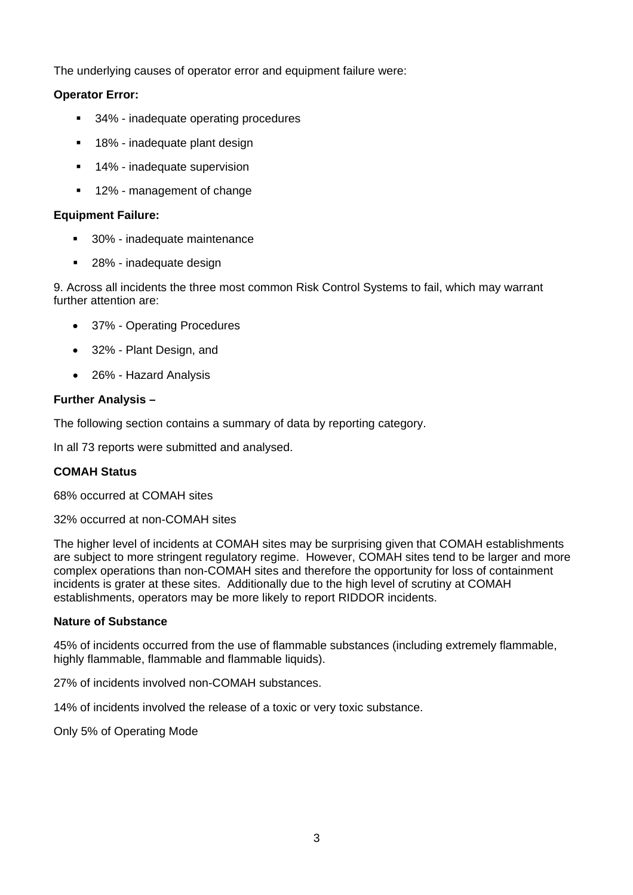<span id="page-3-0"></span>The underlying causes of operator error and equipment failure were:

#### **Operator Error:**

- 34% inadequate operating procedures
- 18% inadequate plant design
- **14%** inadequate supervision
- **12% management of change**

#### **Equipment Failure:**

- 30% inadequate maintenance
- 28% inadequate design

9. Across all incidents the three most common Risk Control Systems to fail, which may warrant further attention are:

- 37% Operating Procedures
- 32% Plant Design, and
- 26% Hazard Analysis

#### **Further Analysis –**

The following section contains a summary of data by reporting category.

In all 73 reports were submitted and analysed.

#### **COMAH Status**

68% occurred at COMAH sites

32% occurred at non-COMAH sites

The higher level of incidents at COMAH sites may be surprising given that COMAH establishments are subject to more stringent regulatory regime. However, COMAH sites tend to be larger and more complex operations than non-COMAH sites and therefore the opportunity for loss of containment incidents is grater at these sites. Additionally due to the high level of scrutiny at COMAH establishments, operators may be more likely to report RIDDOR incidents.

#### **Nature of Substance**

45% of incidents occurred from the use of flammable substances (including extremely flammable, highly flammable, flammable and flammable liquids).

27% of incidents involved non-COMAH substances.

14% of incidents involved the release of a toxic or very toxic substance.

Only 5% of Operating Mode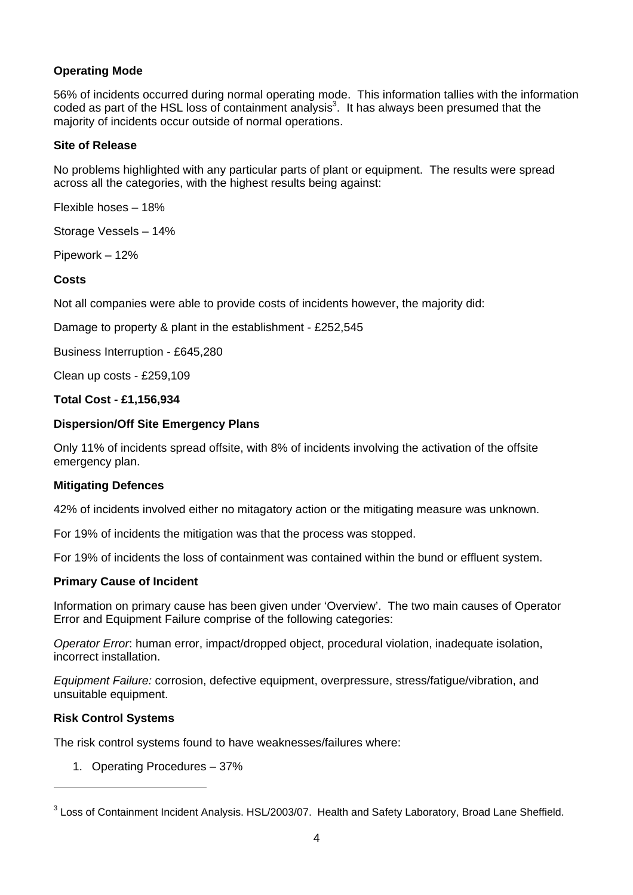#### <span id="page-4-0"></span>**Operating Mode**

56% of incidents occurred during normal operating mode. This information tallies with the information coded as part of the HSL loss of containment analysis<sup>3</sup>. It has always been presumed that the majority of incidents occur outside of normal operations.

#### **Site of Release**

No problems highlighted with any particular parts of plant or equipment. The results were spread across all the categories, with the highest results being against:

Flexible hoses – 18%

Storage Vessels – 14%

Pipework – 12%

#### **Costs**

Not all companies were able to provide costs of incidents however, the majority did:

Damage to property & plant in the establishment - £252,545

Business Interruption - £645,280

Clean up costs - £259,109

#### **Total Cost - £1,156,934**

#### **Dispersion/Off Site Emergency Plans**

Only 11% of incidents spread offsite, with 8% of incidents involving the activation of the offsite emergency plan.

#### **Mitigating Defences**

42% of incidents involved either no mitagatory action or the mitigating measure was unknown.

For 19% of incidents the mitigation was that the process was stopped.

For 19% of incidents the loss of containment was contained within the bund or effluent system.

#### **Primary Cause of Incident**

Information on primary cause has been given under 'Overview'. The two main causes of Operator Error and Equipment Failure comprise of the following categories:

*Operator Error*: human error, impact/dropped object, procedural violation, inadequate isolation, incorrect installation.

*Equipment Failure:* corrosion, defective equipment, overpressure, stress/fatigue/vibration, and unsuitable equipment.

#### **Risk Control Systems**

 $\overline{a}$ 

The risk control systems found to have weaknesses/failures where:

1. Operating Procedures – 37%

<span id="page-4-1"></span> $3$  Loss of Containment Incident Analysis. HSL/2003/07. Health and Safety Laboratory, Broad Lane Sheffield.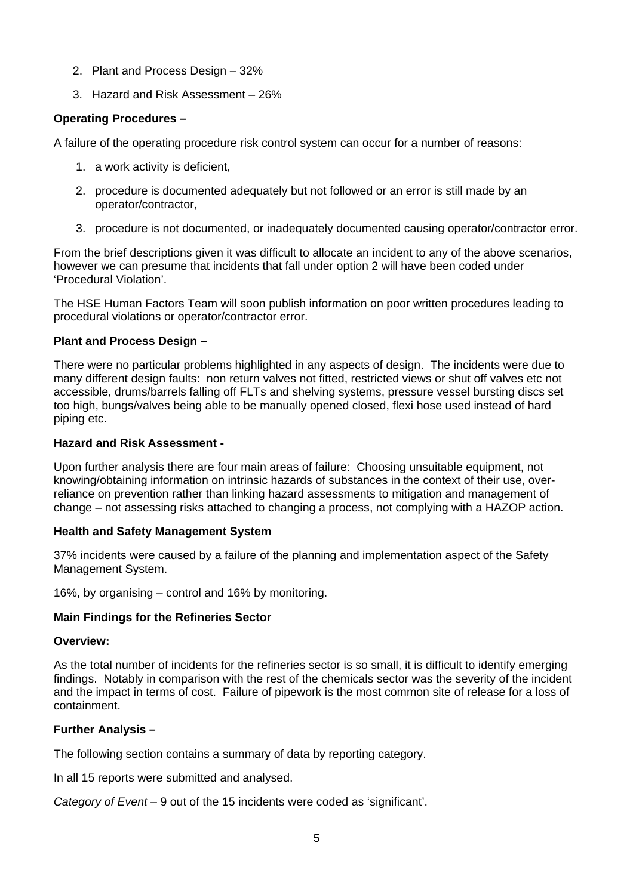- <span id="page-5-0"></span>2. Plant and Process Design – 32%
- 3. Hazard and Risk Assessment 26%

#### **Operating Procedures –**

A failure of the operating procedure risk control system can occur for a number of reasons:

- 1. a work activity is deficient,
- 2. procedure is documented adequately but not followed or an error is still made by an operator/contractor,
- 3. procedure is not documented, or inadequately documented causing operator/contractor error.

From the brief descriptions given it was difficult to allocate an incident to any of the above scenarios, however we can presume that incidents that fall under option 2 will have been coded under 'Procedural Violation'.

The HSE Human Factors Team will soon publish information on poor written procedures leading to procedural violations or operator/contractor error.

#### **Plant and Process Design –**

There were no particular problems highlighted in any aspects of design. The incidents were due to many different design faults: non return valves not fitted, restricted views or shut off valves etc not accessible, drums/barrels falling off FLTs and shelving systems, pressure vessel bursting discs set too high, bungs/valves being able to be manually opened closed, flexi hose used instead of hard piping etc.

#### **Hazard and Risk Assessment -**

Upon further analysis there are four main areas of failure: Choosing unsuitable equipment, not knowing/obtaining information on intrinsic hazards of substances in the context of their use, overreliance on prevention rather than linking hazard assessments to mitigation and management of change – not assessing risks attached to changing a process, not complying with a HAZOP action.

#### **Health and Safety Management System**

37% incidents were caused by a failure of the planning and implementation aspect of the Safety Management System.

16%, by organising – control and 16% by monitoring.

#### **Main Findings for the Refineries Sector**

#### **Overview:**

As the total number of incidents for the refineries sector is so small, it is difficult to identify emerging findings. Notably in comparison with the rest of the chemicals sector was the severity of the incident and the impact in terms of cost. Failure of pipework is the most common site of release for a loss of containment.

#### **Further Analysis –**

The following section contains a summary of data by reporting category.

In all 15 reports were submitted and analysed.

*Category of Event –* 9 out of the 15 incidents were coded as 'significant'.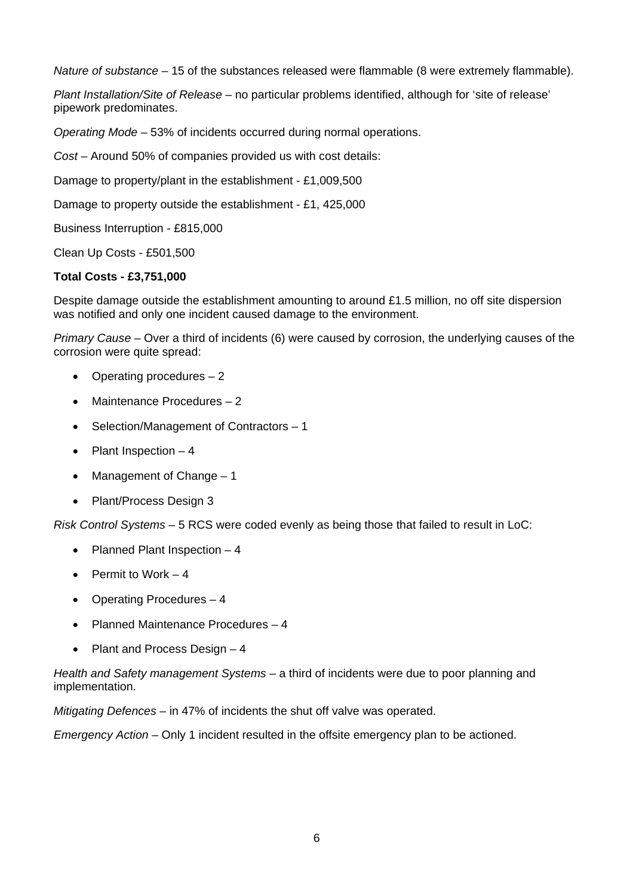*Nature of substance* – 15 of the substances released were flammable (8 were extremely flammable).

*Plant Installation/Site of Release* – no particular problems identified, although for 'site of release' pipework predominates.

*Operating Mode* – 53% of incidents occurred during normal operations.

*Cost* – Around 50% of companies provided us with cost details:

Damage to property/plant in the establishment - £1,009,500

Damage to property outside the establishment - £1, 425,000

Business Interruption - £815,000

Clean Up Costs - £501,500

#### **Total Costs - £3,751,000**

Despite damage outside the establishment amounting to around £1.5 million, no off site dispersion was notified and only one incident caused damage to the environment.

*Primary Cause* – Over a third of incidents (6) were caused by corrosion, the underlying causes of the corrosion were quite spread:

- Operating procedures 2
- Maintenance Procedures 2
- Selection/Management of Contractors 1
- Plant Inspection 4
- Management of Change 1
- Plant/Process Design 3

*Risk Control Systems* – 5 RCS were coded evenly as being those that failed to result in LoC:

- Planned Plant Inspection 4
- Permit to Work 4
- Operating Procedures 4
- Planned Maintenance Procedures 4
- Plant and Process Design 4

*Health and Safety management Systems* – a third of incidents were due to poor planning and implementation.

*Mitigating Defences* – in 47% of incidents the shut off valve was operated.

*Emergency Action* – Only 1 incident resulted in the offsite emergency plan to be actioned.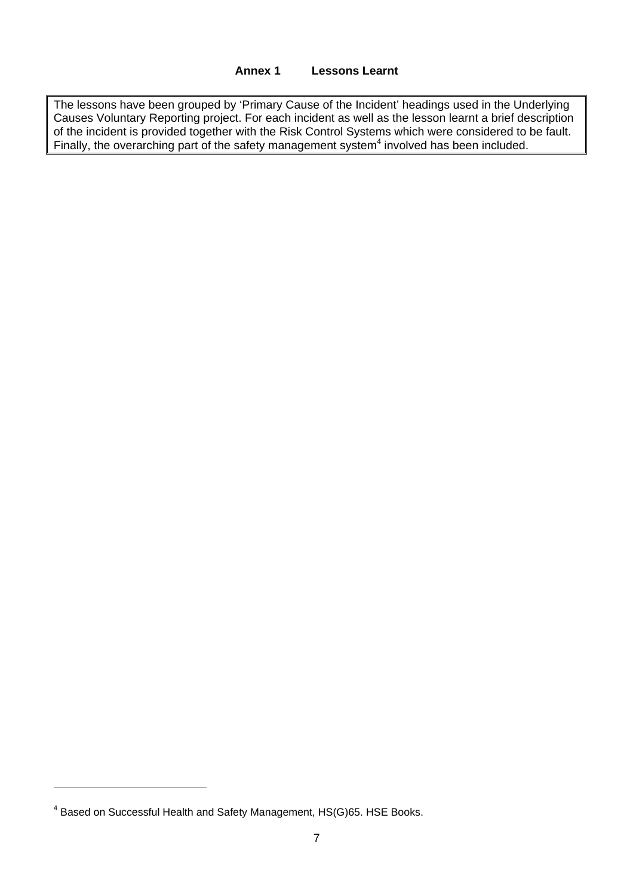#### **Annex 1 Lessons Learnt**

<span id="page-7-0"></span>The lessons have been grouped by 'Primary Cause of the Incident' headings used in the Underlying Causes Voluntary Reporting project. For each incident as well as the lesson learnt a brief description of the incident is provided together with the Risk Control Systems which were considered to be fault. Finally, the overarching part of the safety management system $<sup>4</sup>$  involved has been included.</sup>

 $\overline{a}$ 

<span id="page-7-1"></span><sup>&</sup>lt;sup>4</sup> Based on Successful Health and Safety Management, HS(G)65. HSE Books.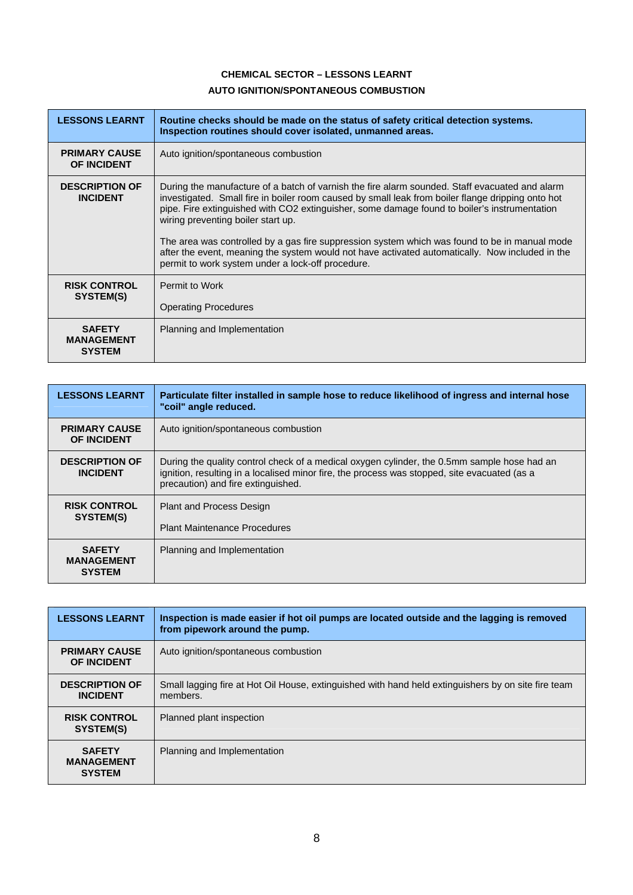#### **CHEMICAL SECTOR – LESSONS LEARNT AUTO IGNITION/SPONTANEOUS COMBUSTION**

<span id="page-8-0"></span>

| <b>LESSONS LEARNT</b>                               | Routine checks should be made on the status of safety critical detection systems.<br>Inspection routines should cover isolated, unmanned areas.                                                                                                                                                                                                                                                                                                                                                                                                                                                    |
|-----------------------------------------------------|----------------------------------------------------------------------------------------------------------------------------------------------------------------------------------------------------------------------------------------------------------------------------------------------------------------------------------------------------------------------------------------------------------------------------------------------------------------------------------------------------------------------------------------------------------------------------------------------------|
| <b>PRIMARY CAUSE</b><br><b>OF INCIDENT</b>          | Auto ignition/spontaneous combustion                                                                                                                                                                                                                                                                                                                                                                                                                                                                                                                                                               |
| <b>DESCRIPTION OF</b><br><b>INCIDENT</b>            | During the manufacture of a batch of varnish the fire alarm sounded. Staff evacuated and alarm<br>investigated. Small fire in boiler room caused by small leak from boiler flange dripping onto hot<br>pipe. Fire extinguished with CO2 extinguisher, some damage found to boiler's instrumentation<br>wiring preventing boiler start up.<br>The area was controlled by a gas fire suppression system which was found to be in manual mode<br>after the event, meaning the system would not have activated automatically. Now included in the<br>permit to work system under a lock-off procedure. |
| <b>RISK CONTROL</b><br>SYSTEM(S)                    | Permit to Work<br><b>Operating Procedures</b>                                                                                                                                                                                                                                                                                                                                                                                                                                                                                                                                                      |
| <b>SAFETY</b><br><b>MANAGEMENT</b><br><b>SYSTEM</b> | Planning and Implementation                                                                                                                                                                                                                                                                                                                                                                                                                                                                                                                                                                        |

| <b>LESSONS LEARNT</b>                               | Particulate filter installed in sample hose to reduce likelihood of ingress and internal hose<br>"coil" angle reduced.                                                                                                            |
|-----------------------------------------------------|-----------------------------------------------------------------------------------------------------------------------------------------------------------------------------------------------------------------------------------|
| <b>PRIMARY CAUSE</b><br><b>OF INCIDENT</b>          | Auto ignition/spontaneous combustion                                                                                                                                                                                              |
| <b>DESCRIPTION OF</b><br><b>INCIDENT</b>            | During the quality control check of a medical oxygen cylinder, the 0.5mm sample hose had an<br>ignition, resulting in a localised minor fire, the process was stopped, site evacuated (as a<br>precaution) and fire extinguished. |
| <b>RISK CONTROL</b><br>SYSTEM(S)                    | <b>Plant and Process Design</b><br><b>Plant Maintenance Procedures</b>                                                                                                                                                            |
| <b>SAFETY</b><br><b>MANAGEMENT</b><br><b>SYSTEM</b> | Planning and Implementation                                                                                                                                                                                                       |

| <b>LESSONS LEARNT</b>                               | Inspection is made easier if hot oil pumps are located outside and the lagging is removed<br>from pipework around the pump. |
|-----------------------------------------------------|-----------------------------------------------------------------------------------------------------------------------------|
| <b>PRIMARY CAUSE</b><br><b>OF INCIDENT</b>          | Auto ignition/spontaneous combustion                                                                                        |
| <b>DESCRIPTION OF</b><br><b>INCIDENT</b>            | Small lagging fire at Hot Oil House, extinguished with hand held extinguishers by on site fire team<br>members.             |
| <b>RISK CONTROL</b><br>SYSTEM(S)                    | Planned plant inspection                                                                                                    |
| <b>SAFETY</b><br><b>MANAGEMENT</b><br><b>SYSTEM</b> | Planning and Implementation                                                                                                 |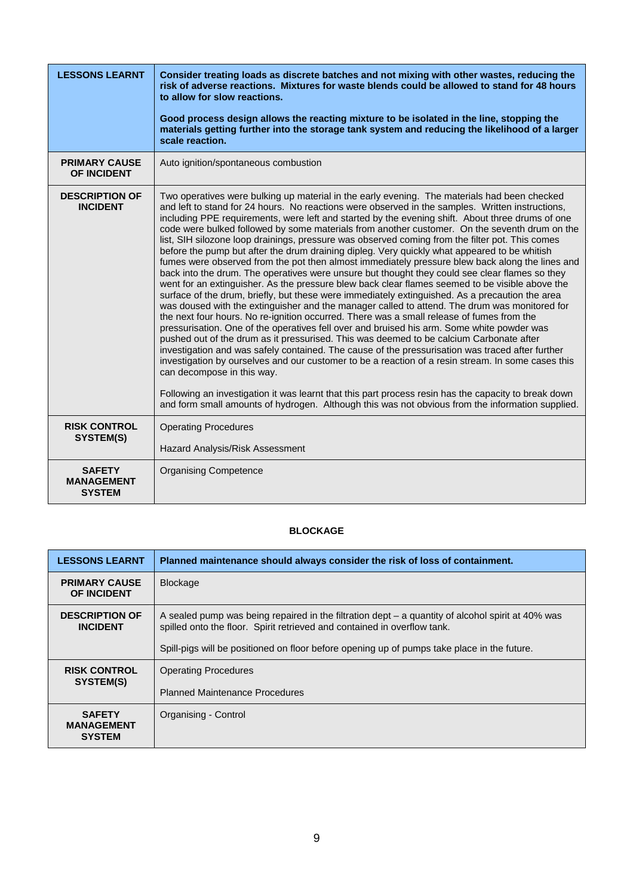<span id="page-9-0"></span>

| <b>LESSONS LEARNT</b>                               | Consider treating loads as discrete batches and not mixing with other wastes, reducing the<br>risk of adverse reactions. Mixtures for waste blends could be allowed to stand for 48 hours<br>to allow for slow reactions.<br>Good process design allows the reacting mixture to be isolated in the line, stopping the<br>materials getting further into the storage tank system and reducing the likelihood of a larger<br>scale reaction.                                                                                                                                                                                                                                                                                                                                                                                                                                                                                                                                                                                                                                                                                                                                                                                                                                                                                                                                                                                                                                                                                                                                                                                                                                                                                                                                                                                                                     |
|-----------------------------------------------------|----------------------------------------------------------------------------------------------------------------------------------------------------------------------------------------------------------------------------------------------------------------------------------------------------------------------------------------------------------------------------------------------------------------------------------------------------------------------------------------------------------------------------------------------------------------------------------------------------------------------------------------------------------------------------------------------------------------------------------------------------------------------------------------------------------------------------------------------------------------------------------------------------------------------------------------------------------------------------------------------------------------------------------------------------------------------------------------------------------------------------------------------------------------------------------------------------------------------------------------------------------------------------------------------------------------------------------------------------------------------------------------------------------------------------------------------------------------------------------------------------------------------------------------------------------------------------------------------------------------------------------------------------------------------------------------------------------------------------------------------------------------------------------------------------------------------------------------------------------------|
| <b>PRIMARY CAUSE</b><br>OF INCIDENT                 | Auto ignition/spontaneous combustion                                                                                                                                                                                                                                                                                                                                                                                                                                                                                                                                                                                                                                                                                                                                                                                                                                                                                                                                                                                                                                                                                                                                                                                                                                                                                                                                                                                                                                                                                                                                                                                                                                                                                                                                                                                                                           |
| <b>DESCRIPTION OF</b><br><b>INCIDENT</b>            | Two operatives were bulking up material in the early evening. The materials had been checked<br>and left to stand for 24 hours. No reactions were observed in the samples. Written instructions,<br>including PPE requirements, were left and started by the evening shift. About three drums of one<br>code were bulked followed by some materials from another customer. On the seventh drum on the<br>list, SIH silozone loop drainings, pressure was observed coming from the filter pot. This comes<br>before the pump but after the drum draining dipleg. Very quickly what appeared to be whitish<br>fumes were observed from the pot then almost immediately pressure blew back along the lines and<br>back into the drum. The operatives were unsure but thought they could see clear flames so they<br>went for an extinguisher. As the pressure blew back clear flames seemed to be visible above the<br>surface of the drum, briefly, but these were immediately extinguished. As a precaution the area<br>was doused with the extinguisher and the manager called to attend. The drum was monitored for<br>the next four hours. No re-ignition occurred. There was a small release of fumes from the<br>pressurisation. One of the operatives fell over and bruised his arm. Some white powder was<br>pushed out of the drum as it pressurised. This was deemed to be calcium Carbonate after<br>investigation and was safely contained. The cause of the pressurisation was traced after further<br>investigation by ourselves and our customer to be a reaction of a resin stream. In some cases this<br>can decompose in this way.<br>Following an investigation it was learnt that this part process resin has the capacity to break down<br>and form small amounts of hydrogen. Although this was not obvious from the information supplied. |
| <b>RISK CONTROL</b><br>SYSTEM(S)                    | <b>Operating Procedures</b><br>Hazard Analysis/Risk Assessment                                                                                                                                                                                                                                                                                                                                                                                                                                                                                                                                                                                                                                                                                                                                                                                                                                                                                                                                                                                                                                                                                                                                                                                                                                                                                                                                                                                                                                                                                                                                                                                                                                                                                                                                                                                                 |
| <b>SAFETY</b><br><b>MANAGEMENT</b><br><b>SYSTEM</b> | <b>Organising Competence</b>                                                                                                                                                                                                                                                                                                                                                                                                                                                                                                                                                                                                                                                                                                                                                                                                                                                                                                                                                                                                                                                                                                                                                                                                                                                                                                                                                                                                                                                                                                                                                                                                                                                                                                                                                                                                                                   |

#### **BLOCKAGE**

| <b>LESSONS LEARNT</b>                               | Planned maintenance should always consider the risk of loss of containment.                                                                                                   |
|-----------------------------------------------------|-------------------------------------------------------------------------------------------------------------------------------------------------------------------------------|
| <b>PRIMARY CAUSE</b><br><b>OF INCIDENT</b>          | <b>Blockage</b>                                                                                                                                                               |
| <b>DESCRIPTION OF</b><br><b>INCIDENT</b>            | A sealed pump was being repaired in the filtration dept – a quantity of alcohol spirit at 40% was<br>spilled onto the floor. Spirit retrieved and contained in overflow tank. |
|                                                     | Spill-pigs will be positioned on floor before opening up of pumps take place in the future.                                                                                   |
| <b>RISK CONTROL</b>                                 | <b>Operating Procedures</b>                                                                                                                                                   |
| SYSTEM(S)                                           | <b>Planned Maintenance Procedures</b>                                                                                                                                         |
| <b>SAFETY</b><br><b>MANAGEMENT</b><br><b>SYSTEM</b> | Organising - Control                                                                                                                                                          |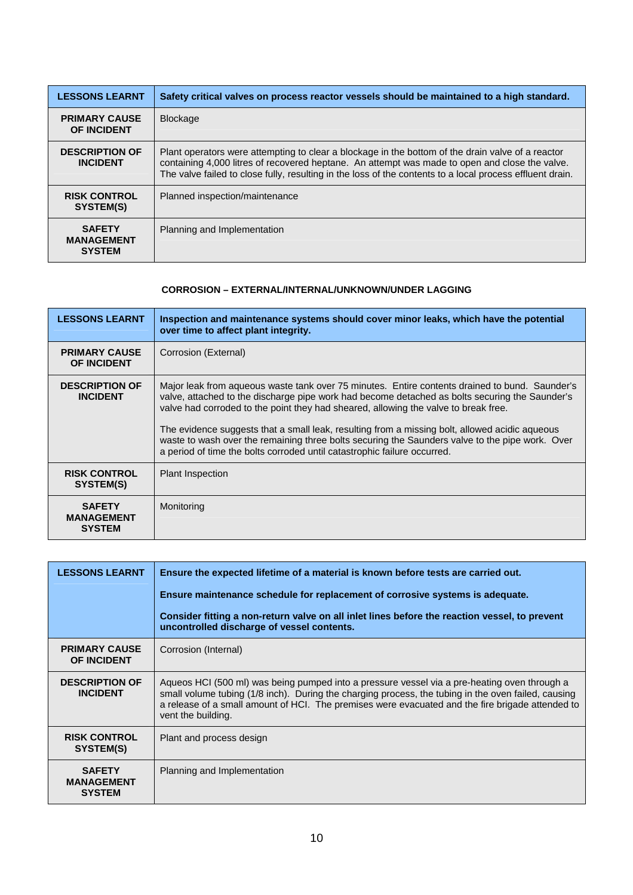<span id="page-10-0"></span>

| <b>LESSONS LEARNT</b>                               | Safety critical valves on process reactor vessels should be maintained to a high standard.                                                                                                                                                                                                                       |
|-----------------------------------------------------|------------------------------------------------------------------------------------------------------------------------------------------------------------------------------------------------------------------------------------------------------------------------------------------------------------------|
| <b>PRIMARY CAUSE</b><br><b>OF INCIDENT</b>          | <b>Blockage</b>                                                                                                                                                                                                                                                                                                  |
| <b>DESCRIPTION OF</b><br><b>INCIDENT</b>            | Plant operators were attempting to clear a blockage in the bottom of the drain valve of a reactor<br>containing 4,000 litres of recovered heptane. An attempt was made to open and close the valve.<br>The valve failed to close fully, resulting in the loss of the contents to a local process effluent drain. |
| <b>RISK CONTROL</b><br>SYSTEM(S)                    | Planned inspection/maintenance                                                                                                                                                                                                                                                                                   |
| <b>SAFETY</b><br><b>MANAGEMENT</b><br><b>SYSTEM</b> | Planning and Implementation                                                                                                                                                                                                                                                                                      |

#### **CORROSION – EXTERNAL/INTERNAL/UNKNOWN/UNDER LAGGING**

| <b>LESSONS LEARNT</b>                               | Inspection and maintenance systems should cover minor leaks, which have the potential<br>over time to affect plant integrity.                                                                                                                                                                                                                                                                                                                                                                                                                                            |
|-----------------------------------------------------|--------------------------------------------------------------------------------------------------------------------------------------------------------------------------------------------------------------------------------------------------------------------------------------------------------------------------------------------------------------------------------------------------------------------------------------------------------------------------------------------------------------------------------------------------------------------------|
| <b>PRIMARY CAUSE</b><br><b>OF INCIDENT</b>          | Corrosion (External)                                                                                                                                                                                                                                                                                                                                                                                                                                                                                                                                                     |
| <b>DESCRIPTION OF</b><br><b>INCIDENT</b>            | Major leak from aqueous waste tank over 75 minutes. Entire contents drained to bund. Saunder's<br>valve, attached to the discharge pipe work had become detached as bolts securing the Saunder's<br>valve had corroded to the point they had sheared, allowing the valve to break free.<br>The evidence suggests that a small leak, resulting from a missing bolt, allowed acidic aqueous<br>waste to wash over the remaining three bolts securing the Saunders valve to the pipe work. Over<br>a period of time the bolts corroded until catastrophic failure occurred. |
| <b>RISK CONTROL</b><br>SYSTEM(S)                    | <b>Plant Inspection</b>                                                                                                                                                                                                                                                                                                                                                                                                                                                                                                                                                  |
| <b>SAFETY</b><br><b>MANAGEMENT</b><br><b>SYSTEM</b> | Monitoring                                                                                                                                                                                                                                                                                                                                                                                                                                                                                                                                                               |

| <b>LESSONS LEARNT</b>                               | Ensure the expected lifetime of a material is known before tests are carried out.<br>Ensure maintenance schedule for replacement of corrosive systems is adequate.                                                                                                                                                            |
|-----------------------------------------------------|-------------------------------------------------------------------------------------------------------------------------------------------------------------------------------------------------------------------------------------------------------------------------------------------------------------------------------|
|                                                     | Consider fitting a non-return valve on all inlet lines before the reaction vessel, to prevent<br>uncontrolled discharge of vessel contents.                                                                                                                                                                                   |
| <b>PRIMARY CAUSE</b><br><b>OF INCIDENT</b>          | Corrosion (Internal)                                                                                                                                                                                                                                                                                                          |
| <b>DESCRIPTION OF</b><br><b>INCIDENT</b>            | Aqueos HCI (500 ml) was being pumped into a pressure vessel via a pre-heating oven through a<br>small volume tubing (1/8 inch). During the charging process, the tubing in the oven failed, causing<br>a release of a small amount of HCI. The premises were evacuated and the fire brigade attended to<br>vent the building. |
| <b>RISK CONTROL</b><br>SYSTEM(S)                    | Plant and process design                                                                                                                                                                                                                                                                                                      |
| <b>SAFETY</b><br><b>MANAGEMENT</b><br><b>SYSTEM</b> | Planning and Implementation                                                                                                                                                                                                                                                                                                   |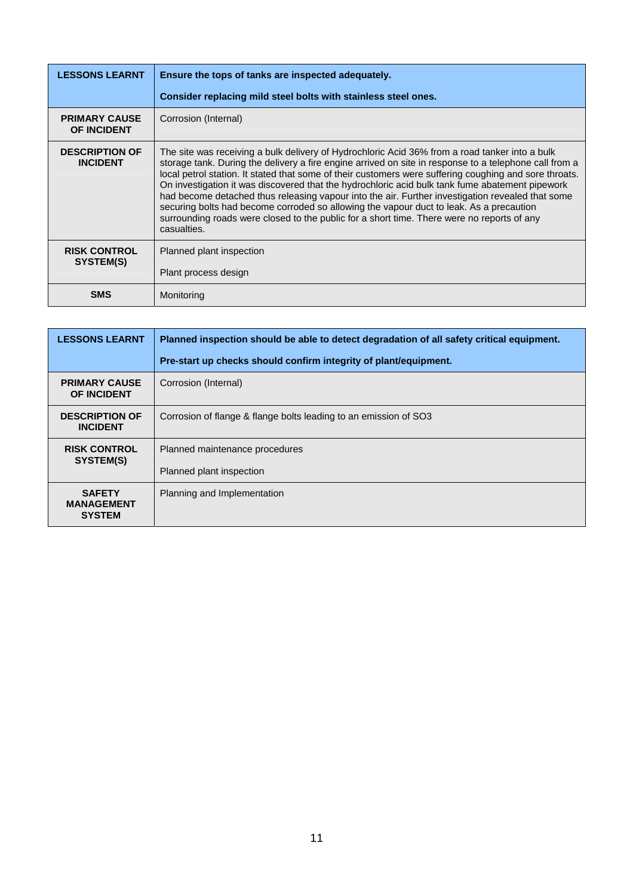| <b>LESSONS LEARNT</b>                      | Ensure the tops of tanks are inspected adequately.                                                                                                                                                                                                                                                                                                                                                                                                                                                                                                                                                                                                                                                                                |
|--------------------------------------------|-----------------------------------------------------------------------------------------------------------------------------------------------------------------------------------------------------------------------------------------------------------------------------------------------------------------------------------------------------------------------------------------------------------------------------------------------------------------------------------------------------------------------------------------------------------------------------------------------------------------------------------------------------------------------------------------------------------------------------------|
|                                            | Consider replacing mild steel bolts with stainless steel ones.                                                                                                                                                                                                                                                                                                                                                                                                                                                                                                                                                                                                                                                                    |
| <b>PRIMARY CAUSE</b><br><b>OF INCIDENT</b> | Corrosion (Internal)                                                                                                                                                                                                                                                                                                                                                                                                                                                                                                                                                                                                                                                                                                              |
| <b>DESCRIPTION OF</b><br><b>INCIDENT</b>   | The site was receiving a bulk delivery of Hydrochloric Acid 36% from a road tanker into a bulk<br>storage tank. During the delivery a fire engine arrived on site in response to a telephone call from a<br>local petrol station. It stated that some of their customers were suffering coughing and sore throats.<br>On investigation it was discovered that the hydrochloric acid bulk tank fume abatement pipework<br>had become detached thus releasing vapour into the air. Further investigation revealed that some<br>securing bolts had become corroded so allowing the vapour duct to leak. As a precaution<br>surrounding roads were closed to the public for a short time. There were no reports of any<br>casualties. |
| <b>RISK CONTROL</b><br>SYSTEM(S)           | Planned plant inspection<br>Plant process design                                                                                                                                                                                                                                                                                                                                                                                                                                                                                                                                                                                                                                                                                  |
| <b>SMS</b>                                 | Monitoring                                                                                                                                                                                                                                                                                                                                                                                                                                                                                                                                                                                                                                                                                                                        |

| <b>LESSONS LEARNT</b>                               | Planned inspection should be able to detect degradation of all safety critical equipment. |
|-----------------------------------------------------|-------------------------------------------------------------------------------------------|
|                                                     | Pre-start up checks should confirm integrity of plant/equipment.                          |
| <b>PRIMARY CAUSE</b><br><b>OF INCIDENT</b>          | Corrosion (Internal)                                                                      |
| <b>DESCRIPTION OF</b><br><b>INCIDENT</b>            | Corrosion of flange & flange bolts leading to an emission of SO3                          |
| <b>RISK CONTROL</b><br>SYSTEM(S)                    | Planned maintenance procedures<br>Planned plant inspection                                |
| <b>SAFETY</b><br><b>MANAGEMENT</b><br><b>SYSTEM</b> | Planning and Implementation                                                               |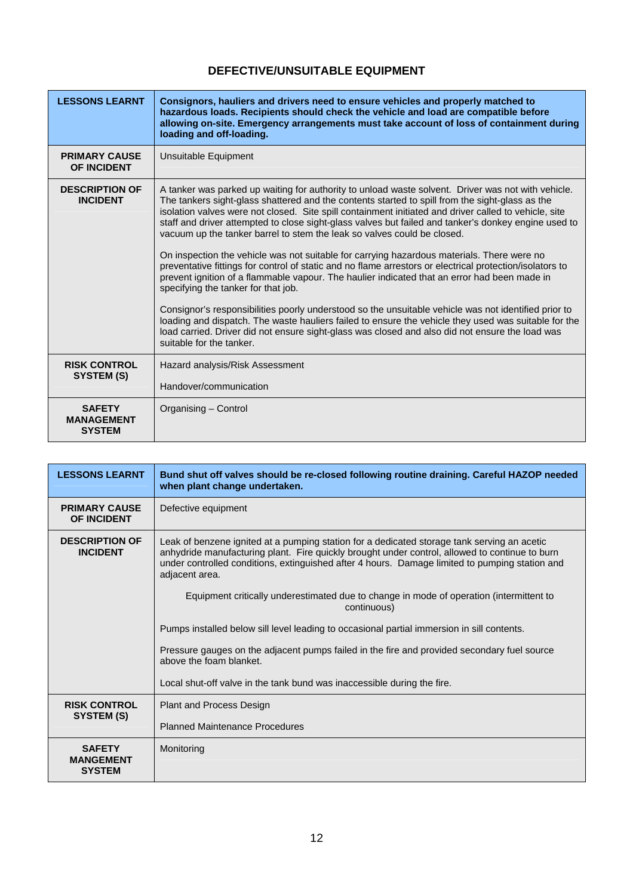## **DEFECTIVE/UNSUITABLE EQUIPMENT**

<span id="page-12-0"></span>

| <b>LESSONS LEARNT</b>                               | Consignors, hauliers and drivers need to ensure vehicles and properly matched to<br>hazardous loads. Recipients should check the vehicle and load are compatible before<br>allowing on-site. Emergency arrangements must take account of loss of containment during<br>loading and off-loading.                                                                                                                                                                                                                                                                                                                                                                                                                                                                                                                                                                                                                                                                                                                                                                                                                                                                                                   |
|-----------------------------------------------------|---------------------------------------------------------------------------------------------------------------------------------------------------------------------------------------------------------------------------------------------------------------------------------------------------------------------------------------------------------------------------------------------------------------------------------------------------------------------------------------------------------------------------------------------------------------------------------------------------------------------------------------------------------------------------------------------------------------------------------------------------------------------------------------------------------------------------------------------------------------------------------------------------------------------------------------------------------------------------------------------------------------------------------------------------------------------------------------------------------------------------------------------------------------------------------------------------|
| <b>PRIMARY CAUSE</b><br><b>OF INCIDENT</b>          | Unsuitable Equipment                                                                                                                                                                                                                                                                                                                                                                                                                                                                                                                                                                                                                                                                                                                                                                                                                                                                                                                                                                                                                                                                                                                                                                              |
| <b>DESCRIPTION OF</b><br><b>INCIDENT</b>            | A tanker was parked up waiting for authority to unload waste solvent. Driver was not with vehicle.<br>The tankers sight-glass shattered and the contents started to spill from the sight-glass as the<br>isolation valves were not closed. Site spill containment initiated and driver called to vehicle, site<br>staff and driver attempted to close sight-glass valves but failed and tanker's donkey engine used to<br>vacuum up the tanker barrel to stem the leak so valves could be closed.<br>On inspection the vehicle was not suitable for carrying hazardous materials. There were no<br>preventative fittings for control of static and no flame arrestors or electrical protection/isolators to<br>prevent ignition of a flammable vapour. The haulier indicated that an error had been made in<br>specifying the tanker for that job.<br>Consignor's responsibilities poorly understood so the unsuitable vehicle was not identified prior to<br>loading and dispatch. The waste hauliers failed to ensure the vehicle they used was suitable for the<br>load carried. Driver did not ensure sight-glass was closed and also did not ensure the load was<br>suitable for the tanker. |
| <b>RISK CONTROL</b><br>SYSTEM (S)                   | Hazard analysis/Risk Assessment<br>Handover/communication                                                                                                                                                                                                                                                                                                                                                                                                                                                                                                                                                                                                                                                                                                                                                                                                                                                                                                                                                                                                                                                                                                                                         |
| <b>SAFETY</b><br><b>MANAGEMENT</b><br><b>SYSTEM</b> | Organising - Control                                                                                                                                                                                                                                                                                                                                                                                                                                                                                                                                                                                                                                                                                                                                                                                                                                                                                                                                                                                                                                                                                                                                                                              |

| <b>LESSONS LEARNT</b>                              | Bund shut off valves should be re-closed following routine draining. Careful HAZOP needed<br>when plant change undertaken.                                                                                                                                                                                        |
|----------------------------------------------------|-------------------------------------------------------------------------------------------------------------------------------------------------------------------------------------------------------------------------------------------------------------------------------------------------------------------|
| <b>PRIMARY CAUSE</b><br><b>OF INCIDENT</b>         | Defective equipment                                                                                                                                                                                                                                                                                               |
| <b>DESCRIPTION OF</b><br><b>INCIDENT</b>           | Leak of benzene ignited at a pumping station for a dedicated storage tank serving an acetic<br>anhydride manufacturing plant. Fire quickly brought under control, allowed to continue to burn<br>under controlled conditions, extinguished after 4 hours. Damage limited to pumping station and<br>adjacent area. |
|                                                    | Equipment critically underestimated due to change in mode of operation (intermittent to<br>continuous)                                                                                                                                                                                                            |
|                                                    | Pumps installed below sill level leading to occasional partial immersion in sill contents.                                                                                                                                                                                                                        |
|                                                    | Pressure gauges on the adjacent pumps failed in the fire and provided secondary fuel source<br>above the foam blanket.                                                                                                                                                                                            |
|                                                    | Local shut-off valve in the tank bund was inaccessible during the fire.                                                                                                                                                                                                                                           |
| <b>RISK CONTROL</b><br>SYSTEM (S)                  | Plant and Process Design                                                                                                                                                                                                                                                                                          |
|                                                    | <b>Planned Maintenance Procedures</b>                                                                                                                                                                                                                                                                             |
| <b>SAFETY</b><br><b>MANGEMENT</b><br><b>SYSTEM</b> | Monitoring                                                                                                                                                                                                                                                                                                        |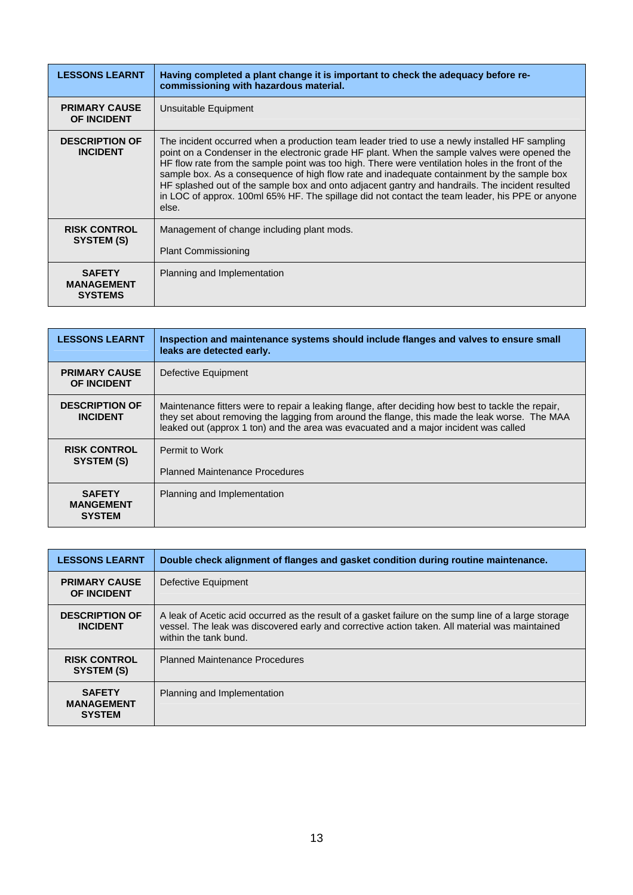| <b>LESSONS LEARNT</b>                                | Having completed a plant change it is important to check the adequacy before re-<br>commissioning with hazardous material.                                                                                                                                                                                                                                                                                                                                                                                                                                                                                         |
|------------------------------------------------------|--------------------------------------------------------------------------------------------------------------------------------------------------------------------------------------------------------------------------------------------------------------------------------------------------------------------------------------------------------------------------------------------------------------------------------------------------------------------------------------------------------------------------------------------------------------------------------------------------------------------|
| <b>PRIMARY CAUSE</b><br><b>OF INCIDENT</b>           | Unsuitable Equipment                                                                                                                                                                                                                                                                                                                                                                                                                                                                                                                                                                                               |
| <b>DESCRIPTION OF</b><br><b>INCIDENT</b>             | The incident occurred when a production team leader tried to use a newly installed HF sampling<br>point on a Condenser in the electronic grade HF plant. When the sample valves were opened the<br>HF flow rate from the sample point was too high. There were ventilation holes in the front of the<br>sample box. As a consequence of high flow rate and inadequate containment by the sample box<br>HF splashed out of the sample box and onto adjacent gantry and handrails. The incident resulted<br>in LOC of approx. 100ml 65% HF. The spillage did not contact the team leader, his PPE or anyone<br>else. |
| <b>RISK CONTROL</b><br>SYSTEM (S)                    | Management of change including plant mods.<br><b>Plant Commissioning</b>                                                                                                                                                                                                                                                                                                                                                                                                                                                                                                                                           |
| <b>SAFETY</b><br><b>MANAGEMENT</b><br><b>SYSTEMS</b> | Planning and Implementation                                                                                                                                                                                                                                                                                                                                                                                                                                                                                                                                                                                        |

| <b>LESSONS LEARNT</b>                              | Inspection and maintenance systems should include flanges and valves to ensure small<br>leaks are detected early.                                                                                                                                                                           |
|----------------------------------------------------|---------------------------------------------------------------------------------------------------------------------------------------------------------------------------------------------------------------------------------------------------------------------------------------------|
| <b>PRIMARY CAUSE</b><br><b>OF INCIDENT</b>         | Defective Equipment                                                                                                                                                                                                                                                                         |
| <b>DESCRIPTION OF</b><br><b>INCIDENT</b>           | Maintenance fitters were to repair a leaking flange, after deciding how best to tackle the repair,<br>they set about removing the lagging from around the flange, this made the leak worse. The MAA<br>leaked out (approx 1 ton) and the area was evacuated and a major incident was called |
| <b>RISK CONTROL</b><br>SYSTEM (S)                  | Permit to Work                                                                                                                                                                                                                                                                              |
|                                                    | <b>Planned Maintenance Procedures</b>                                                                                                                                                                                                                                                       |
| <b>SAFETY</b><br><b>MANGEMENT</b><br><b>SYSTEM</b> | Planning and Implementation                                                                                                                                                                                                                                                                 |

| <b>LESSONS LEARNT</b>                               | Double check alignment of flanges and gasket condition during routine maintenance.                                                                                                                                              |
|-----------------------------------------------------|---------------------------------------------------------------------------------------------------------------------------------------------------------------------------------------------------------------------------------|
| <b>PRIMARY CAUSE</b><br><b>OF INCIDENT</b>          | Defective Equipment                                                                                                                                                                                                             |
| <b>DESCRIPTION OF</b><br><b>INCIDENT</b>            | A leak of Acetic acid occurred as the result of a gasket failure on the sump line of a large storage<br>vessel. The leak was discovered early and corrective action taken. All material was maintained<br>within the tank bund. |
| <b>RISK CONTROL</b><br>SYSTEM (S)                   | <b>Planned Maintenance Procedures</b>                                                                                                                                                                                           |
| <b>SAFETY</b><br><b>MANAGEMENT</b><br><b>SYSTEM</b> | Planning and Implementation                                                                                                                                                                                                     |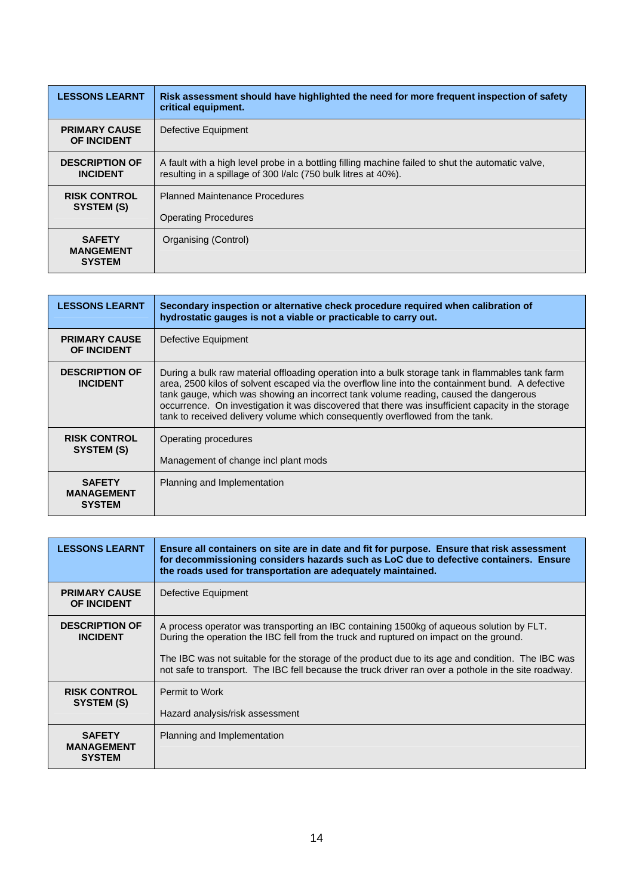| <b>LESSONS LEARNT</b>                              | Risk assessment should have highlighted the need for more frequent inspection of safety<br>critical equipment.                                                      |
|----------------------------------------------------|---------------------------------------------------------------------------------------------------------------------------------------------------------------------|
| <b>PRIMARY CAUSE</b><br><b>OF INCIDENT</b>         | Defective Equipment                                                                                                                                                 |
| <b>DESCRIPTION OF</b><br><b>INCIDENT</b>           | A fault with a high level probe in a bottling filling machine failed to shut the automatic valve,<br>resulting in a spillage of 300 I/alc (750 bulk litres at 40%). |
| <b>RISK CONTROL</b><br>SYSTEM (S)                  | <b>Planned Maintenance Procedures</b><br><b>Operating Procedures</b>                                                                                                |
| <b>SAFETY</b><br><b>MANGEMENT</b><br><b>SYSTEM</b> | Organising (Control)                                                                                                                                                |

| <b>LESSONS LEARNT</b>                               | Secondary inspection or alternative check procedure required when calibration of<br>hydrostatic gauges is not a viable or practicable to carry out.                                                                                                                                                                                                                                                                                                                                 |
|-----------------------------------------------------|-------------------------------------------------------------------------------------------------------------------------------------------------------------------------------------------------------------------------------------------------------------------------------------------------------------------------------------------------------------------------------------------------------------------------------------------------------------------------------------|
| <b>PRIMARY CAUSE</b><br><b>OF INCIDENT</b>          | Defective Equipment                                                                                                                                                                                                                                                                                                                                                                                                                                                                 |
| <b>DESCRIPTION OF</b><br><b>INCIDENT</b>            | During a bulk raw material offloading operation into a bulk storage tank in flammables tank farm<br>area, 2500 kilos of solvent escaped via the overflow line into the containment bund. A defective<br>tank gauge, which was showing an incorrect tank volume reading, caused the dangerous<br>occurrence. On investigation it was discovered that there was insufficient capacity in the storage<br>tank to received delivery volume which consequently overflowed from the tank. |
| <b>RISK CONTROL</b><br>SYSTEM (S)                   | Operating procedures<br>Management of change incl plant mods                                                                                                                                                                                                                                                                                                                                                                                                                        |
| <b>SAFETY</b><br><b>MANAGEMENT</b><br><b>SYSTEM</b> | Planning and Implementation                                                                                                                                                                                                                                                                                                                                                                                                                                                         |

| <b>LESSONS LEARNT</b>                               | Ensure all containers on site are in date and fit for purpose. Ensure that risk assessment<br>for decommissioning considers hazards such as LoC due to defective containers. Ensure<br>the roads used for transportation are adequately maintained. |
|-----------------------------------------------------|-----------------------------------------------------------------------------------------------------------------------------------------------------------------------------------------------------------------------------------------------------|
| <b>PRIMARY CAUSE</b><br><b>OF INCIDENT</b>          | Defective Equipment                                                                                                                                                                                                                                 |
| <b>DESCRIPTION OF</b><br><b>INCIDENT</b>            | A process operator was transporting an IBC containing 1500kg of aqueous solution by FLT.<br>During the operation the IBC fell from the truck and ruptured on impact on the ground.                                                                  |
|                                                     | The IBC was not suitable for the storage of the product due to its age and condition. The IBC was<br>not safe to transport. The IBC fell because the truck driver ran over a pothole in the site roadway.                                           |
| <b>RISK CONTROL</b><br>SYSTEM (S)                   | Permit to Work                                                                                                                                                                                                                                      |
|                                                     | Hazard analysis/risk assessment                                                                                                                                                                                                                     |
| <b>SAFETY</b><br><b>MANAGEMENT</b><br><b>SYSTEM</b> | Planning and Implementation                                                                                                                                                                                                                         |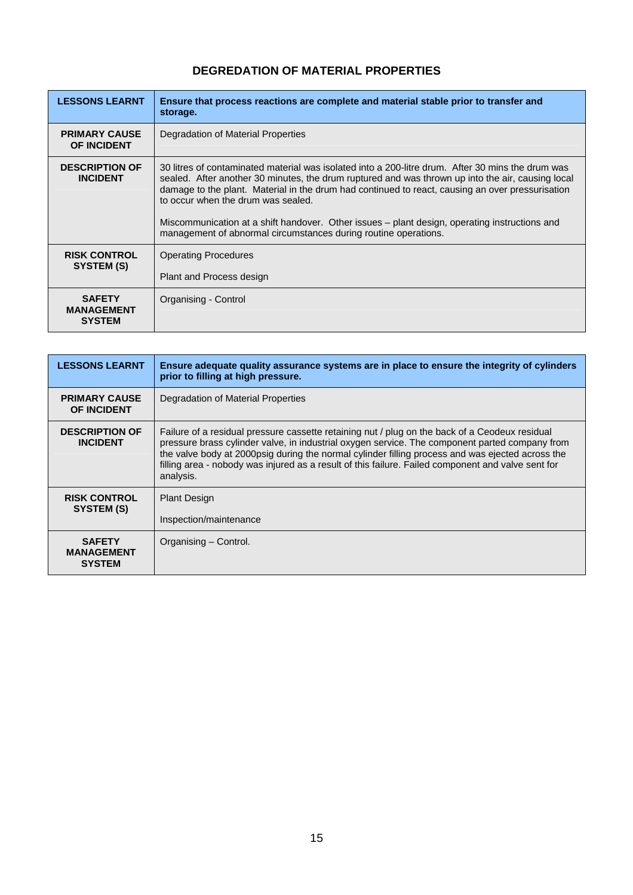## **DEGREDATION OF MATERIAL PROPERTIES**

<span id="page-15-0"></span>

| <b>LESSONS LEARNT</b>                               | Ensure that process reactions are complete and material stable prior to transfer and<br>storage.                                                                                                                                                                                                                                                                                                                                                                                                                     |
|-----------------------------------------------------|----------------------------------------------------------------------------------------------------------------------------------------------------------------------------------------------------------------------------------------------------------------------------------------------------------------------------------------------------------------------------------------------------------------------------------------------------------------------------------------------------------------------|
| <b>PRIMARY CAUSE</b><br><b>OF INCIDENT</b>          | Degradation of Material Properties                                                                                                                                                                                                                                                                                                                                                                                                                                                                                   |
| <b>DESCRIPTION OF</b><br><b>INCIDENT</b>            | 30 litres of contaminated material was isolated into a 200-litre drum. After 30 mins the drum was<br>sealed. After another 30 minutes, the drum ruptured and was thrown up into the air, causing local<br>damage to the plant. Material in the drum had continued to react, causing an over pressurisation<br>to occur when the drum was sealed.<br>Miscommunication at a shift handover. Other issues - plant design, operating instructions and<br>management of abnormal circumstances during routine operations. |
| <b>RISK CONTROL</b><br>SYSTEM (S)                   | <b>Operating Procedures</b><br>Plant and Process design                                                                                                                                                                                                                                                                                                                                                                                                                                                              |
| <b>SAFETY</b><br><b>MANAGEMENT</b><br><b>SYSTEM</b> | Organising - Control                                                                                                                                                                                                                                                                                                                                                                                                                                                                                                 |

| <b>LESSONS LEARNT</b>                               | Ensure adequate quality assurance systems are in place to ensure the integrity of cylinders<br>prior to filling at high pressure.                                                                                                                                                                                                                                                                                       |
|-----------------------------------------------------|-------------------------------------------------------------------------------------------------------------------------------------------------------------------------------------------------------------------------------------------------------------------------------------------------------------------------------------------------------------------------------------------------------------------------|
| <b>PRIMARY CAUSE</b><br><b>OF INCIDENT</b>          | Degradation of Material Properties                                                                                                                                                                                                                                                                                                                                                                                      |
| <b>DESCRIPTION OF</b><br><b>INCIDENT</b>            | Failure of a residual pressure cassette retaining nut / plug on the back of a Ceodeux residual<br>pressure brass cylinder valve, in industrial oxygen service. The component parted company from<br>the valve body at 2000psig during the normal cylinder filling process and was ejected across the<br>filling area - nobody was injured as a result of this failure. Failed component and valve sent for<br>analysis. |
| <b>RISK CONTROL</b><br>SYSTEM (S)                   | <b>Plant Design</b><br>Inspection/maintenance                                                                                                                                                                                                                                                                                                                                                                           |
| <b>SAFETY</b><br><b>MANAGEMENT</b><br><b>SYSTEM</b> | Organising – Control.                                                                                                                                                                                                                                                                                                                                                                                                   |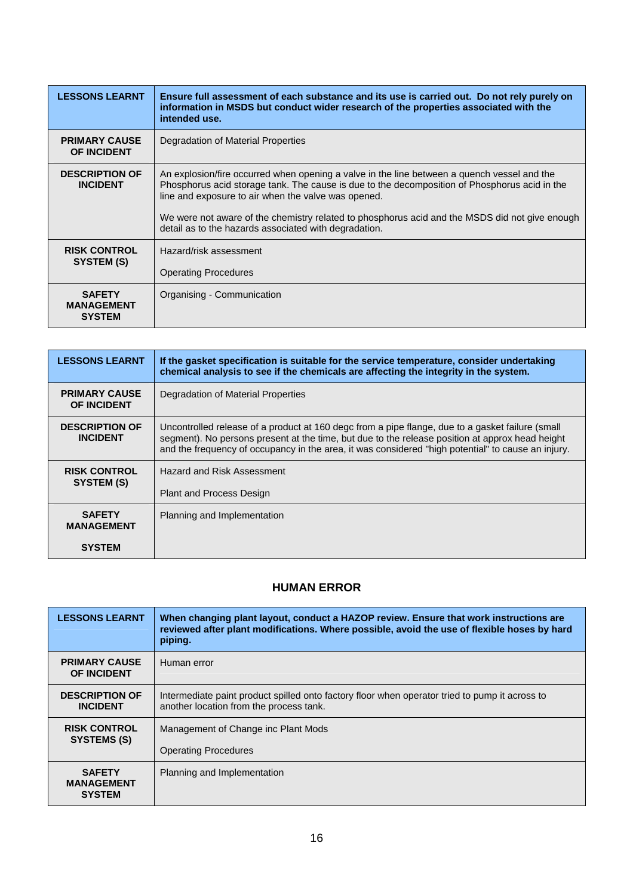<span id="page-16-0"></span>

| <b>LESSONS LEARNT</b>                               | Ensure full assessment of each substance and its use is carried out. Do not rely purely on<br>information in MSDS but conduct wider research of the properties associated with the<br>intended use.                                                                                                                                                                                                            |
|-----------------------------------------------------|----------------------------------------------------------------------------------------------------------------------------------------------------------------------------------------------------------------------------------------------------------------------------------------------------------------------------------------------------------------------------------------------------------------|
| <b>PRIMARY CAUSE</b><br><b>OF INCIDENT</b>          | Degradation of Material Properties                                                                                                                                                                                                                                                                                                                                                                             |
| <b>DESCRIPTION OF</b><br><b>INCIDENT</b>            | An explosion/fire occurred when opening a valve in the line between a quench vessel and the<br>Phosphorus acid storage tank. The cause is due to the decomposition of Phosphorus acid in the<br>line and exposure to air when the valve was opened.<br>We were not aware of the chemistry related to phosphorus acid and the MSDS did not give enough<br>detail as to the hazards associated with degradation. |
| <b>RISK CONTROL</b><br>SYSTEM (S)                   | Hazard/risk assessment<br><b>Operating Procedures</b>                                                                                                                                                                                                                                                                                                                                                          |
| <b>SAFETY</b><br><b>MANAGEMENT</b><br><b>SYSTEM</b> | Organising - Communication                                                                                                                                                                                                                                                                                                                                                                                     |

| <b>LESSONS LEARNT</b>                               | If the gasket specification is suitable for the service temperature, consider undertaking<br>chemical analysis to see if the chemicals are affecting the integrity in the system.                                                                                                                         |
|-----------------------------------------------------|-----------------------------------------------------------------------------------------------------------------------------------------------------------------------------------------------------------------------------------------------------------------------------------------------------------|
| <b>PRIMARY CAUSE</b><br><b>OF INCIDENT</b>          | Degradation of Material Properties                                                                                                                                                                                                                                                                        |
| <b>DESCRIPTION OF</b><br><b>INCIDENT</b>            | Uncontrolled release of a product at 160 degc from a pipe flange, due to a gasket failure (small<br>segment). No persons present at the time, but due to the release position at approx head height<br>and the frequency of occupancy in the area, it was considered "high potential" to cause an injury. |
| <b>RISK CONTROL</b><br>SYSTEM (S)                   | Hazard and Risk Assessment<br><b>Plant and Process Design</b>                                                                                                                                                                                                                                             |
| <b>SAFETY</b><br><b>MANAGEMENT</b><br><b>SYSTEM</b> | Planning and Implementation                                                                                                                                                                                                                                                                               |

#### **HUMAN ERROR**

| <b>LESSONS LEARNT</b>                               | When changing plant layout, conduct a HAZOP review. Ensure that work instructions are<br>reviewed after plant modifications. Where possible, avoid the use of flexible hoses by hard<br>piping. |
|-----------------------------------------------------|-------------------------------------------------------------------------------------------------------------------------------------------------------------------------------------------------|
| <b>PRIMARY CAUSE</b><br><b>OF INCIDENT</b>          | Human error                                                                                                                                                                                     |
| <b>DESCRIPTION OF</b><br><b>INCIDENT</b>            | Intermediate paint product spilled onto factory floor when operator tried to pump it across to<br>another location from the process tank.                                                       |
| <b>RISK CONTROL</b><br>SYSTEMS (S)                  | Management of Change inc Plant Mods                                                                                                                                                             |
|                                                     | <b>Operating Procedures</b>                                                                                                                                                                     |
| <b>SAFETY</b><br><b>MANAGEMENT</b><br><b>SYSTEM</b> | Planning and Implementation                                                                                                                                                                     |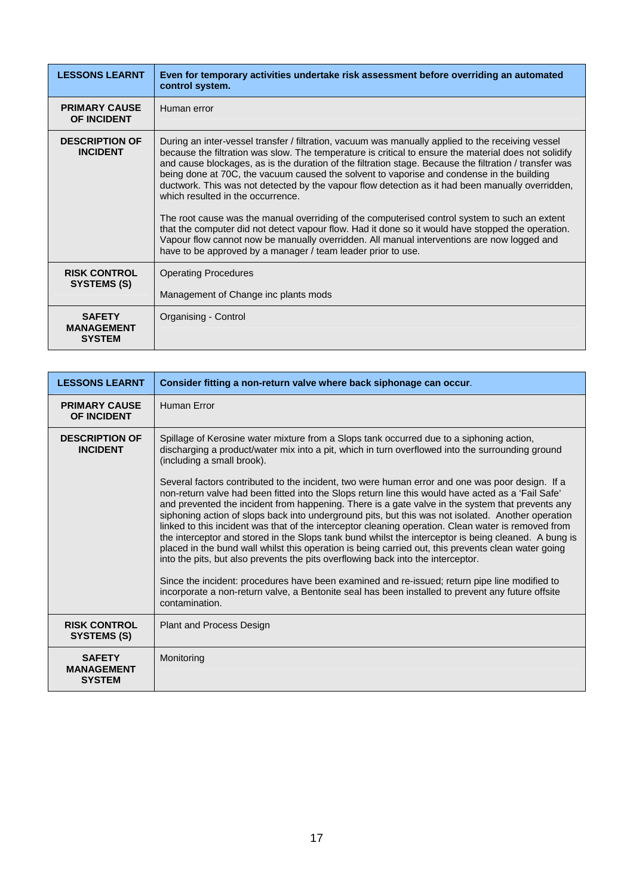| <b>LESSONS LEARNT</b>                               | Even for temporary activities undertake risk assessment before overriding an automated<br>control system.                                                                                                                                                                                                                                                                                                                                                                                                                                                                                                                                                                                                                                                                                                                                                                                                                      |
|-----------------------------------------------------|--------------------------------------------------------------------------------------------------------------------------------------------------------------------------------------------------------------------------------------------------------------------------------------------------------------------------------------------------------------------------------------------------------------------------------------------------------------------------------------------------------------------------------------------------------------------------------------------------------------------------------------------------------------------------------------------------------------------------------------------------------------------------------------------------------------------------------------------------------------------------------------------------------------------------------|
| <b>PRIMARY CAUSE</b><br><b>OF INCIDENT</b>          | Human error                                                                                                                                                                                                                                                                                                                                                                                                                                                                                                                                                                                                                                                                                                                                                                                                                                                                                                                    |
| <b>DESCRIPTION OF</b><br><b>INCIDENT</b>            | During an inter-vessel transfer / filtration, vacuum was manually applied to the receiving vessel<br>because the filtration was slow. The temperature is critical to ensure the material does not solidify<br>and cause blockages, as is the duration of the filtration stage. Because the filtration / transfer was<br>being done at 70C, the vacuum caused the solvent to vaporise and condense in the building<br>ductwork. This was not detected by the vapour flow detection as it had been manually overridden,<br>which resulted in the occurrence.<br>The root cause was the manual overriding of the computerised control system to such an extent<br>that the computer did not detect vapour flow. Had it done so it would have stopped the operation.<br>Vapour flow cannot now be manually overridden. All manual interventions are now logged and<br>have to be approved by a manager / team leader prior to use. |
| <b>RISK CONTROL</b><br>SYSTEMS (S)                  | <b>Operating Procedures</b><br>Management of Change inc plants mods                                                                                                                                                                                                                                                                                                                                                                                                                                                                                                                                                                                                                                                                                                                                                                                                                                                            |
| <b>SAFETY</b><br><b>MANAGEMENT</b><br><b>SYSTEM</b> | Organising - Control                                                                                                                                                                                                                                                                                                                                                                                                                                                                                                                                                                                                                                                                                                                                                                                                                                                                                                           |

| <b>LESSONS LEARNT</b>                               | Consider fitting a non-return valve where back siphonage can occur.                                                                                                                                                                                                                                                                                                                                                                                                                                                                                                                                                                                                                                                                                                                                                       |
|-----------------------------------------------------|---------------------------------------------------------------------------------------------------------------------------------------------------------------------------------------------------------------------------------------------------------------------------------------------------------------------------------------------------------------------------------------------------------------------------------------------------------------------------------------------------------------------------------------------------------------------------------------------------------------------------------------------------------------------------------------------------------------------------------------------------------------------------------------------------------------------------|
| <b>PRIMARY CAUSE</b><br><b>OF INCIDENT</b>          | Human Error                                                                                                                                                                                                                                                                                                                                                                                                                                                                                                                                                                                                                                                                                                                                                                                                               |
| <b>DESCRIPTION OF</b><br><b>INCIDENT</b>            | Spillage of Kerosine water mixture from a Slops tank occurred due to a siphoning action,<br>discharging a product/water mix into a pit, which in turn overflowed into the surrounding ground<br>(including a small brook).                                                                                                                                                                                                                                                                                                                                                                                                                                                                                                                                                                                                |
|                                                     | Several factors contributed to the incident, two were human error and one was poor design. If a<br>non-return valve had been fitted into the Slops return line this would have acted as a 'Fail Safe'<br>and prevented the incident from happening. There is a gate valve in the system that prevents any<br>siphoning action of slops back into underground pits, but this was not isolated. Another operation<br>linked to this incident was that of the interceptor cleaning operation. Clean water is removed from<br>the interceptor and stored in the Slops tank bund whilst the interceptor is being cleaned. A bung is<br>placed in the bund wall whilst this operation is being carried out, this prevents clean water going<br>into the pits, but also prevents the pits overflowing back into the interceptor. |
|                                                     | Since the incident: procedures have been examined and re-issued; return pipe line modified to<br>incorporate a non-return valve, a Bentonite seal has been installed to prevent any future offsite<br>contamination.                                                                                                                                                                                                                                                                                                                                                                                                                                                                                                                                                                                                      |
| <b>RISK CONTROL</b><br>SYSTEMS (S)                  | <b>Plant and Process Design</b>                                                                                                                                                                                                                                                                                                                                                                                                                                                                                                                                                                                                                                                                                                                                                                                           |
| <b>SAFETY</b><br><b>MANAGEMENT</b><br><b>SYSTEM</b> | Monitoring                                                                                                                                                                                                                                                                                                                                                                                                                                                                                                                                                                                                                                                                                                                                                                                                                |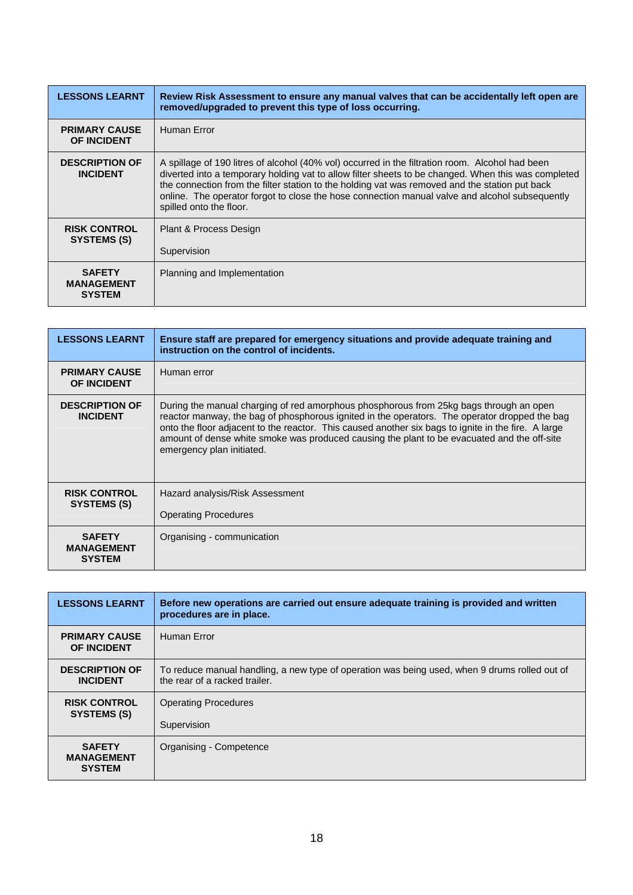| <b>LESSONS LEARNT</b>                               | Review Risk Assessment to ensure any manual valves that can be accidentally left open are<br>removed/upgraded to prevent this type of loss occurring.                                                                                                                                                                                                                                                                                 |
|-----------------------------------------------------|---------------------------------------------------------------------------------------------------------------------------------------------------------------------------------------------------------------------------------------------------------------------------------------------------------------------------------------------------------------------------------------------------------------------------------------|
| <b>PRIMARY CAUSE</b><br><b>OF INCIDENT</b>          | Human Error                                                                                                                                                                                                                                                                                                                                                                                                                           |
| <b>DESCRIPTION OF</b><br><b>INCIDENT</b>            | A spillage of 190 litres of alcohol (40% vol) occurred in the filtration room. Alcohol had been<br>diverted into a temporary holding vat to allow filter sheets to be changed. When this was completed<br>the connection from the filter station to the holding vat was removed and the station put back<br>online. The operator forgot to close the hose connection manual valve and alcohol subsequently<br>spilled onto the floor. |
| <b>RISK CONTROL</b><br>SYSTEMS (S)                  | Plant & Process Design<br>Supervision                                                                                                                                                                                                                                                                                                                                                                                                 |
| <b>SAFETY</b><br><b>MANAGEMENT</b><br><b>SYSTEM</b> | Planning and Implementation                                                                                                                                                                                                                                                                                                                                                                                                           |

| <b>LESSONS LEARNT</b>                               | Ensure staff are prepared for emergency situations and provide adequate training and<br>instruction on the control of incidents.                                                                                                                                                                                                                                                                                           |
|-----------------------------------------------------|----------------------------------------------------------------------------------------------------------------------------------------------------------------------------------------------------------------------------------------------------------------------------------------------------------------------------------------------------------------------------------------------------------------------------|
| <b>PRIMARY CAUSE</b><br><b>OF INCIDENT</b>          | Human error                                                                                                                                                                                                                                                                                                                                                                                                                |
| <b>DESCRIPTION OF</b><br><b>INCIDENT</b>            | During the manual charging of red amorphous phosphorous from 25kg bags through an open<br>reactor manway, the bag of phosphorous ignited in the operators. The operator dropped the bag<br>onto the floor adjacent to the reactor. This caused another six bags to ignite in the fire. A large<br>amount of dense white smoke was produced causing the plant to be evacuated and the off-site<br>emergency plan initiated. |
| <b>RISK CONTROL</b><br>SYSTEMS (S)                  | Hazard analysis/Risk Assessment<br><b>Operating Procedures</b>                                                                                                                                                                                                                                                                                                                                                             |
| <b>SAFETY</b><br><b>MANAGEMENT</b><br><b>SYSTEM</b> | Organising - communication                                                                                                                                                                                                                                                                                                                                                                                                 |

| <b>LESSONS LEARNT</b>                               | Before new operations are carried out ensure adequate training is provided and written<br>procedures are in place.             |
|-----------------------------------------------------|--------------------------------------------------------------------------------------------------------------------------------|
| <b>PRIMARY CAUSE</b><br><b>OF INCIDENT</b>          | Human Error                                                                                                                    |
| <b>DESCRIPTION OF</b><br><b>INCIDENT</b>            | To reduce manual handling, a new type of operation was being used, when 9 drums rolled out of<br>the rear of a racked trailer. |
| <b>RISK CONTROL</b><br>SYSTEMS (S)                  | <b>Operating Procedures</b><br>Supervision                                                                                     |
| <b>SAFETY</b><br><b>MANAGEMENT</b><br><b>SYSTEM</b> | Organising - Competence                                                                                                        |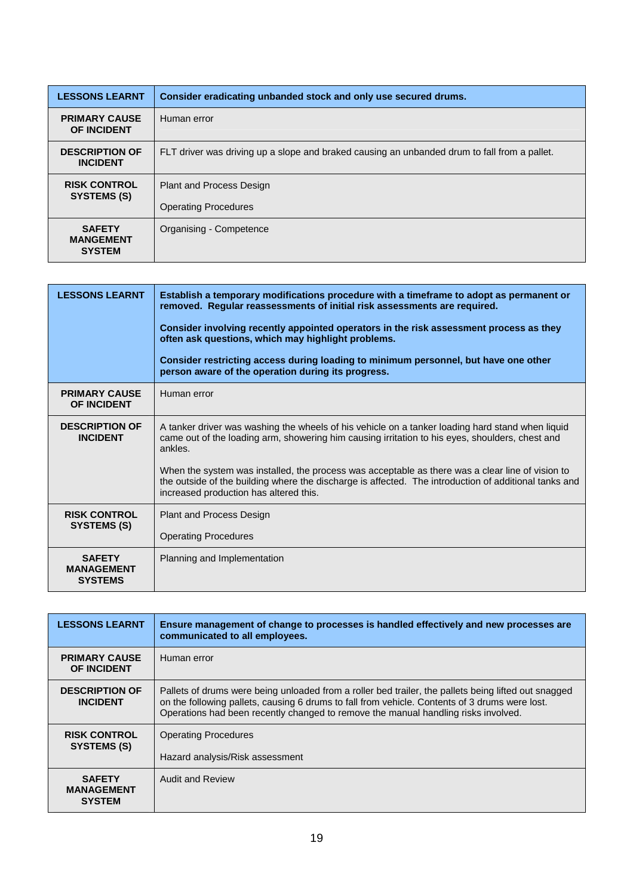| <b>LESSONS LEARNT</b>                              | Consider eradicating unbanded stock and only use secured drums.                              |
|----------------------------------------------------|----------------------------------------------------------------------------------------------|
| <b>PRIMARY CAUSE</b><br><b>OF INCIDENT</b>         | Human error                                                                                  |
| <b>DESCRIPTION OF</b><br><b>INCIDENT</b>           | FLT driver was driving up a slope and braked causing an unbanded drum to fall from a pallet. |
| <b>RISK CONTROL</b><br>SYSTEMS (S)                 | <b>Plant and Process Design</b><br><b>Operating Procedures</b>                               |
| <b>SAFETY</b><br><b>MANGEMENT</b><br><b>SYSTEM</b> | Organising - Competence                                                                      |

| <b>LESSONS LEARNT</b>                                | Establish a temporary modifications procedure with a timeframe to adopt as permanent or<br>removed. Regular reassessments of initial risk assessments are required.<br>Consider involving recently appointed operators in the risk assessment process as they<br>often ask questions, which may highlight problems.<br>Consider restricting access during loading to minimum personnel, but have one other<br>person aware of the operation during its progress.      |
|------------------------------------------------------|-----------------------------------------------------------------------------------------------------------------------------------------------------------------------------------------------------------------------------------------------------------------------------------------------------------------------------------------------------------------------------------------------------------------------------------------------------------------------|
| <b>PRIMARY CAUSE</b><br><b>OF INCIDENT</b>           | Human error                                                                                                                                                                                                                                                                                                                                                                                                                                                           |
| <b>DESCRIPTION OF</b><br><b>INCIDENT</b>             | A tanker driver was washing the wheels of his vehicle on a tanker loading hard stand when liquid<br>came out of the loading arm, showering him causing irritation to his eyes, shoulders, chest and<br>ankles.<br>When the system was installed, the process was acceptable as there was a clear line of vision to<br>the outside of the building where the discharge is affected. The introduction of additional tanks and<br>increased production has altered this. |
| <b>RISK CONTROL</b><br><b>SYSTEMS (S)</b>            | <b>Plant and Process Design</b><br><b>Operating Procedures</b>                                                                                                                                                                                                                                                                                                                                                                                                        |
| <b>SAFETY</b><br><b>MANAGEMENT</b><br><b>SYSTEMS</b> | Planning and Implementation                                                                                                                                                                                                                                                                                                                                                                                                                                           |

| <b>LESSONS LEARNT</b>                               | Ensure management of change to processes is handled effectively and new processes are<br>communicated to all employees.                                                                                                                                                                      |
|-----------------------------------------------------|----------------------------------------------------------------------------------------------------------------------------------------------------------------------------------------------------------------------------------------------------------------------------------------------|
| <b>PRIMARY CAUSE</b><br><b>OF INCIDENT</b>          | Human error                                                                                                                                                                                                                                                                                  |
| <b>DESCRIPTION OF</b><br><b>INCIDENT</b>            | Pallets of drums were being unloaded from a roller bed trailer, the pallets being lifted out snagged<br>on the following pallets, causing 6 drums to fall from vehicle. Contents of 3 drums were lost.<br>Operations had been recently changed to remove the manual handling risks involved. |
| <b>RISK CONTROL</b><br>SYSTEMS (S)                  | <b>Operating Procedures</b><br>Hazard analysis/Risk assessment                                                                                                                                                                                                                               |
| <b>SAFETY</b><br><b>MANAGEMENT</b><br><b>SYSTEM</b> | <b>Audit and Review</b>                                                                                                                                                                                                                                                                      |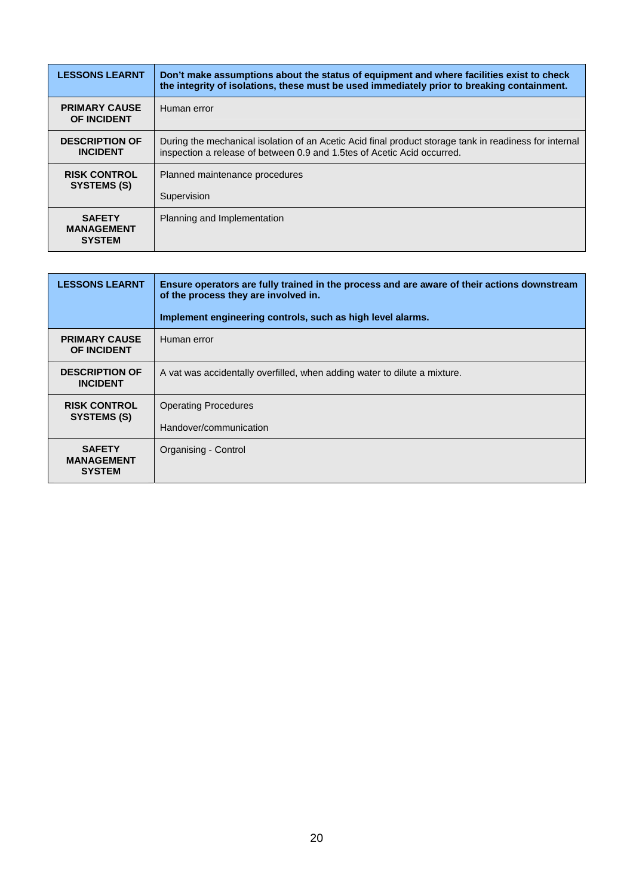| <b>LESSONS LEARNT</b>                               | Don't make assumptions about the status of equipment and where facilities exist to check<br>the integrity of isolations, these must be used immediately prior to breaking containment. |
|-----------------------------------------------------|----------------------------------------------------------------------------------------------------------------------------------------------------------------------------------------|
| <b>PRIMARY CAUSE</b><br><b>OF INCIDENT</b>          | Human error                                                                                                                                                                            |
| <b>DESCRIPTION OF</b><br><b>INCIDENT</b>            | During the mechanical isolation of an Acetic Acid final product storage tank in readiness for internal<br>inspection a release of between 0.9 and 1.5tes of Acetic Acid occurred.      |
| <b>RISK CONTROL</b><br>SYSTEMS (S)                  | Planned maintenance procedures                                                                                                                                                         |
|                                                     | Supervision                                                                                                                                                                            |
| <b>SAFETY</b><br><b>MANAGEMENT</b><br><b>SYSTEM</b> | Planning and Implementation                                                                                                                                                            |

| <b>LESSONS LEARNT</b>                               | Ensure operators are fully trained in the process and are aware of their actions downstream<br>of the process they are involved in.<br>Implement engineering controls, such as high level alarms. |
|-----------------------------------------------------|---------------------------------------------------------------------------------------------------------------------------------------------------------------------------------------------------|
| <b>PRIMARY CAUSE</b><br><b>OF INCIDENT</b>          | Human error                                                                                                                                                                                       |
| <b>DESCRIPTION OF</b><br><b>INCIDENT</b>            | A vat was accidentally overfilled, when adding water to dilute a mixture.                                                                                                                         |
| <b>RISK CONTROL</b><br>SYSTEMS (S)                  | <b>Operating Procedures</b><br>Handover/communication                                                                                                                                             |
| <b>SAFETY</b><br><b>MANAGEMENT</b><br><b>SYSTEM</b> | Organising - Control                                                                                                                                                                              |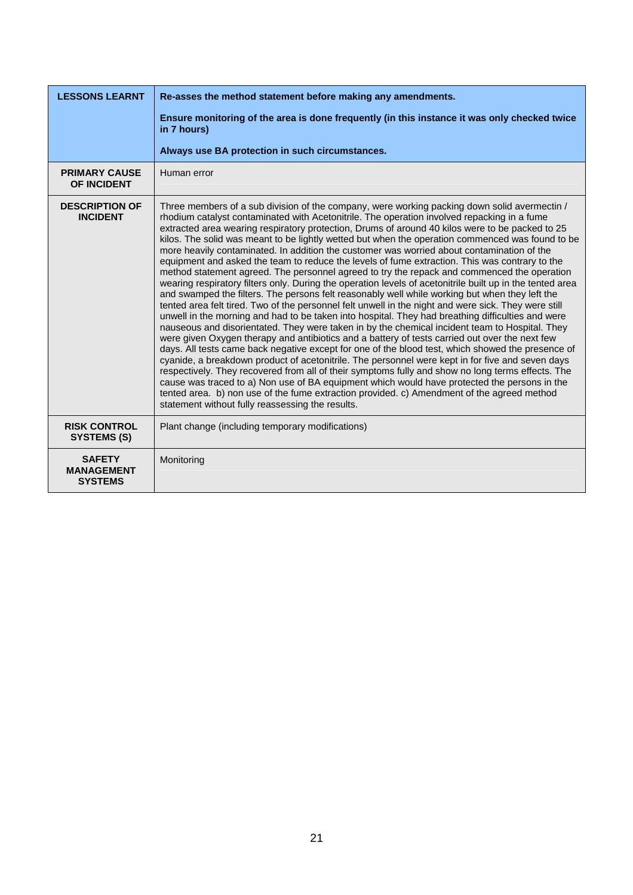| <b>LESSONS LEARNT</b>                                | Re-asses the method statement before making any amendments.                                                                                                                                                                                                                                                                                                                                                                                                                                                                                                                                                                                                                                                                                                                                                                                                                                                                                                                                                                                                                                                                                                                                                                                                                                                                                                                                                                                                                                                                                                                                                                                                                                                                                                                                                                                                                                       |
|------------------------------------------------------|---------------------------------------------------------------------------------------------------------------------------------------------------------------------------------------------------------------------------------------------------------------------------------------------------------------------------------------------------------------------------------------------------------------------------------------------------------------------------------------------------------------------------------------------------------------------------------------------------------------------------------------------------------------------------------------------------------------------------------------------------------------------------------------------------------------------------------------------------------------------------------------------------------------------------------------------------------------------------------------------------------------------------------------------------------------------------------------------------------------------------------------------------------------------------------------------------------------------------------------------------------------------------------------------------------------------------------------------------------------------------------------------------------------------------------------------------------------------------------------------------------------------------------------------------------------------------------------------------------------------------------------------------------------------------------------------------------------------------------------------------------------------------------------------------------------------------------------------------------------------------------------------------|
|                                                      | Ensure monitoring of the area is done frequently (in this instance it was only checked twice<br>in 7 hours)                                                                                                                                                                                                                                                                                                                                                                                                                                                                                                                                                                                                                                                                                                                                                                                                                                                                                                                                                                                                                                                                                                                                                                                                                                                                                                                                                                                                                                                                                                                                                                                                                                                                                                                                                                                       |
|                                                      | Always use BA protection in such circumstances.                                                                                                                                                                                                                                                                                                                                                                                                                                                                                                                                                                                                                                                                                                                                                                                                                                                                                                                                                                                                                                                                                                                                                                                                                                                                                                                                                                                                                                                                                                                                                                                                                                                                                                                                                                                                                                                   |
| <b>PRIMARY CAUSE</b><br><b>OF INCIDENT</b>           | Human error                                                                                                                                                                                                                                                                                                                                                                                                                                                                                                                                                                                                                                                                                                                                                                                                                                                                                                                                                                                                                                                                                                                                                                                                                                                                                                                                                                                                                                                                                                                                                                                                                                                                                                                                                                                                                                                                                       |
| <b>DESCRIPTION OF</b><br><b>INCIDENT</b>             | Three members of a sub division of the company, were working packing down solid avermectin /<br>rhodium catalyst contaminated with Acetonitrile. The operation involved repacking in a fume<br>extracted area wearing respiratory protection, Drums of around 40 kilos were to be packed to 25<br>kilos. The solid was meant to be lightly wetted but when the operation commenced was found to be<br>more heavily contaminated. In addition the customer was worried about contamination of the<br>equipment and asked the team to reduce the levels of fume extraction. This was contrary to the<br>method statement agreed. The personnel agreed to try the repack and commenced the operation<br>wearing respiratory filters only. During the operation levels of acetonitrile built up in the tented area<br>and swamped the filters. The persons felt reasonably well while working but when they left the<br>tented area felt tired. Two of the personnel felt unwell in the night and were sick. They were still<br>unwell in the morning and had to be taken into hospital. They had breathing difficulties and were<br>nauseous and disorientated. They were taken in by the chemical incident team to Hospital. They<br>were given Oxygen therapy and antibiotics and a battery of tests carried out over the next few<br>days. All tests came back negative except for one of the blood test, which showed the presence of<br>cyanide, a breakdown product of acetonitrile. The personnel were kept in for five and seven days<br>respectively. They recovered from all of their symptoms fully and show no long terms effects. The<br>cause was traced to a) Non use of BA equipment which would have protected the persons in the<br>tented area. b) non use of the fume extraction provided. c) Amendment of the agreed method<br>statement without fully reassessing the results. |
| <b>RISK CONTROL</b><br><b>SYSTEMS (S)</b>            | Plant change (including temporary modifications)                                                                                                                                                                                                                                                                                                                                                                                                                                                                                                                                                                                                                                                                                                                                                                                                                                                                                                                                                                                                                                                                                                                                                                                                                                                                                                                                                                                                                                                                                                                                                                                                                                                                                                                                                                                                                                                  |
| <b>SAFETY</b><br><b>MANAGEMENT</b><br><b>SYSTEMS</b> | Monitoring                                                                                                                                                                                                                                                                                                                                                                                                                                                                                                                                                                                                                                                                                                                                                                                                                                                                                                                                                                                                                                                                                                                                                                                                                                                                                                                                                                                                                                                                                                                                                                                                                                                                                                                                                                                                                                                                                        |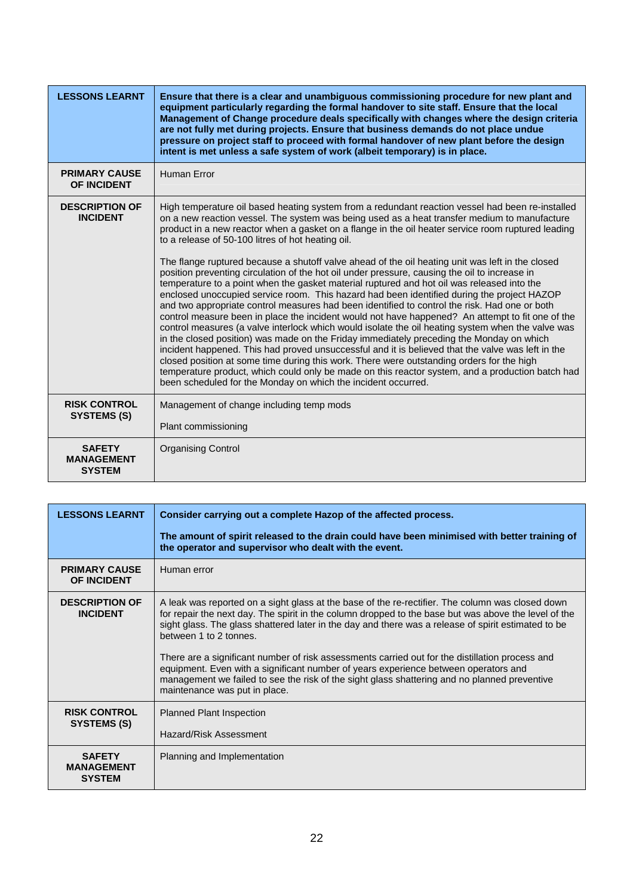| <b>LESSONS LEARNT</b>                               | Ensure that there is a clear and unambiguous commissioning procedure for new plant and<br>equipment particularly regarding the formal handover to site staff. Ensure that the local<br>Management of Change procedure deals specifically with changes where the design criteria<br>are not fully met during projects. Ensure that business demands do not place undue<br>pressure on project staff to proceed with formal handover of new plant before the design<br>intent is met unless a safe system of work (albeit temporary) is in place.                                                                                                                                                                                                                                                                                                                                                                                                                                                                                                                                                                                                                                                                                                                                                                                                                                                                                                                                                                                           |
|-----------------------------------------------------|-------------------------------------------------------------------------------------------------------------------------------------------------------------------------------------------------------------------------------------------------------------------------------------------------------------------------------------------------------------------------------------------------------------------------------------------------------------------------------------------------------------------------------------------------------------------------------------------------------------------------------------------------------------------------------------------------------------------------------------------------------------------------------------------------------------------------------------------------------------------------------------------------------------------------------------------------------------------------------------------------------------------------------------------------------------------------------------------------------------------------------------------------------------------------------------------------------------------------------------------------------------------------------------------------------------------------------------------------------------------------------------------------------------------------------------------------------------------------------------------------------------------------------------------|
| <b>PRIMARY CAUSE</b><br>OF INCIDENT                 | Human Error                                                                                                                                                                                                                                                                                                                                                                                                                                                                                                                                                                                                                                                                                                                                                                                                                                                                                                                                                                                                                                                                                                                                                                                                                                                                                                                                                                                                                                                                                                                               |
| <b>DESCRIPTION OF</b><br><b>INCIDENT</b>            | High temperature oil based heating system from a redundant reaction vessel had been re-installed<br>on a new reaction vessel. The system was being used as a heat transfer medium to manufacture<br>product in a new reactor when a gasket on a flange in the oil heater service room ruptured leading<br>to a release of 50-100 litres of hot heating oil.<br>The flange ruptured because a shutoff valve ahead of the oil heating unit was left in the closed<br>position preventing circulation of the hot oil under pressure, causing the oil to increase in<br>temperature to a point when the gasket material ruptured and hot oil was released into the<br>enclosed unoccupied service room. This hazard had been identified during the project HAZOP<br>and two appropriate control measures had been identified to control the risk. Had one or both<br>control measure been in place the incident would not have happened? An attempt to fit one of the<br>control measures (a valve interlock which would isolate the oil heating system when the valve was<br>in the closed position) was made on the Friday immediately preceding the Monday on which<br>incident happened. This had proved unsuccessful and it is believed that the valve was left in the<br>closed position at some time during this work. There were outstanding orders for the high<br>temperature product, which could only be made on this reactor system, and a production batch had<br>been scheduled for the Monday on which the incident occurred. |
| <b>RISK CONTROL</b><br><b>SYSTEMS (S)</b>           | Management of change including temp mods<br>Plant commissioning                                                                                                                                                                                                                                                                                                                                                                                                                                                                                                                                                                                                                                                                                                                                                                                                                                                                                                                                                                                                                                                                                                                                                                                                                                                                                                                                                                                                                                                                           |
| <b>SAFETY</b><br><b>MANAGEMENT</b><br><b>SYSTEM</b> | <b>Organising Control</b>                                                                                                                                                                                                                                                                                                                                                                                                                                                                                                                                                                                                                                                                                                                                                                                                                                                                                                                                                                                                                                                                                                                                                                                                                                                                                                                                                                                                                                                                                                                 |

| <b>LESSONS LEARNT</b>                               | Consider carrying out a complete Hazop of the affected process.                                                                                                                                                                                                                                                                                                                                                                                                                                                                                                                                                                                                      |
|-----------------------------------------------------|----------------------------------------------------------------------------------------------------------------------------------------------------------------------------------------------------------------------------------------------------------------------------------------------------------------------------------------------------------------------------------------------------------------------------------------------------------------------------------------------------------------------------------------------------------------------------------------------------------------------------------------------------------------------|
|                                                     | The amount of spirit released to the drain could have been minimised with better training of<br>the operator and supervisor who dealt with the event.                                                                                                                                                                                                                                                                                                                                                                                                                                                                                                                |
| <b>PRIMARY CAUSE</b><br><b>OF INCIDENT</b>          | Human error                                                                                                                                                                                                                                                                                                                                                                                                                                                                                                                                                                                                                                                          |
| <b>DESCRIPTION OF</b><br><b>INCIDENT</b>            | A leak was reported on a sight glass at the base of the re-rectifier. The column was closed down<br>for repair the next day. The spirit in the column dropped to the base but was above the level of the<br>sight glass. The glass shattered later in the day and there was a release of spirit estimated to be<br>between 1 to 2 tonnes.<br>There are a significant number of risk assessments carried out for the distillation process and<br>equipment. Even with a significant number of years experience between operators and<br>management we failed to see the risk of the sight glass shattering and no planned preventive<br>maintenance was put in place. |
| <b>RISK CONTROL</b><br>SYSTEMS (S)                  | <b>Planned Plant Inspection</b><br>Hazard/Risk Assessment                                                                                                                                                                                                                                                                                                                                                                                                                                                                                                                                                                                                            |
| <b>SAFETY</b><br><b>MANAGEMENT</b><br><b>SYSTEM</b> | Planning and Implementation                                                                                                                                                                                                                                                                                                                                                                                                                                                                                                                                                                                                                                          |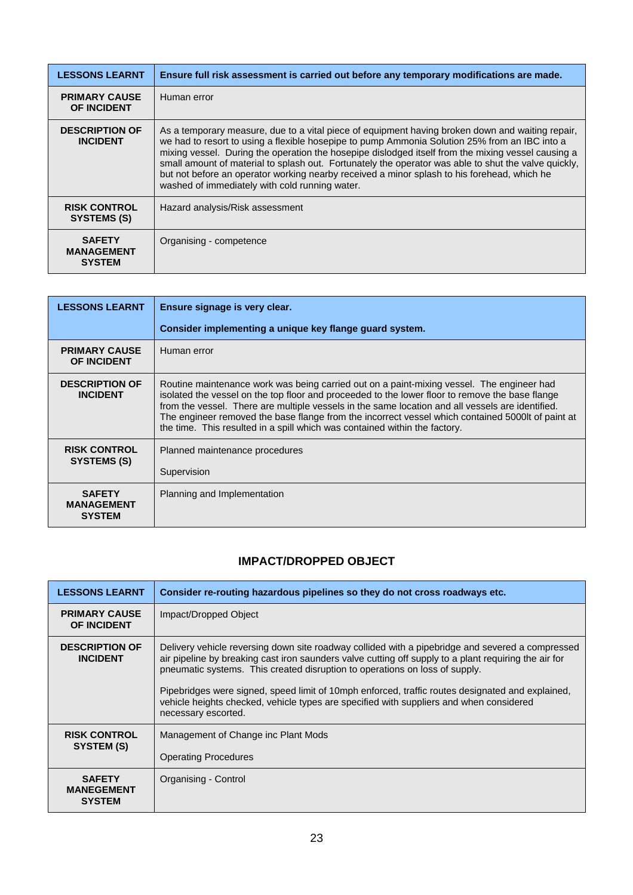<span id="page-23-0"></span>

| <b>LESSONS LEARNT</b>                               | Ensure full risk assessment is carried out before any temporary modifications are made.                                                                                                                                                                                                                                                                                                                                                                                                                                                                          |
|-----------------------------------------------------|------------------------------------------------------------------------------------------------------------------------------------------------------------------------------------------------------------------------------------------------------------------------------------------------------------------------------------------------------------------------------------------------------------------------------------------------------------------------------------------------------------------------------------------------------------------|
| <b>PRIMARY CAUSE</b><br>OF INCIDENT                 | Human error                                                                                                                                                                                                                                                                                                                                                                                                                                                                                                                                                      |
| <b>DESCRIPTION OF</b><br><b>INCIDENT</b>            | As a temporary measure, due to a vital piece of equipment having broken down and waiting repair,<br>we had to resort to using a flexible hosepipe to pump Ammonia Solution 25% from an IBC into a<br>mixing vessel. During the operation the hosepipe dislodged itself from the mixing vessel causing a<br>small amount of material to splash out. Fortunately the operator was able to shut the valve quickly,<br>but not before an operator working nearby received a minor splash to his forehead, which he<br>washed of immediately with cold running water. |
| <b>RISK CONTROL</b><br>SYSTEMS (S)                  | Hazard analysis/Risk assessment                                                                                                                                                                                                                                                                                                                                                                                                                                                                                                                                  |
| <b>SAFETY</b><br><b>MANAGEMENT</b><br><b>SYSTEM</b> | Organising - competence                                                                                                                                                                                                                                                                                                                                                                                                                                                                                                                                          |

| <b>LESSONS LEARNT</b>                               | Ensure signage is very clear.                                                                                                                                                                                                                                                                                                                                                                                                                                                       |
|-----------------------------------------------------|-------------------------------------------------------------------------------------------------------------------------------------------------------------------------------------------------------------------------------------------------------------------------------------------------------------------------------------------------------------------------------------------------------------------------------------------------------------------------------------|
|                                                     | Consider implementing a unique key flange guard system.                                                                                                                                                                                                                                                                                                                                                                                                                             |
| <b>PRIMARY CAUSE</b><br><b>OF INCIDENT</b>          | Human error                                                                                                                                                                                                                                                                                                                                                                                                                                                                         |
| <b>DESCRIPTION OF</b><br><b>INCIDENT</b>            | Routine maintenance work was being carried out on a paint-mixing vessel. The engineer had<br>isolated the vessel on the top floor and proceeded to the lower floor to remove the base flange<br>from the vessel. There are multiple vessels in the same location and all vessels are identified.<br>The engineer removed the base flange from the incorrect vessel which contained 5000lt of paint at<br>the time. This resulted in a spill which was contained within the factory. |
| <b>RISK CONTROL</b><br>SYSTEMS (S)                  | Planned maintenance procedures<br>Supervision                                                                                                                                                                                                                                                                                                                                                                                                                                       |
| <b>SAFETY</b><br><b>MANAGEMENT</b><br><b>SYSTEM</b> | Planning and Implementation                                                                                                                                                                                                                                                                                                                                                                                                                                                         |

## **IMPACT/DROPPED OBJECT**

| <b>LESSONS LEARNT</b>                               | Consider re-routing hazardous pipelines so they do not cross roadways etc.                                                                                                                                                                                                                                                                                                                                                                                                                                     |
|-----------------------------------------------------|----------------------------------------------------------------------------------------------------------------------------------------------------------------------------------------------------------------------------------------------------------------------------------------------------------------------------------------------------------------------------------------------------------------------------------------------------------------------------------------------------------------|
| <b>PRIMARY CAUSE</b><br><b>OF INCIDENT</b>          | Impact/Dropped Object                                                                                                                                                                                                                                                                                                                                                                                                                                                                                          |
| <b>DESCRIPTION OF</b><br><b>INCIDENT</b>            | Delivery vehicle reversing down site roadway collided with a pipebridge and severed a compressed<br>air pipeline by breaking cast iron saunders valve cutting off supply to a plant requiring the air for<br>pneumatic systems. This created disruption to operations on loss of supply.<br>Pipebridges were signed, speed limit of 10mph enforced, traffic routes designated and explained,<br>vehicle heights checked, vehicle types are specified with suppliers and when considered<br>necessary escorted. |
| <b>RISK CONTROL</b><br>SYSTEM (S)                   | Management of Change inc Plant Mods<br><b>Operating Procedures</b>                                                                                                                                                                                                                                                                                                                                                                                                                                             |
| <b>SAFETY</b><br><b>MANEGEMENT</b><br><b>SYSTEM</b> | Organising - Control                                                                                                                                                                                                                                                                                                                                                                                                                                                                                           |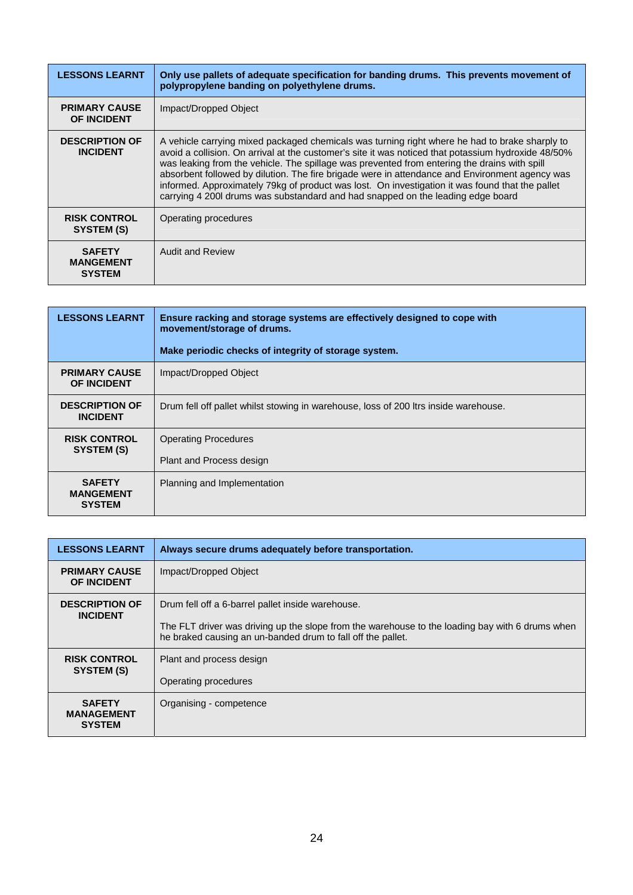| <b>LESSONS LEARNT</b>                              | Only use pallets of adequate specification for banding drums. This prevents movement of<br>polypropylene banding on polyethylene drums.                                                                                                                                                                                                                                                                                                                                                                                                                                                       |
|----------------------------------------------------|-----------------------------------------------------------------------------------------------------------------------------------------------------------------------------------------------------------------------------------------------------------------------------------------------------------------------------------------------------------------------------------------------------------------------------------------------------------------------------------------------------------------------------------------------------------------------------------------------|
| <b>PRIMARY CAUSE</b><br><b>OF INCIDENT</b>         | Impact/Dropped Object                                                                                                                                                                                                                                                                                                                                                                                                                                                                                                                                                                         |
| <b>DESCRIPTION OF</b><br><b>INCIDENT</b>           | A vehicle carrying mixed packaged chemicals was turning right where he had to brake sharply to<br>avoid a collision. On arrival at the customer's site it was noticed that potassium hydroxide 48/50%<br>was leaking from the vehicle. The spillage was prevented from entering the drains with spill<br>absorbent followed by dilution. The fire brigade were in attendance and Environment agency was<br>informed. Approximately 79kg of product was lost. On investigation it was found that the pallet<br>carrying 4 2001 drums was substandard and had snapped on the leading edge board |
| <b>RISK CONTROL</b><br>SYSTEM (S)                  | Operating procedures                                                                                                                                                                                                                                                                                                                                                                                                                                                                                                                                                                          |
| <b>SAFETY</b><br><b>MANGEMENT</b><br><b>SYSTEM</b> | <b>Audit and Review</b>                                                                                                                                                                                                                                                                                                                                                                                                                                                                                                                                                                       |

| <b>LESSONS LEARNT</b>                              | Ensure racking and storage systems are effectively designed to cope with<br>movement/storage of drums. |
|----------------------------------------------------|--------------------------------------------------------------------------------------------------------|
|                                                    | Make periodic checks of integrity of storage system.                                                   |
| <b>PRIMARY CAUSE</b><br><b>OF INCIDENT</b>         | Impact/Dropped Object                                                                                  |
| <b>DESCRIPTION OF</b><br><b>INCIDENT</b>           | Drum fell off pallet whilst stowing in warehouse, loss of 200 ltrs inside warehouse.                   |
| <b>RISK CONTROL</b><br>SYSTEM (S)                  | <b>Operating Procedures</b><br>Plant and Process design                                                |
| <b>SAFETY</b><br><b>MANGEMENT</b><br><b>SYSTEM</b> | Planning and Implementation                                                                            |

| <b>LESSONS LEARNT</b>                               | Always secure drums adequately before transportation.                                                                                                                                                               |
|-----------------------------------------------------|---------------------------------------------------------------------------------------------------------------------------------------------------------------------------------------------------------------------|
| <b>PRIMARY CAUSE</b><br><b>OF INCIDENT</b>          | Impact/Dropped Object                                                                                                                                                                                               |
| <b>DESCRIPTION OF</b><br><b>INCIDENT</b>            | Drum fell off a 6-barrel pallet inside warehouse.<br>The FLT driver was driving up the slope from the warehouse to the loading bay with 6 drums when<br>he braked causing an un-banded drum to fall off the pallet. |
| <b>RISK CONTROL</b><br>SYSTEM (S)                   | Plant and process design<br>Operating procedures                                                                                                                                                                    |
| <b>SAFETY</b><br><b>MANAGEMENT</b><br><b>SYSTEM</b> | Organising - competence                                                                                                                                                                                             |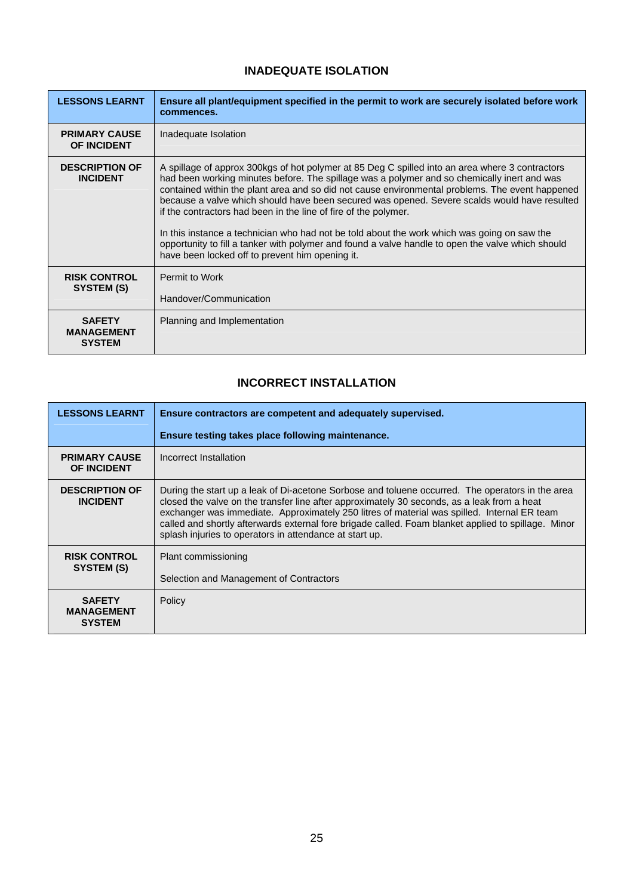#### **INADEQUATE ISOLATION**

<span id="page-25-0"></span>

| <b>LESSONS LEARNT</b>                               | Ensure all plant/equipment specified in the permit to work are securely isolated before work<br>commences.                                                                                                                                                                                                                                                                                                                                                                                                                                                                                                                                                                                                                  |
|-----------------------------------------------------|-----------------------------------------------------------------------------------------------------------------------------------------------------------------------------------------------------------------------------------------------------------------------------------------------------------------------------------------------------------------------------------------------------------------------------------------------------------------------------------------------------------------------------------------------------------------------------------------------------------------------------------------------------------------------------------------------------------------------------|
| <b>PRIMARY CAUSE</b><br><b>OF INCIDENT</b>          | Inadequate Isolation                                                                                                                                                                                                                                                                                                                                                                                                                                                                                                                                                                                                                                                                                                        |
| <b>DESCRIPTION OF</b><br><b>INCIDENT</b>            | A spillage of approx 300kgs of hot polymer at 85 Deg C spilled into an area where 3 contractors<br>had been working minutes before. The spillage was a polymer and so chemically inert and was<br>contained within the plant area and so did not cause environmental problems. The event happened<br>because a valve which should have been secured was opened. Severe scalds would have resulted<br>if the contractors had been in the line of fire of the polymer.<br>In this instance a technician who had not be told about the work which was going on saw the<br>opportunity to fill a tanker with polymer and found a valve handle to open the valve which should<br>have been locked off to prevent him opening it. |
| <b>RISK CONTROL</b><br>SYSTEM (S)                   | Permit to Work<br>Handover/Communication                                                                                                                                                                                                                                                                                                                                                                                                                                                                                                                                                                                                                                                                                    |
| <b>SAFETY</b><br><b>MANAGEMENT</b><br><b>SYSTEM</b> | Planning and Implementation                                                                                                                                                                                                                                                                                                                                                                                                                                                                                                                                                                                                                                                                                                 |

#### **INCORRECT INSTALLATION**

| <b>LESSONS LEARNT</b>                               | Ensure contractors are competent and adequately supervised.                                                                                                                                                                                                                                                                                                                                                                                                      |
|-----------------------------------------------------|------------------------------------------------------------------------------------------------------------------------------------------------------------------------------------------------------------------------------------------------------------------------------------------------------------------------------------------------------------------------------------------------------------------------------------------------------------------|
|                                                     | Ensure testing takes place following maintenance.                                                                                                                                                                                                                                                                                                                                                                                                                |
| <b>PRIMARY CAUSE</b><br><b>OF INCIDENT</b>          | Incorrect Installation                                                                                                                                                                                                                                                                                                                                                                                                                                           |
| <b>DESCRIPTION OF</b><br><b>INCIDENT</b>            | During the start up a leak of Di-acetone Sorbose and toluene occurred. The operators in the area<br>closed the valve on the transfer line after approximately 30 seconds, as a leak from a heat<br>exchanger was immediate. Approximately 250 litres of material was spilled. Internal ER team<br>called and shortly afterwards external fore brigade called. Foam blanket applied to spillage. Minor<br>splash injuries to operators in attendance at start up. |
| <b>RISK CONTROL</b><br>SYSTEM (S)                   | Plant commissioning<br>Selection and Management of Contractors                                                                                                                                                                                                                                                                                                                                                                                                   |
| <b>SAFETY</b><br><b>MANAGEMENT</b><br><b>SYSTEM</b> | Policy                                                                                                                                                                                                                                                                                                                                                                                                                                                           |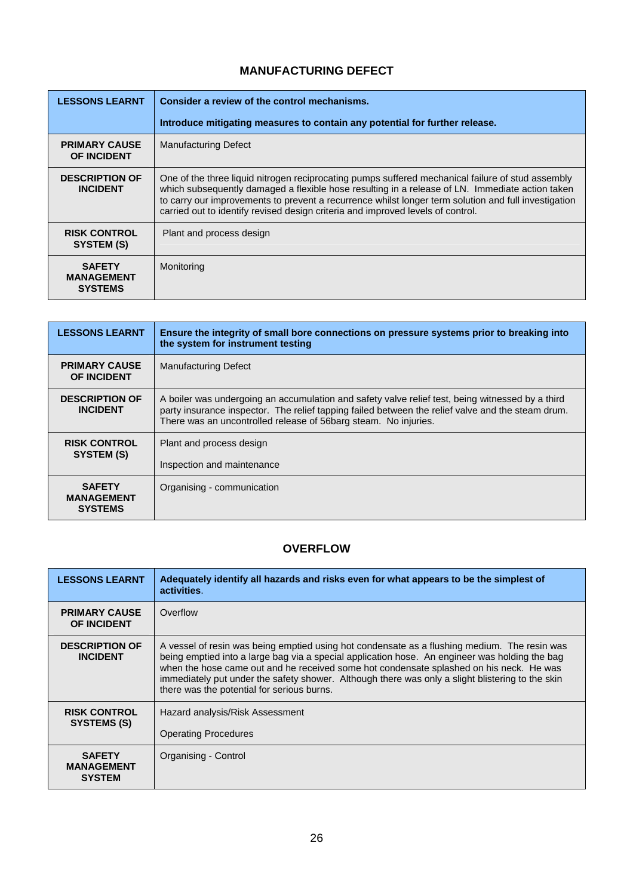#### **MANUFACTURING DEFECT**

<span id="page-26-0"></span>

| <b>LESSONS LEARNT</b>                                | Consider a review of the control mechanisms.                                                                                                                                                                                                                                                                                                                                                    |
|------------------------------------------------------|-------------------------------------------------------------------------------------------------------------------------------------------------------------------------------------------------------------------------------------------------------------------------------------------------------------------------------------------------------------------------------------------------|
|                                                      | Introduce mitigating measures to contain any potential for further release.                                                                                                                                                                                                                                                                                                                     |
| <b>PRIMARY CAUSE</b><br><b>OF INCIDENT</b>           | <b>Manufacturing Defect</b>                                                                                                                                                                                                                                                                                                                                                                     |
| <b>DESCRIPTION OF</b><br><b>INCIDENT</b>             | One of the three liquid nitrogen reciprocating pumps suffered mechanical failure of stud assembly<br>which subsequently damaged a flexible hose resulting in a release of LN. Immediate action taken<br>to carry our improvements to prevent a recurrence whilst longer term solution and full investigation<br>carried out to identify revised design criteria and improved levels of control. |
| <b>RISK CONTROL</b><br>SYSTEM (S)                    | Plant and process design                                                                                                                                                                                                                                                                                                                                                                        |
| <b>SAFETY</b><br><b>MANAGEMENT</b><br><b>SYSTEMS</b> | Monitoring                                                                                                                                                                                                                                                                                                                                                                                      |

| <b>LESSONS LEARNT</b>                                | Ensure the integrity of small bore connections on pressure systems prior to breaking into<br>the system for instrument testing                                                                                                                                           |
|------------------------------------------------------|--------------------------------------------------------------------------------------------------------------------------------------------------------------------------------------------------------------------------------------------------------------------------|
| <b>PRIMARY CAUSE</b><br><b>OF INCIDENT</b>           | <b>Manufacturing Defect</b>                                                                                                                                                                                                                                              |
| <b>DESCRIPTION OF</b><br><b>INCIDENT</b>             | A boiler was undergoing an accumulation and safety valve relief test, being witnessed by a third<br>party insurance inspector. The relief tapping failed between the relief valve and the steam drum.<br>There was an uncontrolled release of 56barg steam. No injuries. |
| <b>RISK CONTROL</b><br>SYSTEM (S)                    | Plant and process design                                                                                                                                                                                                                                                 |
|                                                      | Inspection and maintenance                                                                                                                                                                                                                                               |
| <b>SAFETY</b><br><b>MANAGEMENT</b><br><b>SYSTEMS</b> | Organising - communication                                                                                                                                                                                                                                               |

## **OVERFLOW**

| <b>LESSONS LEARNT</b>                               | Adequately identify all hazards and risks even for what appears to be the simplest of<br>activities.                                                                                                                                                                                                                                                                                                                                        |
|-----------------------------------------------------|---------------------------------------------------------------------------------------------------------------------------------------------------------------------------------------------------------------------------------------------------------------------------------------------------------------------------------------------------------------------------------------------------------------------------------------------|
| <b>PRIMARY CAUSE</b><br><b>OF INCIDENT</b>          | Overflow                                                                                                                                                                                                                                                                                                                                                                                                                                    |
| <b>DESCRIPTION OF</b><br><b>INCIDENT</b>            | A vessel of resin was being emptied using hot condensate as a flushing medium. The resin was<br>being emptied into a large bag via a special application hose. An engineer was holding the bag<br>when the hose came out and he received some hot condensate splashed on his neck. He was<br>immediately put under the safety shower. Although there was only a slight blistering to the skin<br>there was the potential for serious burns. |
| <b>RISK CONTROL</b><br>SYSTEMS (S)                  | Hazard analysis/Risk Assessment<br><b>Operating Procedures</b>                                                                                                                                                                                                                                                                                                                                                                              |
| <b>SAFETY</b><br><b>MANAGEMENT</b><br><b>SYSTEM</b> | Organising - Control                                                                                                                                                                                                                                                                                                                                                                                                                        |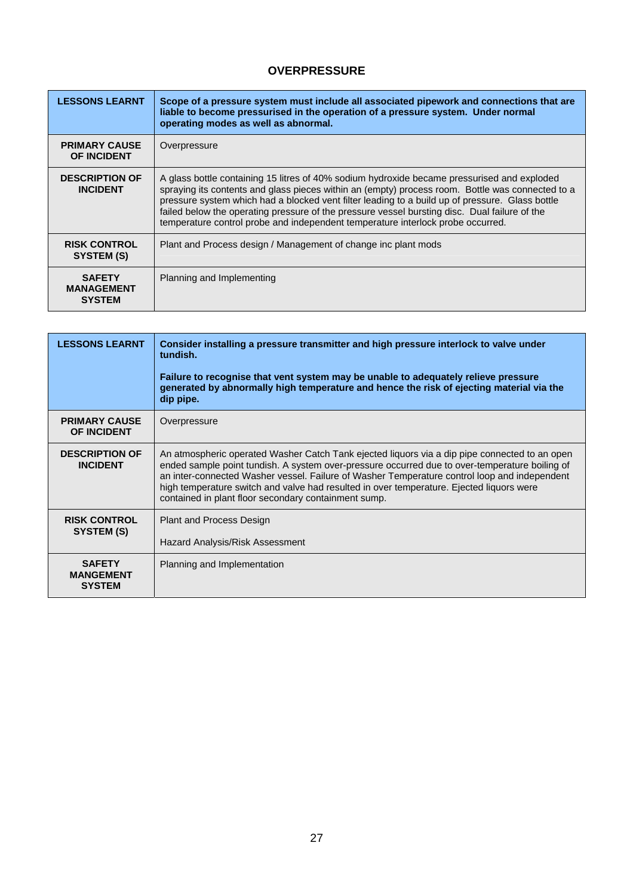#### **OVERPRESSURE**

<span id="page-27-0"></span>

| <b>LESSONS LEARNT</b>                               | Scope of a pressure system must include all associated pipework and connections that are<br>liable to become pressurised in the operation of a pressure system. Under normal<br>operating modes as well as abnormal.                                                                                                                                                                                                                                                                   |
|-----------------------------------------------------|----------------------------------------------------------------------------------------------------------------------------------------------------------------------------------------------------------------------------------------------------------------------------------------------------------------------------------------------------------------------------------------------------------------------------------------------------------------------------------------|
| <b>PRIMARY CAUSE</b><br><b>OF INCIDENT</b>          | Overpressure                                                                                                                                                                                                                                                                                                                                                                                                                                                                           |
| <b>DESCRIPTION OF</b><br><b>INCIDENT</b>            | A glass bottle containing 15 litres of 40% sodium hydroxide became pressurised and exploded<br>spraying its contents and glass pieces within an (empty) process room. Bottle was connected to a<br>pressure system which had a blocked vent filter leading to a build up of pressure. Glass bottle<br>failed below the operating pressure of the pressure vessel bursting disc. Dual failure of the<br>temperature control probe and independent temperature interlock probe occurred. |
| <b>RISK CONTROL</b><br>SYSTEM (S)                   | Plant and Process design / Management of change inc plant mods                                                                                                                                                                                                                                                                                                                                                                                                                         |
| <b>SAFETY</b><br><b>MANAGEMENT</b><br><b>SYSTEM</b> | Planning and Implementing                                                                                                                                                                                                                                                                                                                                                                                                                                                              |

| <b>LESSONS LEARNT</b>                              | Consider installing a pressure transmitter and high pressure interlock to valve under<br>tundish.<br>Failure to recognise that vent system may be unable to adequately relieve pressure<br>generated by abnormally high temperature and hence the risk of ejecting material via the<br>dip pipe.                                                                                                                                                    |
|----------------------------------------------------|-----------------------------------------------------------------------------------------------------------------------------------------------------------------------------------------------------------------------------------------------------------------------------------------------------------------------------------------------------------------------------------------------------------------------------------------------------|
| <b>PRIMARY CAUSE</b><br><b>OF INCIDENT</b>         | Overpressure                                                                                                                                                                                                                                                                                                                                                                                                                                        |
| <b>DESCRIPTION OF</b><br><b>INCIDENT</b>           | An atmospheric operated Washer Catch Tank ejected liquors via a dip pipe connected to an open<br>ended sample point tundish. A system over-pressure occurred due to over-temperature boiling of<br>an inter-connected Washer vessel. Failure of Washer Temperature control loop and independent<br>high temperature switch and valve had resulted in over temperature. Ejected liquors were<br>contained in plant floor secondary containment sump. |
| <b>RISK CONTROL</b><br>SYSTEM (S)                  | <b>Plant and Process Design</b><br>Hazard Analysis/Risk Assessment                                                                                                                                                                                                                                                                                                                                                                                  |
| <b>SAFETY</b><br><b>MANGEMENT</b><br><b>SYSTEM</b> | Planning and Implementation                                                                                                                                                                                                                                                                                                                                                                                                                         |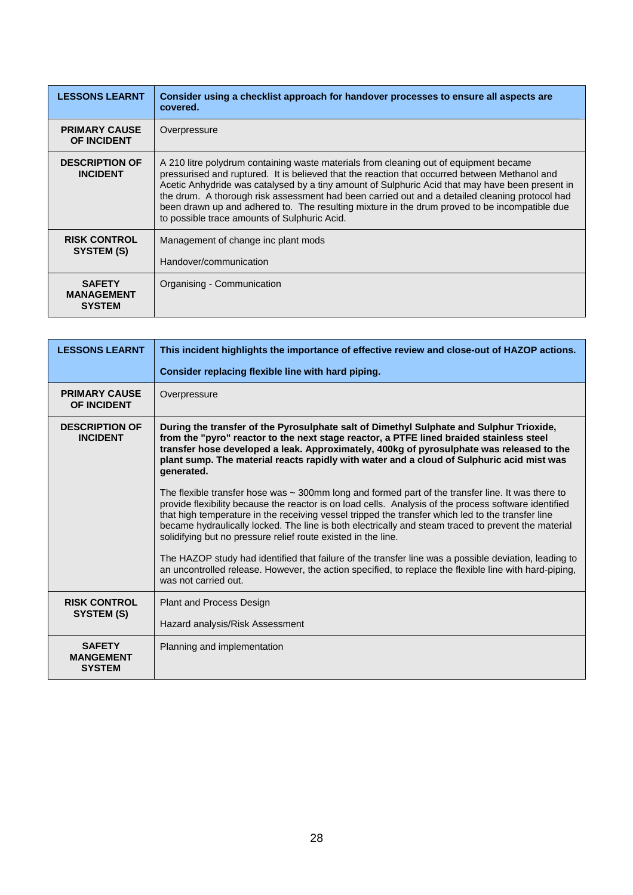| <b>LESSONS LEARNT</b>                               | Consider using a checklist approach for handover processes to ensure all aspects are<br>covered.                                                                                                                                                                                                                                                                                                                                                                                                                                             |
|-----------------------------------------------------|----------------------------------------------------------------------------------------------------------------------------------------------------------------------------------------------------------------------------------------------------------------------------------------------------------------------------------------------------------------------------------------------------------------------------------------------------------------------------------------------------------------------------------------------|
| <b>PRIMARY CAUSE</b><br><b>OF INCIDENT</b>          | Overpressure                                                                                                                                                                                                                                                                                                                                                                                                                                                                                                                                 |
| <b>DESCRIPTION OF</b><br><b>INCIDENT</b>            | A 210 litre polydrum containing waste materials from cleaning out of equipment became<br>pressurised and ruptured. It is believed that the reaction that occurred between Methanol and<br>Acetic Anhydride was catalysed by a tiny amount of Sulphuric Acid that may have been present in<br>the drum. A thorough risk assessment had been carried out and a detailed cleaning protocol had<br>been drawn up and adhered to. The resulting mixture in the drum proved to be incompatible due<br>to possible trace amounts of Sulphuric Acid. |
| <b>RISK CONTROL</b><br>SYSTEM (S)                   | Management of change inc plant mods<br>Handover/communication                                                                                                                                                                                                                                                                                                                                                                                                                                                                                |
| <b>SAFETY</b><br><b>MANAGEMENT</b><br><b>SYSTEM</b> | Organising - Communication                                                                                                                                                                                                                                                                                                                                                                                                                                                                                                                   |

| <b>LESSONS LEARNT</b>                              | This incident highlights the importance of effective review and close-out of HAZOP actions.                                                                                                                                                                                                                                                                                                                                                                                                  |
|----------------------------------------------------|----------------------------------------------------------------------------------------------------------------------------------------------------------------------------------------------------------------------------------------------------------------------------------------------------------------------------------------------------------------------------------------------------------------------------------------------------------------------------------------------|
|                                                    | Consider replacing flexible line with hard piping.                                                                                                                                                                                                                                                                                                                                                                                                                                           |
| <b>PRIMARY CAUSE</b><br><b>OF INCIDENT</b>         | Overpressure                                                                                                                                                                                                                                                                                                                                                                                                                                                                                 |
| <b>DESCRIPTION OF</b><br><b>INCIDENT</b>           | During the transfer of the Pyrosulphate salt of Dimethyl Sulphate and Sulphur Trioxide,<br>from the "pyro" reactor to the next stage reactor, a PTFE lined braided stainless steel<br>transfer hose developed a leak. Approximately, 400kg of pyrosulphate was released to the<br>plant sump. The material reacts rapidly with water and a cloud of Sulphuric acid mist was<br>generated.                                                                                                    |
|                                                    | The flexible transfer hose was $\sim$ 300mm long and formed part of the transfer line. It was there to<br>provide flexibility because the reactor is on load cells. Analysis of the process software identified<br>that high temperature in the receiving vessel tripped the transfer which led to the transfer line<br>became hydraulically locked. The line is both electrically and steam traced to prevent the material<br>solidifying but no pressure relief route existed in the line. |
|                                                    | The HAZOP study had identified that failure of the transfer line was a possible deviation, leading to<br>an uncontrolled release. However, the action specified, to replace the flexible line with hard-piping,<br>was not carried out.                                                                                                                                                                                                                                                      |
| <b>RISK CONTROL</b><br>SYSTEM (S)                  | <b>Plant and Process Design</b>                                                                                                                                                                                                                                                                                                                                                                                                                                                              |
|                                                    | Hazard analysis/Risk Assessment                                                                                                                                                                                                                                                                                                                                                                                                                                                              |
| <b>SAFETY</b><br><b>MANGEMENT</b><br><b>SYSTEM</b> | Planning and implementation                                                                                                                                                                                                                                                                                                                                                                                                                                                                  |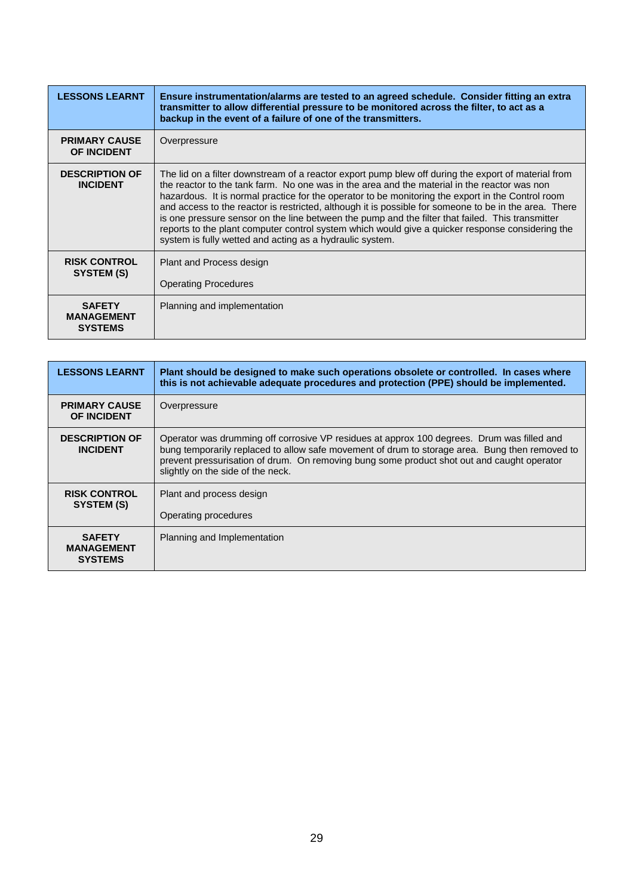| <b>LESSONS LEARNT</b>                                | Ensure instrumentation/alarms are tested to an agreed schedule. Consider fitting an extra<br>transmitter to allow differential pressure to be monitored across the filter, to act as a<br>backup in the event of a failure of one of the transmitters.                                                                                                                                                                                                                                                                                                                                                                                                                                |
|------------------------------------------------------|---------------------------------------------------------------------------------------------------------------------------------------------------------------------------------------------------------------------------------------------------------------------------------------------------------------------------------------------------------------------------------------------------------------------------------------------------------------------------------------------------------------------------------------------------------------------------------------------------------------------------------------------------------------------------------------|
| <b>PRIMARY CAUSE</b><br>OF INCIDENT                  | Overpressure                                                                                                                                                                                                                                                                                                                                                                                                                                                                                                                                                                                                                                                                          |
| <b>DESCRIPTION OF</b><br><b>INCIDENT</b>             | The lid on a filter downstream of a reactor export pump blew off during the export of material from<br>the reactor to the tank farm. No one was in the area and the material in the reactor was non<br>hazardous. It is normal practice for the operator to be monitoring the export in the Control room<br>and access to the reactor is restricted, although it is possible for someone to be in the area. There<br>is one pressure sensor on the line between the pump and the filter that failed. This transmitter<br>reports to the plant computer control system which would give a quicker response considering the<br>system is fully wetted and acting as a hydraulic system. |
| <b>RISK CONTROL</b><br>SYSTEM (S)                    | Plant and Process design<br><b>Operating Procedures</b>                                                                                                                                                                                                                                                                                                                                                                                                                                                                                                                                                                                                                               |
| <b>SAFETY</b><br><b>MANAGEMENT</b><br><b>SYSTEMS</b> | Planning and implementation                                                                                                                                                                                                                                                                                                                                                                                                                                                                                                                                                                                                                                                           |

| <b>LESSONS LEARNT</b>                                | Plant should be designed to make such operations obsolete or controlled. In cases where<br>this is not achievable adequate procedures and protection (PPE) should be implemented.                                                                                                                                               |
|------------------------------------------------------|---------------------------------------------------------------------------------------------------------------------------------------------------------------------------------------------------------------------------------------------------------------------------------------------------------------------------------|
| <b>PRIMARY CAUSE</b><br><b>OF INCIDENT</b>           | Overpressure                                                                                                                                                                                                                                                                                                                    |
| <b>DESCRIPTION OF</b><br><b>INCIDENT</b>             | Operator was drumming off corrosive VP residues at approx 100 degrees. Drum was filled and<br>bung temporarily replaced to allow safe movement of drum to storage area. Bung then removed to<br>prevent pressurisation of drum. On removing bung some product shot out and caught operator<br>slightly on the side of the neck. |
| <b>RISK CONTROL</b><br>SYSTEM (S)                    | Plant and process design<br>Operating procedures                                                                                                                                                                                                                                                                                |
| <b>SAFETY</b><br><b>MANAGEMENT</b><br><b>SYSTEMS</b> | Planning and Implementation                                                                                                                                                                                                                                                                                                     |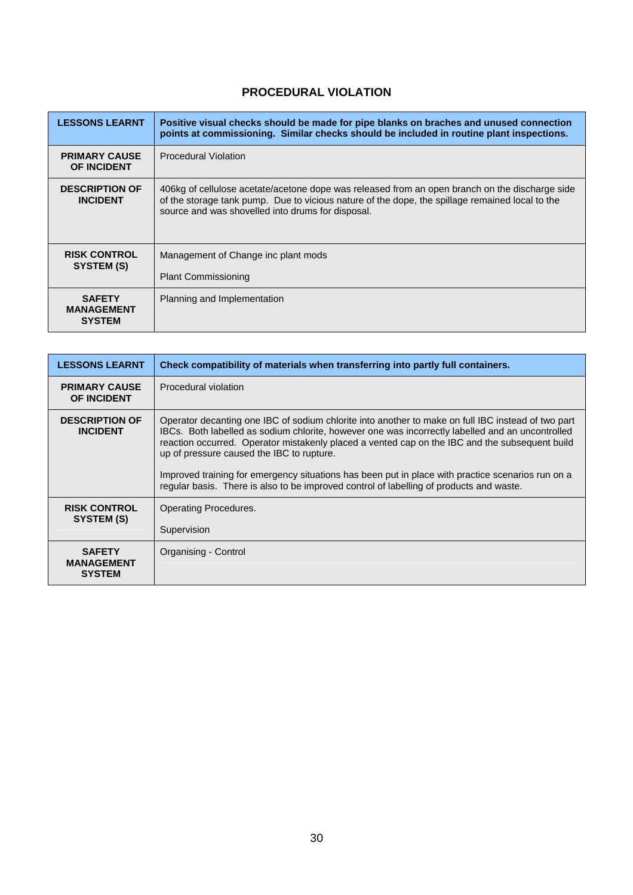## **PROCEDURAL VIOLATION**

<span id="page-30-0"></span>

| <b>LESSONS LEARNT</b>                               | Positive visual checks should be made for pipe blanks on braches and unused connection<br>points at commissioning. Similar checks should be included in routine plant inspections.                                                                     |
|-----------------------------------------------------|--------------------------------------------------------------------------------------------------------------------------------------------------------------------------------------------------------------------------------------------------------|
| <b>PRIMARY CAUSE</b><br><b>OF INCIDENT</b>          | <b>Procedural Violation</b>                                                                                                                                                                                                                            |
| <b>DESCRIPTION OF</b><br><b>INCIDENT</b>            | 406kg of cellulose acetate/acetone dope was released from an open branch on the discharge side<br>of the storage tank pump. Due to vicious nature of the dope, the spillage remained local to the<br>source and was shovelled into drums for disposal. |
| <b>RISK CONTROL</b><br>SYSTEM (S)                   | Management of Change inc plant mods<br><b>Plant Commissioning</b>                                                                                                                                                                                      |
| <b>SAFETY</b><br><b>MANAGEMENT</b><br><b>SYSTEM</b> | Planning and Implementation                                                                                                                                                                                                                            |

| <b>LESSONS LEARNT</b>                      | Check compatibility of materials when transferring into partly full containers.                                                                                                                                                                                                                                                                                                                                                                                                                                                                       |
|--------------------------------------------|-------------------------------------------------------------------------------------------------------------------------------------------------------------------------------------------------------------------------------------------------------------------------------------------------------------------------------------------------------------------------------------------------------------------------------------------------------------------------------------------------------------------------------------------------------|
| <b>PRIMARY CAUSE</b><br><b>OF INCIDENT</b> | Procedural violation                                                                                                                                                                                                                                                                                                                                                                                                                                                                                                                                  |
| <b>DESCRIPTION OF</b><br><b>INCIDENT</b>   | Operator decanting one IBC of sodium chlorite into another to make on full IBC instead of two part<br>IBCs. Both labelled as sodium chlorite, however one was incorrectly labelled and an uncontrolled<br>reaction occurred. Operator mistakenly placed a vented cap on the IBC and the subsequent build<br>up of pressure caused the IBC to rupture.<br>Improved training for emergency situations has been put in place with practice scenarios run on a<br>regular basis. There is also to be improved control of labelling of products and waste. |
| <b>RISK CONTROL</b><br>SYSTEM (S)          | Operating Procedures.<br>Supervision                                                                                                                                                                                                                                                                                                                                                                                                                                                                                                                  |
| <b>SAFETY</b>                              | Organising - Control                                                                                                                                                                                                                                                                                                                                                                                                                                                                                                                                  |
| <b>MANAGEMENT</b><br><b>SYSTEM</b>         |                                                                                                                                                                                                                                                                                                                                                                                                                                                                                                                                                       |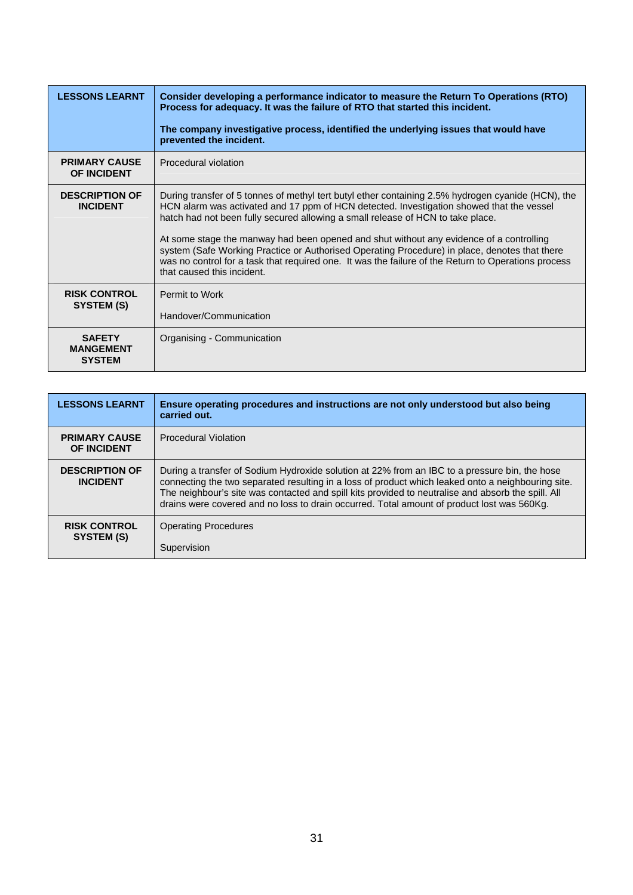| <b>LESSONS LEARNT</b>                              | Consider developing a performance indicator to measure the Return To Operations (RTO)<br>Process for adequacy. It was the failure of RTO that started this incident.                                                                                                                                                          |
|----------------------------------------------------|-------------------------------------------------------------------------------------------------------------------------------------------------------------------------------------------------------------------------------------------------------------------------------------------------------------------------------|
|                                                    | The company investigative process, identified the underlying issues that would have<br>prevented the incident.                                                                                                                                                                                                                |
| <b>PRIMARY CAUSE</b><br><b>OF INCIDENT</b>         | Procedural violation                                                                                                                                                                                                                                                                                                          |
| <b>DESCRIPTION OF</b><br><b>INCIDENT</b>           | During transfer of 5 tonnes of methyl tert butyl ether containing 2.5% hydrogen cyanide (HCN), the<br>HCN alarm was activated and 17 ppm of HCN detected. Investigation showed that the vessel<br>hatch had not been fully secured allowing a small release of HCN to take place.                                             |
|                                                    | At some stage the manway had been opened and shut without any evidence of a controlling<br>system (Safe Working Practice or Authorised Operating Procedure) in place, denotes that there<br>was no control for a task that required one. It was the failure of the Return to Operations process<br>that caused this incident. |
| <b>RISK CONTROL</b><br>SYSTEM (S)                  | Permit to Work<br>Handover/Communication                                                                                                                                                                                                                                                                                      |
| <b>SAFETY</b><br><b>MANGEMENT</b><br><b>SYSTEM</b> | Organising - Communication                                                                                                                                                                                                                                                                                                    |

| <b>LESSONS LEARNT</b>                      | Ensure operating procedures and instructions are not only understood but also being<br>carried out.                                                                                                                                                                                                                                                                                                     |
|--------------------------------------------|---------------------------------------------------------------------------------------------------------------------------------------------------------------------------------------------------------------------------------------------------------------------------------------------------------------------------------------------------------------------------------------------------------|
| <b>PRIMARY CAUSE</b><br><b>OF INCIDENT</b> | <b>Procedural Violation</b>                                                                                                                                                                                                                                                                                                                                                                             |
| <b>DESCRIPTION OF</b><br><b>INCIDENT</b>   | During a transfer of Sodium Hydroxide solution at 22% from an IBC to a pressure bin, the hose<br>connecting the two separated resulting in a loss of product which leaked onto a neighbouring site.<br>The neighbour's site was contacted and spill kits provided to neutralise and absorb the spill. All<br>drains were covered and no loss to drain occurred. Total amount of product lost was 560Kg. |
| <b>RISK CONTROL</b><br>SYSTEM (S)          | <b>Operating Procedures</b><br>Supervision                                                                                                                                                                                                                                                                                                                                                              |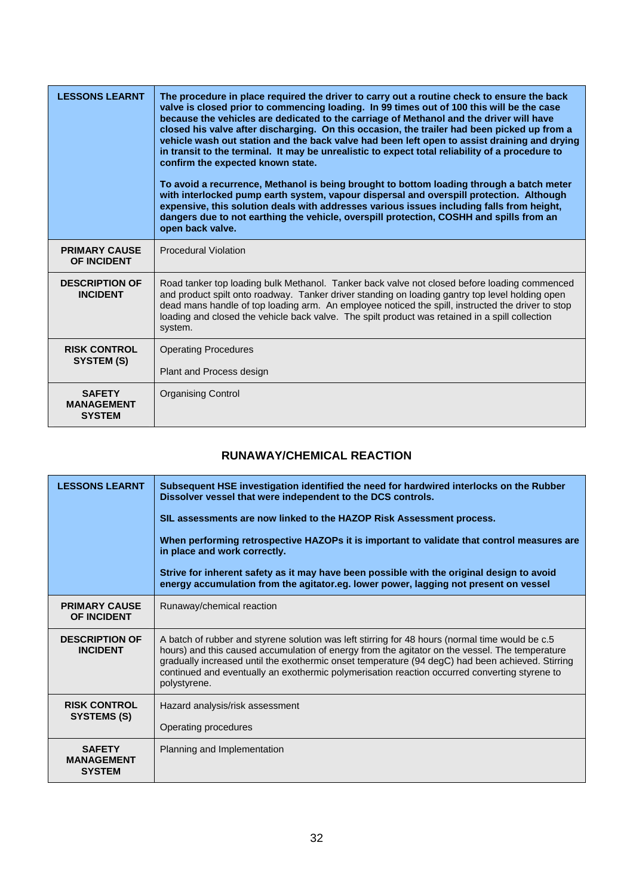<span id="page-32-0"></span>

| <b>LESSONS LEARNT</b>                               | The procedure in place required the driver to carry out a routine check to ensure the back<br>valve is closed prior to commencing loading. In 99 times out of 100 this will be the case<br>because the vehicles are dedicated to the carriage of Methanol and the driver will have<br>closed his valve after discharging. On this occasion, the trailer had been picked up from a<br>vehicle wash out station and the back valve had been left open to assist draining and drying<br>in transit to the terminal. It may be unrealistic to expect total reliability of a procedure to<br>confirm the expected known state.<br>To avoid a recurrence, Methanol is being brought to bottom loading through a batch meter<br>with interlocked pump earth system, vapour dispersal and overspill protection. Although<br>expensive, this solution deals with addresses various issues including falls from height,<br>dangers due to not earthing the vehicle, overspill protection, COSHH and spills from an<br>open back valve. |
|-----------------------------------------------------|------------------------------------------------------------------------------------------------------------------------------------------------------------------------------------------------------------------------------------------------------------------------------------------------------------------------------------------------------------------------------------------------------------------------------------------------------------------------------------------------------------------------------------------------------------------------------------------------------------------------------------------------------------------------------------------------------------------------------------------------------------------------------------------------------------------------------------------------------------------------------------------------------------------------------------------------------------------------------------------------------------------------------|
| <b>PRIMARY CAUSE</b><br><b>OF INCIDENT</b>          | <b>Procedural Violation</b>                                                                                                                                                                                                                                                                                                                                                                                                                                                                                                                                                                                                                                                                                                                                                                                                                                                                                                                                                                                                  |
| <b>DESCRIPTION OF</b><br><b>INCIDENT</b>            | Road tanker top loading bulk Methanol. Tanker back valve not closed before loading commenced<br>and product spilt onto roadway. Tanker driver standing on loading gantry top level holding open<br>dead mans handle of top loading arm. An employee noticed the spill, instructed the driver to stop<br>loading and closed the vehicle back valve. The spilt product was retained in a spill collection<br>system.                                                                                                                                                                                                                                                                                                                                                                                                                                                                                                                                                                                                           |
| <b>RISK CONTROL</b><br>SYSTEM (S)                   | <b>Operating Procedures</b><br>Plant and Process design                                                                                                                                                                                                                                                                                                                                                                                                                                                                                                                                                                                                                                                                                                                                                                                                                                                                                                                                                                      |
| <b>SAFETY</b><br><b>MANAGEMENT</b><br><b>SYSTEM</b> | <b>Organising Control</b>                                                                                                                                                                                                                                                                                                                                                                                                                                                                                                                                                                                                                                                                                                                                                                                                                                                                                                                                                                                                    |

#### **RUNAWAY/CHEMICAL REACTION**

| <b>LESSONS LEARNT</b>                               | Subsequent HSE investigation identified the need for hardwired interlocks on the Rubber<br>Dissolver vessel that were independent to the DCS controls.<br>SIL assessments are now linked to the HAZOP Risk Assessment process.<br>When performing retrospective HAZOPs it is important to validate that control measures are<br>in place and work correctly.<br>Strive for inherent safety as it may have been possible with the original design to avoid<br>energy accumulation from the agitator.eg. lower power, lagging not present on vessel |
|-----------------------------------------------------|---------------------------------------------------------------------------------------------------------------------------------------------------------------------------------------------------------------------------------------------------------------------------------------------------------------------------------------------------------------------------------------------------------------------------------------------------------------------------------------------------------------------------------------------------|
| <b>PRIMARY CAUSE</b><br><b>OF INCIDENT</b>          | Runaway/chemical reaction                                                                                                                                                                                                                                                                                                                                                                                                                                                                                                                         |
| <b>DESCRIPTION OF</b><br><b>INCIDENT</b>            | A batch of rubber and styrene solution was left stirring for 48 hours (normal time would be c.5<br>hours) and this caused accumulation of energy from the agitator on the vessel. The temperature<br>gradually increased until the exothermic onset temperature (94 degC) had been achieved. Stirring<br>continued and eventually an exothermic polymerisation reaction occurred converting styrene to<br>polystyrene.                                                                                                                            |
| <b>RISK CONTROL</b><br>SYSTEMS (S)                  | Hazard analysis/risk assessment<br>Operating procedures                                                                                                                                                                                                                                                                                                                                                                                                                                                                                           |
| <b>SAFETY</b><br><b>MANAGEMENT</b><br><b>SYSTEM</b> | Planning and Implementation                                                                                                                                                                                                                                                                                                                                                                                                                                                                                                                       |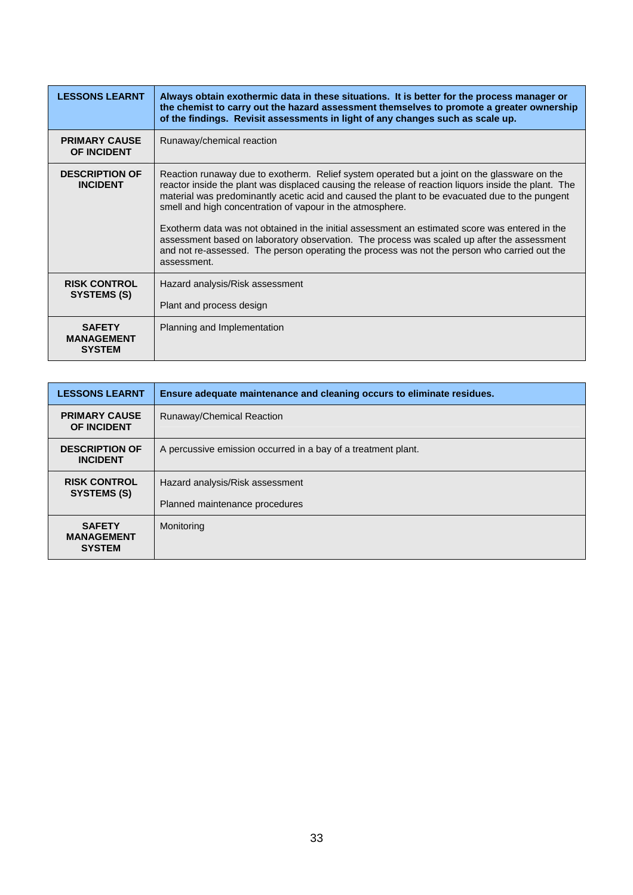| <b>LESSONS LEARNT</b>                               | Always obtain exothermic data in these situations. It is better for the process manager or<br>the chemist to carry out the hazard assessment themselves to promote a greater ownership<br>of the findings. Revisit assessments in light of any changes such as scale up.                                                                                                                                                                                                                                                                                                                                                                                                           |
|-----------------------------------------------------|------------------------------------------------------------------------------------------------------------------------------------------------------------------------------------------------------------------------------------------------------------------------------------------------------------------------------------------------------------------------------------------------------------------------------------------------------------------------------------------------------------------------------------------------------------------------------------------------------------------------------------------------------------------------------------|
| <b>PRIMARY CAUSE</b><br>OF INCIDENT                 | Runaway/chemical reaction                                                                                                                                                                                                                                                                                                                                                                                                                                                                                                                                                                                                                                                          |
| <b>DESCRIPTION OF</b><br><b>INCIDENT</b>            | Reaction runaway due to exotherm. Relief system operated but a joint on the glassware on the<br>reactor inside the plant was displaced causing the release of reaction liquors inside the plant. The<br>material was predominantly acetic acid and caused the plant to be evacuated due to the pungent<br>smell and high concentration of vapour in the atmosphere.<br>Exotherm data was not obtained in the initial assessment an estimated score was entered in the<br>assessment based on laboratory observation. The process was scaled up after the assessment<br>and not re-assessed. The person operating the process was not the person who carried out the<br>assessment. |
| <b>RISK CONTROL</b><br>SYSTEMS (S)                  | Hazard analysis/Risk assessment<br>Plant and process design                                                                                                                                                                                                                                                                                                                                                                                                                                                                                                                                                                                                                        |
| <b>SAFETY</b><br><b>MANAGEMENT</b><br><b>SYSTEM</b> | Planning and Implementation                                                                                                                                                                                                                                                                                                                                                                                                                                                                                                                                                                                                                                                        |

| <b>LESSONS LEARNT</b>                               | Ensure adequate maintenance and cleaning occurs to eliminate residues. |
|-----------------------------------------------------|------------------------------------------------------------------------|
| <b>PRIMARY CAUSE</b><br><b>OF INCIDENT</b>          | Runaway/Chemical Reaction                                              |
| <b>DESCRIPTION OF</b><br><b>INCIDENT</b>            | A percussive emission occurred in a bay of a treatment plant.          |
| <b>RISK CONTROL</b><br>SYSTEMS (S)                  | Hazard analysis/Risk assessment                                        |
|                                                     | Planned maintenance procedures                                         |
| <b>SAFETY</b><br><b>MANAGEMENT</b><br><b>SYSTEM</b> | Monitoring                                                             |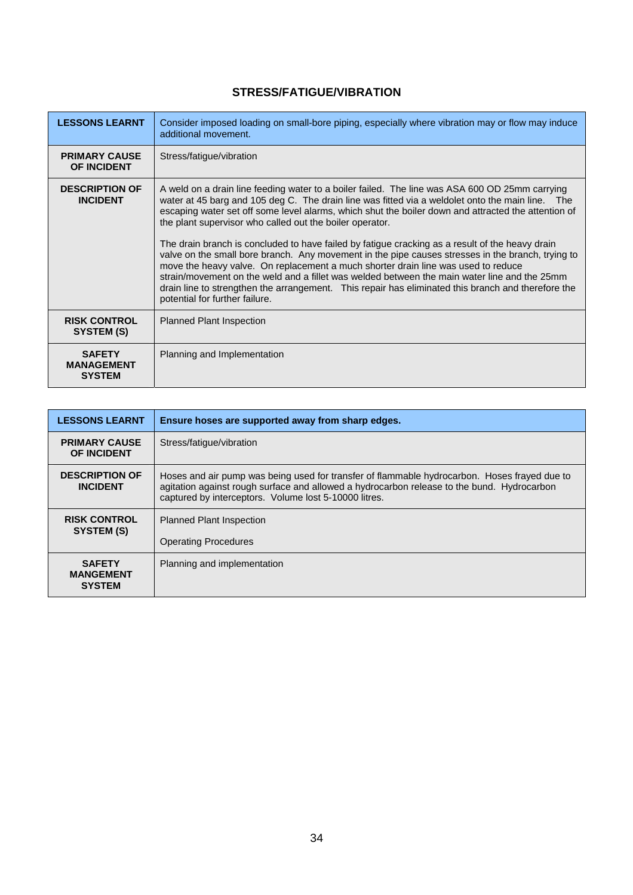## **STRESS/FATIGUE/VIBRATION**

<span id="page-34-0"></span>

| <b>LESSONS LEARNT</b>                               | Consider imposed loading on small-bore piping, especially where vibration may or flow may induce<br>additional movement.                                                                                                                                                                                                                                                                                                                                                                                                                                                                                                                                                                                                                                                                                                                                                                                   |
|-----------------------------------------------------|------------------------------------------------------------------------------------------------------------------------------------------------------------------------------------------------------------------------------------------------------------------------------------------------------------------------------------------------------------------------------------------------------------------------------------------------------------------------------------------------------------------------------------------------------------------------------------------------------------------------------------------------------------------------------------------------------------------------------------------------------------------------------------------------------------------------------------------------------------------------------------------------------------|
| <b>PRIMARY CAUSE</b><br><b>OF INCIDENT</b>          | Stress/fatigue/vibration                                                                                                                                                                                                                                                                                                                                                                                                                                                                                                                                                                                                                                                                                                                                                                                                                                                                                   |
| <b>DESCRIPTION OF</b><br><b>INCIDENT</b>            | A weld on a drain line feeding water to a boiler failed. The line was ASA 600 OD 25mm carrying<br>water at 45 barg and 105 deg C. The drain line was fitted via a weldolet onto the main line. The<br>escaping water set off some level alarms, which shut the boiler down and attracted the attention of<br>the plant supervisor who called out the boiler operator.<br>The drain branch is concluded to have failed by fatigue cracking as a result of the heavy drain<br>valve on the small bore branch. Any movement in the pipe causes stresses in the branch, trying to<br>move the heavy valve. On replacement a much shorter drain line was used to reduce<br>strain/movement on the weld and a fillet was welded between the main water line and the 25mm<br>drain line to strengthen the arrangement. This repair has eliminated this branch and therefore the<br>potential for further failure. |
| <b>RISK CONTROL</b><br>SYSTEM (S)                   | <b>Planned Plant Inspection</b>                                                                                                                                                                                                                                                                                                                                                                                                                                                                                                                                                                                                                                                                                                                                                                                                                                                                            |
| <b>SAFETY</b><br><b>MANAGEMENT</b><br><b>SYSTEM</b> | Planning and Implementation                                                                                                                                                                                                                                                                                                                                                                                                                                                                                                                                                                                                                                                                                                                                                                                                                                                                                |

| <b>LESSONS LEARNT</b>                              | Ensure hoses are supported away from sharp edges.                                                                                                                                                                                                   |
|----------------------------------------------------|-----------------------------------------------------------------------------------------------------------------------------------------------------------------------------------------------------------------------------------------------------|
| <b>PRIMARY CAUSE</b><br><b>OF INCIDENT</b>         | Stress/fatique/vibration                                                                                                                                                                                                                            |
| <b>DESCRIPTION OF</b><br><b>INCIDENT</b>           | Hoses and air pump was being used for transfer of flammable hydrocarbon. Hoses frayed due to<br>agitation against rough surface and allowed a hydrocarbon release to the bund. Hydrocarbon<br>captured by interceptors. Volume lost 5-10000 litres. |
| <b>RISK CONTROL</b><br>SYSTEM (S)                  | <b>Planned Plant Inspection</b>                                                                                                                                                                                                                     |
|                                                    | <b>Operating Procedures</b>                                                                                                                                                                                                                         |
| <b>SAFETY</b><br><b>MANGEMENT</b><br><b>SYSTEM</b> | Planning and implementation                                                                                                                                                                                                                         |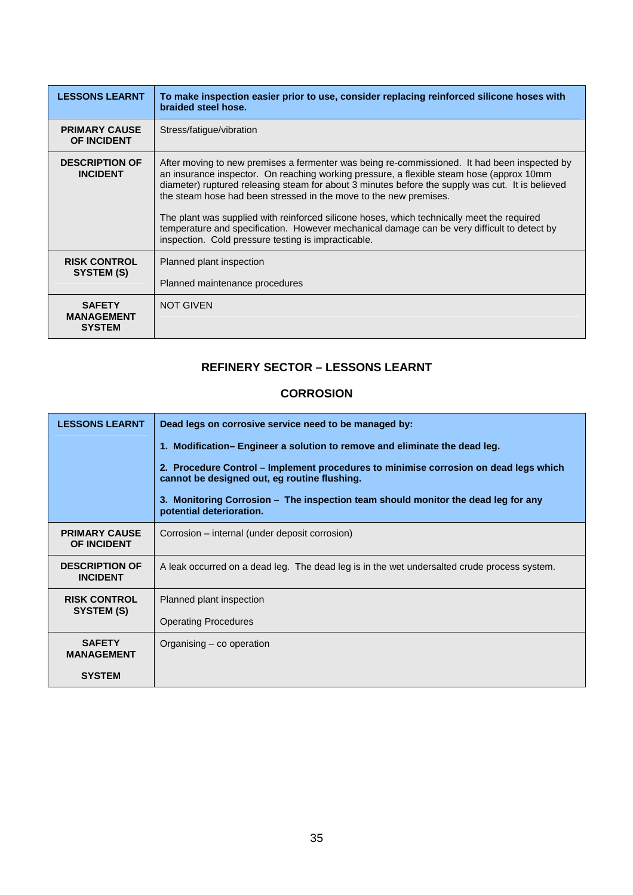<span id="page-35-0"></span>

| <b>LESSONS LEARNT</b>                               | To make inspection easier prior to use, consider replacing reinforced silicone hoses with<br>braided steel hose.                                                                                                                                                                                                                                                                                                                                                                                                                                                                                                      |
|-----------------------------------------------------|-----------------------------------------------------------------------------------------------------------------------------------------------------------------------------------------------------------------------------------------------------------------------------------------------------------------------------------------------------------------------------------------------------------------------------------------------------------------------------------------------------------------------------------------------------------------------------------------------------------------------|
| <b>PRIMARY CAUSE</b><br><b>OF INCIDENT</b>          | Stress/fatigue/vibration                                                                                                                                                                                                                                                                                                                                                                                                                                                                                                                                                                                              |
| <b>DESCRIPTION OF</b><br><b>INCIDENT</b>            | After moving to new premises a fermenter was being re-commissioned. It had been inspected by<br>an insurance inspector. On reaching working pressure, a flexible steam hose (approx 10mm<br>diameter) ruptured releasing steam for about 3 minutes before the supply was cut. It is believed<br>the steam hose had been stressed in the move to the new premises.<br>The plant was supplied with reinforced silicone hoses, which technically meet the required<br>temperature and specification. However mechanical damage can be very difficult to detect by<br>inspection. Cold pressure testing is impracticable. |
| <b>RISK CONTROL</b><br>SYSTEM (S)                   | Planned plant inspection<br>Planned maintenance procedures                                                                                                                                                                                                                                                                                                                                                                                                                                                                                                                                                            |
| <b>SAFETY</b><br><b>MANAGEMENT</b><br><b>SYSTEM</b> | <b>NOT GIVEN</b>                                                                                                                                                                                                                                                                                                                                                                                                                                                                                                                                                                                                      |

### **REFINERY SECTOR – LESSONS LEARNT**

#### **CORROSION**

| <b>LESSONS LEARNT</b>                      | Dead legs on corrosive service need to be managed by:<br>1. Modification– Engineer a solution to remove and eliminate the dead leg.<br>2. Procedure Control – Implement procedures to minimise corrosion on dead legs which<br>cannot be designed out, eg routine flushing.<br>3. Monitoring Corrosion – The inspection team should monitor the dead leg for any<br>potential deterioration. |
|--------------------------------------------|----------------------------------------------------------------------------------------------------------------------------------------------------------------------------------------------------------------------------------------------------------------------------------------------------------------------------------------------------------------------------------------------|
| <b>PRIMARY CAUSE</b><br><b>OF INCIDENT</b> | Corrosion – internal (under deposit corrosion)                                                                                                                                                                                                                                                                                                                                               |
| <b>DESCRIPTION OF</b><br><b>INCIDENT</b>   | A leak occurred on a dead leg. The dead leg is in the wet undersalted crude process system.                                                                                                                                                                                                                                                                                                  |
| <b>RISK CONTROL</b><br>SYSTEM (S)          | Planned plant inspection<br><b>Operating Procedures</b>                                                                                                                                                                                                                                                                                                                                      |
| <b>SAFETY</b><br><b>MANAGEMENT</b>         | Organising – co operation                                                                                                                                                                                                                                                                                                                                                                    |
| <b>SYSTEM</b>                              |                                                                                                                                                                                                                                                                                                                                                                                              |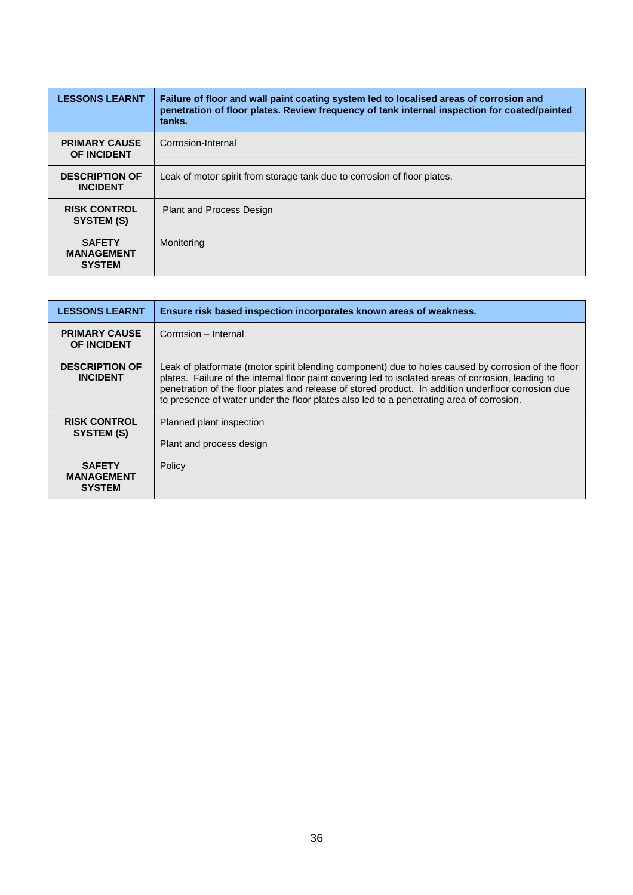| <b>LESSONS LEARNT</b>                               | Failure of floor and wall paint coating system led to localised areas of corrosion and<br>penetration of floor plates. Review frequency of tank internal inspection for coated/painted<br>tanks. |
|-----------------------------------------------------|--------------------------------------------------------------------------------------------------------------------------------------------------------------------------------------------------|
| <b>PRIMARY CAUSE</b><br><b>OF INCIDENT</b>          | Corrosion-Internal                                                                                                                                                                               |
| <b>DESCRIPTION OF</b><br><b>INCIDENT</b>            | Leak of motor spirit from storage tank due to corrosion of floor plates.                                                                                                                         |
| <b>RISK CONTROL</b><br>SYSTEM (S)                   | <b>Plant and Process Design</b>                                                                                                                                                                  |
| <b>SAFETY</b><br><b>MANAGEMENT</b><br><b>SYSTEM</b> | Monitoring                                                                                                                                                                                       |

| <b>LESSONS LEARNT</b>                               | Ensure risk based inspection incorporates known areas of weakness.                                                                                                                                                                                                                                                                                                                                            |
|-----------------------------------------------------|---------------------------------------------------------------------------------------------------------------------------------------------------------------------------------------------------------------------------------------------------------------------------------------------------------------------------------------------------------------------------------------------------------------|
| <b>PRIMARY CAUSE</b><br><b>OF INCIDENT</b>          | Corrosion - Internal                                                                                                                                                                                                                                                                                                                                                                                          |
| <b>DESCRIPTION OF</b><br><b>INCIDENT</b>            | Leak of platformate (motor spirit blending component) due to holes caused by corrosion of the floor<br>plates. Failure of the internal floor paint covering led to isolated areas of corrosion, leading to<br>penetration of the floor plates and release of stored product. In addition underfloor corrosion due<br>to presence of water under the floor plates also led to a penetrating area of corrosion. |
| <b>RISK CONTROL</b><br>SYSTEM (S)                   | Planned plant inspection<br>Plant and process design                                                                                                                                                                                                                                                                                                                                                          |
| <b>SAFETY</b><br><b>MANAGEMENT</b><br><b>SYSTEM</b> | Policy                                                                                                                                                                                                                                                                                                                                                                                                        |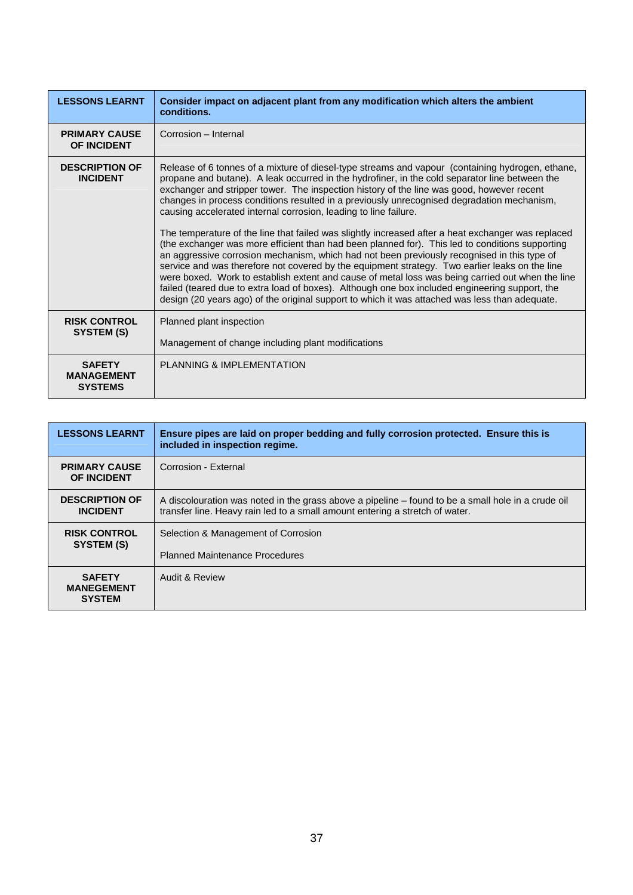| <b>LESSONS LEARNT</b>                                | Consider impact on adjacent plant from any modification which alters the ambient<br>conditions.                                                                                                                                                                                                                                                                                                                                                                                                                                                                                                                                                                                                                                                                                                                                                                                                                                                                                                                                                                                                                                                                                     |
|------------------------------------------------------|-------------------------------------------------------------------------------------------------------------------------------------------------------------------------------------------------------------------------------------------------------------------------------------------------------------------------------------------------------------------------------------------------------------------------------------------------------------------------------------------------------------------------------------------------------------------------------------------------------------------------------------------------------------------------------------------------------------------------------------------------------------------------------------------------------------------------------------------------------------------------------------------------------------------------------------------------------------------------------------------------------------------------------------------------------------------------------------------------------------------------------------------------------------------------------------|
| <b>PRIMARY CAUSE</b><br><b>OF INCIDENT</b>           | Corrosion - Internal                                                                                                                                                                                                                                                                                                                                                                                                                                                                                                                                                                                                                                                                                                                                                                                                                                                                                                                                                                                                                                                                                                                                                                |
| <b>DESCRIPTION OF</b><br><b>INCIDENT</b>             | Release of 6 tonnes of a mixture of diesel-type streams and vapour (containing hydrogen, ethane,<br>propane and butane). A leak occurred in the hydrofiner, in the cold separator line between the<br>exchanger and stripper tower. The inspection history of the line was good, however recent<br>changes in process conditions resulted in a previously unrecognised degradation mechanism,<br>causing accelerated internal corrosion, leading to line failure.<br>The temperature of the line that failed was slightly increased after a heat exchanger was replaced<br>(the exchanger was more efficient than had been planned for). This led to conditions supporting<br>an aggressive corrosion mechanism, which had not been previously recognised in this type of<br>service and was therefore not covered by the equipment strategy. Two earlier leaks on the line<br>were boxed. Work to establish extent and cause of metal loss was being carried out when the line<br>failed (teared due to extra load of boxes). Although one box included engineering support, the<br>design (20 years ago) of the original support to which it was attached was less than adequate. |
| <b>RISK CONTROL</b><br>SYSTEM (S)                    | Planned plant inspection<br>Management of change including plant modifications                                                                                                                                                                                                                                                                                                                                                                                                                                                                                                                                                                                                                                                                                                                                                                                                                                                                                                                                                                                                                                                                                                      |
| <b>SAFETY</b><br><b>MANAGEMENT</b><br><b>SYSTEMS</b> | PLANNING & IMPLEMENTATION                                                                                                                                                                                                                                                                                                                                                                                                                                                                                                                                                                                                                                                                                                                                                                                                                                                                                                                                                                                                                                                                                                                                                           |

| <b>LESSONS LEARNT</b>                               | Ensure pipes are laid on proper bedding and fully corrosion protected. Ensure this is<br>included in inspection regime.                                                            |
|-----------------------------------------------------|------------------------------------------------------------------------------------------------------------------------------------------------------------------------------------|
| <b>PRIMARY CAUSE</b><br><b>OF INCIDENT</b>          | Corrosion - External                                                                                                                                                               |
| <b>DESCRIPTION OF</b><br><b>INCIDENT</b>            | A discolouration was noted in the grass above a pipeline – found to be a small hole in a crude oil<br>transfer line. Heavy rain led to a small amount entering a stretch of water. |
| <b>RISK CONTROL</b><br>SYSTEM (S)                   | Selection & Management of Corrosion<br><b>Planned Maintenance Procedures</b>                                                                                                       |
| <b>SAFETY</b><br><b>MANEGEMENT</b><br><b>SYSTEM</b> | Audit & Review                                                                                                                                                                     |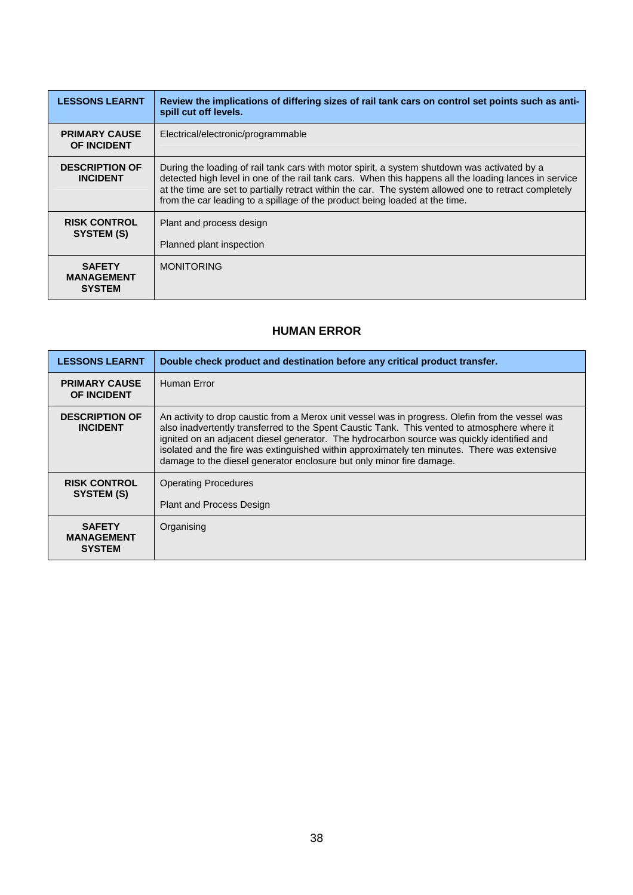<span id="page-38-0"></span>

| <b>LESSONS LEARNT</b>                               | Review the implications of differing sizes of rail tank cars on control set points such as anti-<br>spill cut off levels.                                                                                                                                                                                                                                                                     |
|-----------------------------------------------------|-----------------------------------------------------------------------------------------------------------------------------------------------------------------------------------------------------------------------------------------------------------------------------------------------------------------------------------------------------------------------------------------------|
| <b>PRIMARY CAUSE</b><br><b>OF INCIDENT</b>          | Electrical/electronic/programmable                                                                                                                                                                                                                                                                                                                                                            |
| <b>DESCRIPTION OF</b><br><b>INCIDENT</b>            | During the loading of rail tank cars with motor spirit, a system shutdown was activated by a<br>detected high level in one of the rail tank cars. When this happens all the loading lances in service<br>at the time are set to partially retract within the car. The system allowed one to retract completely<br>from the car leading to a spillage of the product being loaded at the time. |
| <b>RISK CONTROL</b><br>SYSTEM (S)                   | Plant and process design<br>Planned plant inspection                                                                                                                                                                                                                                                                                                                                          |
| <b>SAFETY</b><br><b>MANAGEMENT</b><br><b>SYSTEM</b> | <b>MONITORING</b>                                                                                                                                                                                                                                                                                                                                                                             |

#### **HUMAN ERROR**

| <b>LESSONS LEARNT</b>                               | Double check product and destination before any critical product transfer.                                                                                                                                                                                                                                                                                                                                                                                             |
|-----------------------------------------------------|------------------------------------------------------------------------------------------------------------------------------------------------------------------------------------------------------------------------------------------------------------------------------------------------------------------------------------------------------------------------------------------------------------------------------------------------------------------------|
| <b>PRIMARY CAUSE</b><br>OF INCIDENT                 | Human Error                                                                                                                                                                                                                                                                                                                                                                                                                                                            |
| <b>DESCRIPTION OF</b><br><b>INCIDENT</b>            | An activity to drop caustic from a Merox unit vessel was in progress. Olefin from the vessel was<br>also inadvertently transferred to the Spent Caustic Tank. This vented to atmosphere where it<br>ignited on an adjacent diesel generator. The hydrocarbon source was quickly identified and<br>isolated and the fire was extinguished within approximately ten minutes. There was extensive<br>damage to the diesel generator enclosure but only minor fire damage. |
| <b>RISK CONTROL</b><br>SYSTEM (S)                   | <b>Operating Procedures</b><br><b>Plant and Process Design</b>                                                                                                                                                                                                                                                                                                                                                                                                         |
| <b>SAFETY</b><br><b>MANAGEMENT</b><br><b>SYSTEM</b> | Organising                                                                                                                                                                                                                                                                                                                                                                                                                                                             |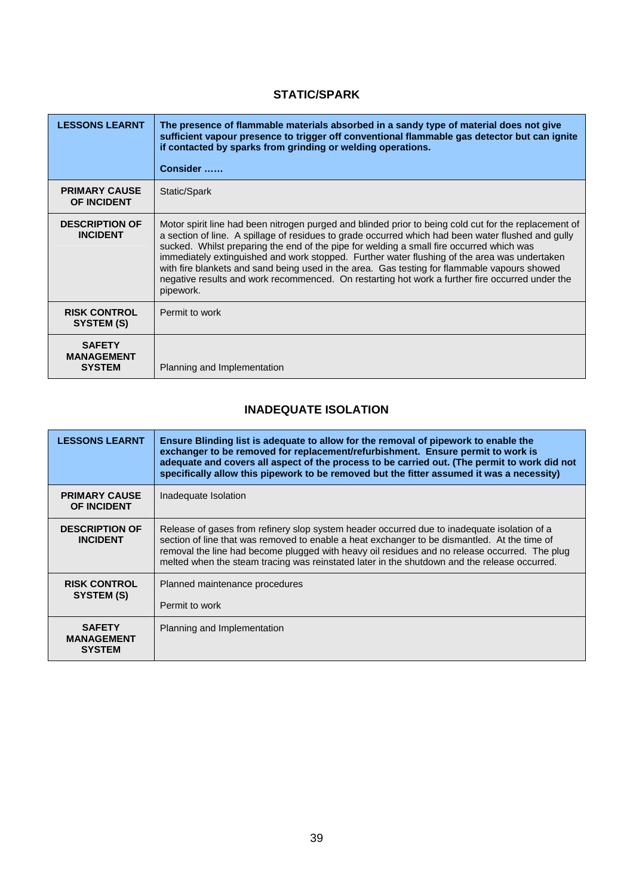#### **STATIC/SPARK**

<span id="page-39-0"></span>

| <b>LESSONS LEARNT</b>                               | The presence of flammable materials absorbed in a sandy type of material does not give<br>sufficient vapour presence to trigger off conventional flammable gas detector but can ignite<br>if contacted by sparks from grinding or welding operations.<br>Consider                                                                                                                                                                                                                                                                                                                                                       |
|-----------------------------------------------------|-------------------------------------------------------------------------------------------------------------------------------------------------------------------------------------------------------------------------------------------------------------------------------------------------------------------------------------------------------------------------------------------------------------------------------------------------------------------------------------------------------------------------------------------------------------------------------------------------------------------------|
| <b>PRIMARY CAUSE</b><br><b>OF INCIDENT</b>          | Static/Spark                                                                                                                                                                                                                                                                                                                                                                                                                                                                                                                                                                                                            |
| <b>DESCRIPTION OF</b><br><b>INCIDENT</b>            | Motor spirit line had been nitrogen purged and blinded prior to being cold cut for the replacement of<br>a section of line. A spillage of residues to grade occurred which had been water flushed and gully<br>sucked. Whilst preparing the end of the pipe for welding a small fire occurred which was<br>immediately extinguished and work stopped. Further water flushing of the area was undertaken<br>with fire blankets and sand being used in the area. Gas testing for flammable vapours showed<br>negative results and work recommenced. On restarting hot work a further fire occurred under the<br>pipework. |
| <b>RISK CONTROL</b><br>SYSTEM (S)                   | Permit to work                                                                                                                                                                                                                                                                                                                                                                                                                                                                                                                                                                                                          |
| <b>SAFETY</b><br><b>MANAGEMENT</b><br><b>SYSTEM</b> | Planning and Implementation                                                                                                                                                                                                                                                                                                                                                                                                                                                                                                                                                                                             |

#### **INADEQUATE ISOLATION**

| <b>LESSONS LEARNT</b>                               | Ensure Blinding list is adequate to allow for the removal of pipework to enable the<br>exchanger to be removed for replacement/refurbishment. Ensure permit to work is<br>adequate and covers all aspect of the process to be carried out. (The permit to work did not<br>specifically allow this pipework to be removed but the fitter assumed it was a necessity)                          |
|-----------------------------------------------------|----------------------------------------------------------------------------------------------------------------------------------------------------------------------------------------------------------------------------------------------------------------------------------------------------------------------------------------------------------------------------------------------|
| <b>PRIMARY CAUSE</b><br>OF INCIDENT                 | Inadequate Isolation                                                                                                                                                                                                                                                                                                                                                                         |
| <b>DESCRIPTION OF</b><br><b>INCIDENT</b>            | Release of gases from refinery slop system header occurred due to inadequate isolation of a<br>section of line that was removed to enable a heat exchanger to be dismantled. At the time of<br>removal the line had become plugged with heavy oil residues and no release occurred. The plug<br>melted when the steam tracing was reinstated later in the shutdown and the release occurred. |
| <b>RISK CONTROL</b><br>SYSTEM (S)                   | Planned maintenance procedures                                                                                                                                                                                                                                                                                                                                                               |
|                                                     | Permit to work                                                                                                                                                                                                                                                                                                                                                                               |
| <b>SAFETY</b><br><b>MANAGEMENT</b><br><b>SYSTEM</b> | Planning and Implementation                                                                                                                                                                                                                                                                                                                                                                  |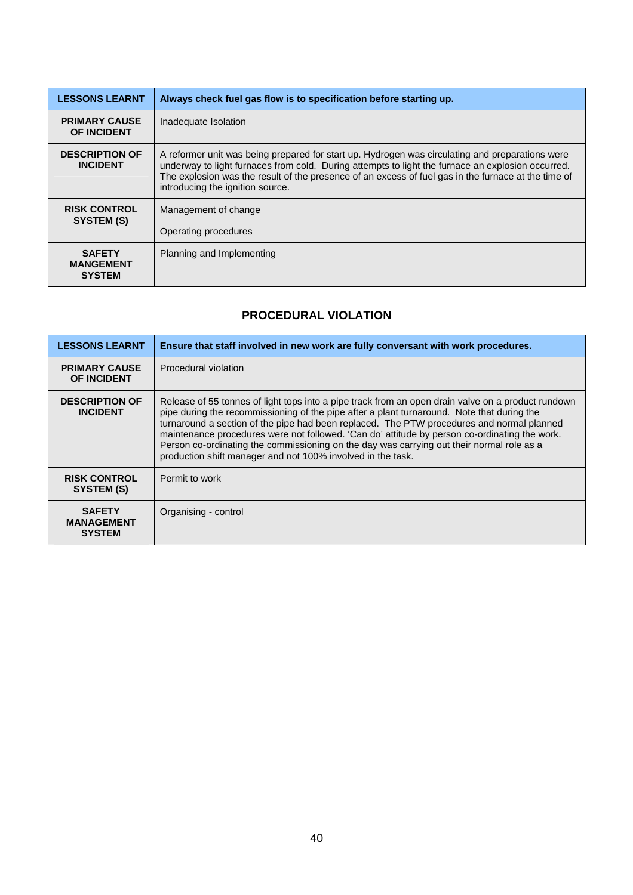<span id="page-40-0"></span>

| <b>LESSONS LEARNT</b>                              | Always check fuel gas flow is to specification before starting up.                                                                                                                                                                                                                                                                              |
|----------------------------------------------------|-------------------------------------------------------------------------------------------------------------------------------------------------------------------------------------------------------------------------------------------------------------------------------------------------------------------------------------------------|
| <b>PRIMARY CAUSE</b><br><b>OF INCIDENT</b>         | Inadequate Isolation                                                                                                                                                                                                                                                                                                                            |
| <b>DESCRIPTION OF</b><br><b>INCIDENT</b>           | A reformer unit was being prepared for start up. Hydrogen was circulating and preparations were<br>underway to light furnaces from cold. During attempts to light the furnace an explosion occurred.<br>The explosion was the result of the presence of an excess of fuel gas in the furnace at the time of<br>introducing the ignition source. |
| <b>RISK CONTROL</b><br>SYSTEM (S)                  | Management of change                                                                                                                                                                                                                                                                                                                            |
|                                                    | Operating procedures                                                                                                                                                                                                                                                                                                                            |
| <b>SAFETY</b><br><b>MANGEMENT</b><br><b>SYSTEM</b> | Planning and Implementing                                                                                                                                                                                                                                                                                                                       |

#### **PROCEDURAL VIOLATION**

| <b>LESSONS LEARNT</b>                               | Ensure that staff involved in new work are fully conversant with work procedures.                                                                                                                                                                                                                                                                                                                                                                                                                                                                          |
|-----------------------------------------------------|------------------------------------------------------------------------------------------------------------------------------------------------------------------------------------------------------------------------------------------------------------------------------------------------------------------------------------------------------------------------------------------------------------------------------------------------------------------------------------------------------------------------------------------------------------|
| <b>PRIMARY CAUSE</b><br><b>OF INCIDENT</b>          | Procedural violation                                                                                                                                                                                                                                                                                                                                                                                                                                                                                                                                       |
| <b>DESCRIPTION OF</b><br><b>INCIDENT</b>            | Release of 55 tonnes of light tops into a pipe track from an open drain valve on a product rundown<br>pipe during the recommissioning of the pipe after a plant turnaround. Note that during the<br>turnaround a section of the pipe had been replaced. The PTW procedures and normal planned<br>maintenance procedures were not followed. 'Can do' attitude by person co-ordinating the work.<br>Person co-ordinating the commissioning on the day was carrying out their normal role as a<br>production shift manager and not 100% involved in the task. |
| <b>RISK CONTROL</b><br>SYSTEM (S)                   | Permit to work                                                                                                                                                                                                                                                                                                                                                                                                                                                                                                                                             |
| <b>SAFETY</b><br><b>MANAGEMENT</b><br><b>SYSTEM</b> | Organising - control                                                                                                                                                                                                                                                                                                                                                                                                                                                                                                                                       |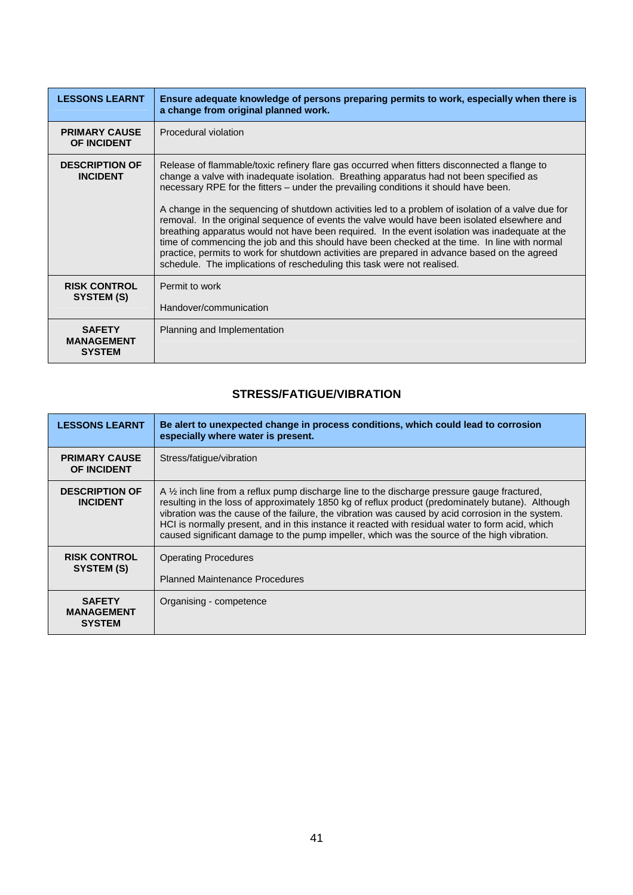<span id="page-41-0"></span>

| <b>LESSONS LEARNT</b>                               | Ensure adequate knowledge of persons preparing permits to work, especially when there is<br>a change from original planned work.                                                                                                                                                                                                                                                                                                                                                                                                                                                                                                                                                                                                                                                                                                                                     |
|-----------------------------------------------------|----------------------------------------------------------------------------------------------------------------------------------------------------------------------------------------------------------------------------------------------------------------------------------------------------------------------------------------------------------------------------------------------------------------------------------------------------------------------------------------------------------------------------------------------------------------------------------------------------------------------------------------------------------------------------------------------------------------------------------------------------------------------------------------------------------------------------------------------------------------------|
| <b>PRIMARY CAUSE</b><br><b>OF INCIDENT</b>          | Procedural violation                                                                                                                                                                                                                                                                                                                                                                                                                                                                                                                                                                                                                                                                                                                                                                                                                                                 |
| <b>DESCRIPTION OF</b><br><b>INCIDENT</b>            | Release of flammable/toxic refinery flare gas occurred when fitters disconnected a flange to<br>change a valve with inadequate isolation. Breathing apparatus had not been specified as<br>necessary RPE for the fitters - under the prevailing conditions it should have been.<br>A change in the sequencing of shutdown activities led to a problem of isolation of a valve due for<br>removal. In the original sequence of events the valve would have been isolated elsewhere and<br>breathing apparatus would not have been required. In the event isolation was inadequate at the<br>time of commencing the job and this should have been checked at the time. In line with normal<br>practice, permits to work for shutdown activities are prepared in advance based on the agreed<br>schedule. The implications of rescheduling this task were not realised. |
| <b>RISK CONTROL</b><br>SYSTEM (S)                   | Permit to work<br>Handover/communication                                                                                                                                                                                                                                                                                                                                                                                                                                                                                                                                                                                                                                                                                                                                                                                                                             |
| <b>SAFETY</b><br><b>MANAGEMENT</b><br><b>SYSTEM</b> | Planning and Implementation                                                                                                                                                                                                                                                                                                                                                                                                                                                                                                                                                                                                                                                                                                                                                                                                                                          |

## **STRESS/FATIGUE/VIBRATION**

| <b>LESSONS LEARNT</b>                               | Be alert to unexpected change in process conditions, which could lead to corrosion<br>especially where water is present.                                                                                                                                                                                                                                                                                                                                                                                            |
|-----------------------------------------------------|---------------------------------------------------------------------------------------------------------------------------------------------------------------------------------------------------------------------------------------------------------------------------------------------------------------------------------------------------------------------------------------------------------------------------------------------------------------------------------------------------------------------|
| <b>PRIMARY CAUSE</b><br><b>OF INCIDENT</b>          | Stress/fatique/vibration                                                                                                                                                                                                                                                                                                                                                                                                                                                                                            |
| <b>DESCRIPTION OF</b><br><b>INCIDENT</b>            | A $\frac{1}{2}$ inch line from a reflux pump discharge line to the discharge pressure gauge fractured.<br>resulting in the loss of approximately 1850 kg of reflux product (predominately butane). Although<br>vibration was the cause of the failure, the vibration was caused by acid corrosion in the system.<br>HCI is normally present, and in this instance it reacted with residual water to form acid, which<br>caused significant damage to the pump impeller, which was the source of the high vibration. |
| <b>RISK CONTROL</b><br>SYSTEM (S)                   | <b>Operating Procedures</b><br><b>Planned Maintenance Procedures</b>                                                                                                                                                                                                                                                                                                                                                                                                                                                |
| <b>SAFETY</b><br><b>MANAGEMENT</b><br><b>SYSTEM</b> | Organising - competence                                                                                                                                                                                                                                                                                                                                                                                                                                                                                             |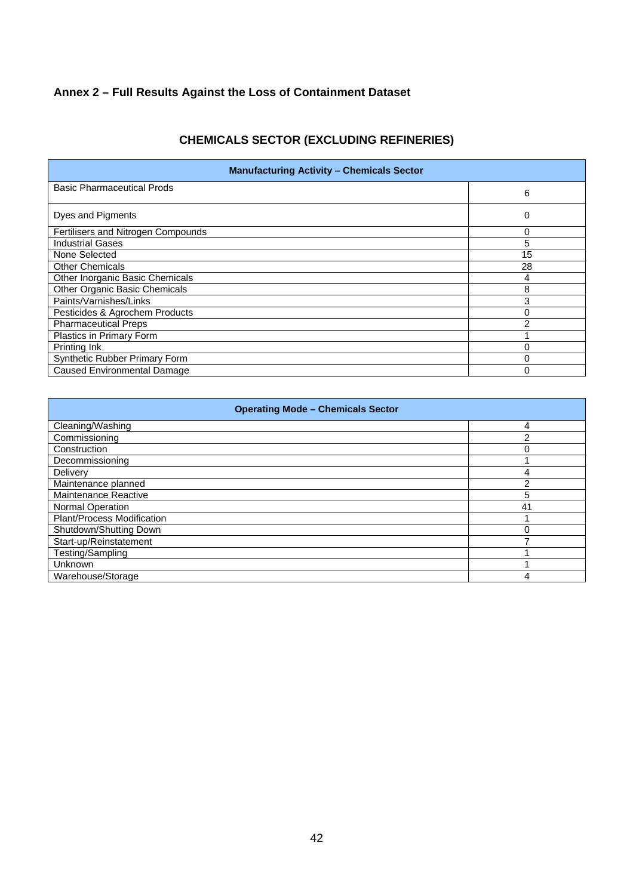## <span id="page-42-0"></span>**Annex 2 – Full Results Against the Loss of Containment Dataset**

## **CHEMICALS SECTOR (EXCLUDING REFINERIES)**

| <b>Manufacturing Activity - Chemicals Sector</b> |                |  |
|--------------------------------------------------|----------------|--|
| <b>Basic Pharmaceutical Prods</b>                | 6              |  |
| Dyes and Pigments                                | 0              |  |
| Fertilisers and Nitrogen Compounds               | 0              |  |
| <b>Industrial Gases</b>                          | 5              |  |
| None Selected                                    | 15             |  |
| <b>Other Chemicals</b>                           | 28             |  |
| Other Inorganic Basic Chemicals                  | 4              |  |
| <b>Other Organic Basic Chemicals</b>             | 8              |  |
| Paints/Varnishes/Links                           | 3              |  |
| Pesticides & Agrochem Products                   | 0              |  |
| <b>Pharmaceutical Preps</b>                      | $\mathfrak{p}$ |  |
| Plastics in Primary Form                         |                |  |
| Printing Ink                                     | $\Omega$       |  |
| Synthetic Rubber Primary Form                    | 0              |  |
| <b>Caused Environmental Damage</b>               | 0              |  |

| <b>Operating Mode - Chemicals Sector</b> |    |  |
|------------------------------------------|----|--|
| Cleaning/Washing                         | 4  |  |
| Commissioning                            | 2  |  |
| Construction                             | በ  |  |
| Decommissioning                          |    |  |
| Delivery                                 | 4  |  |
| Maintenance planned                      | っ  |  |
| Maintenance Reactive                     | 5  |  |
| Normal Operation                         | 41 |  |
| Plant/Process Modification               |    |  |
| Shutdown/Shutting Down                   | በ  |  |
| Start-up/Reinstatement                   |    |  |
| Testing/Sampling                         |    |  |
| Unknown                                  |    |  |
| Warehouse/Storage                        | 4  |  |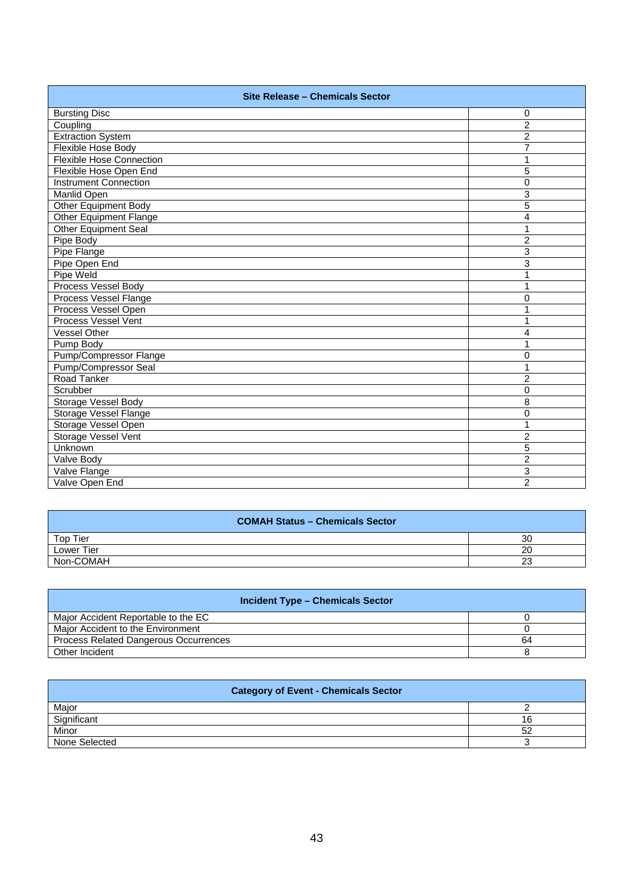| Site Release - Chemicals Sector |                |  |
|---------------------------------|----------------|--|
| <b>Bursting Disc</b>            | 0              |  |
| Coupling                        | $\overline{2}$ |  |
| <b>Extraction System</b>        | $\overline{c}$ |  |
| Flexible Hose Body              | $\overline{7}$ |  |
| <b>Flexible Hose Connection</b> | 1              |  |
| Flexible Hose Open End          | 5              |  |
| <b>Instrument Connection</b>    | 0              |  |
| Manlid Open                     | 3              |  |
| <b>Other Equipment Body</b>     | 5              |  |
| <b>Other Equipment Flange</b>   | $\overline{4}$ |  |
| <b>Other Equipment Seal</b>     | 1              |  |
| Pipe Body                       | $\overline{2}$ |  |
| Pipe Flange                     | 3              |  |
| Pipe Open End                   | $\overline{3}$ |  |
| Pipe Weld                       | 1              |  |
| Process Vessel Body             | 1              |  |
| Process Vessel Flange           | 0              |  |
| Process Vessel Open             | 1              |  |
| Process Vessel Vent             | 1              |  |
| Vessel Other                    | 4              |  |
| Pump Body                       | 1              |  |
| Pump/Compressor Flange          | 0              |  |
| Pump/Compressor Seal            | 1              |  |
| Road Tanker                     | $\overline{c}$ |  |
| Scrubber                        | 0              |  |
| Storage Vessel Body             | 8              |  |
| Storage Vessel Flange           | 0              |  |
| Storage Vessel Open             | 1              |  |
| Storage Vessel Vent             | $\overline{c}$ |  |
| Unknown                         | 5              |  |
| Valve Body                      | $\overline{2}$ |  |
| Valve Flange                    | 3              |  |
| Valve Open End                  | $\overline{2}$ |  |

| <b>COMAH Status - Chemicals Sector</b> |           |
|----------------------------------------|-----------|
| Top Tier                               | 30        |
| Lower Tier                             | 20        |
| Non-COMAH                              | no.<br>دے |

| <b>Incident Type - Chemicals Sector</b> |    |  |
|-----------------------------------------|----|--|
| Major Accident Reportable to the EC     |    |  |
| Maior Accident to the Environment       |    |  |
| Process Related Dangerous Occurrences   | 64 |  |
| Other Incident                          |    |  |

| <b>Category of Event - Chemicals Sector</b> |    |
|---------------------------------------------|----|
| Major                                       |    |
| Significant                                 | 16 |
| Minor                                       | 52 |
| None Selected                               |    |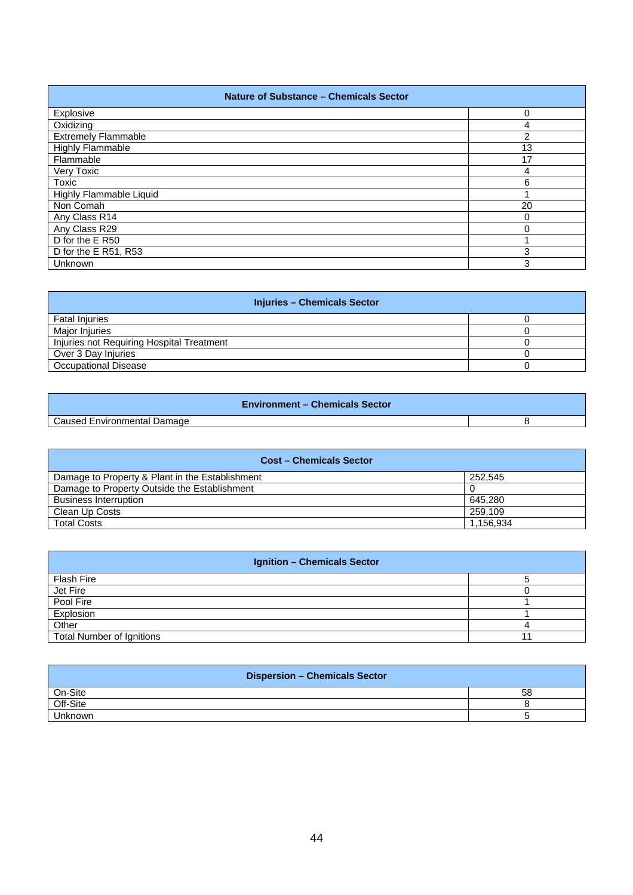| <b>Nature of Substance - Chemicals Sector</b> |                |
|-----------------------------------------------|----------------|
| Explosive                                     | 0              |
| Oxidizing                                     | 4              |
| <b>Extremely Flammable</b>                    | $\mathfrak{p}$ |
| <b>Highly Flammable</b>                       | 13             |
| Flammable                                     | 17             |
| Very Toxic                                    | 4              |
| Toxic                                         | 6              |
| Highly Flammable Liquid                       |                |
| Non Comah                                     | 20             |
| Any Class R14                                 | 0              |
| Any Class R29                                 | 0              |
| D for the E R50                               |                |
| D for the E R51, R53                          | 3              |
| Unknown                                       | 3              |

| <b>Injuries - Chemicals Sector</b>        |  |
|-------------------------------------------|--|
| <b>Fatal Injuries</b>                     |  |
| Major Injuries                            |  |
| Injuries not Requiring Hospital Treatment |  |
| Over 3 Day Injuries                       |  |
| <b>Occupational Disease</b>               |  |

| <b>Environment – Chemicals Sector</b> |  |
|---------------------------------------|--|
| Caused Environmental Damage           |  |

| <b>Cost - Chemicals Sector</b>                  |           |
|-------------------------------------------------|-----------|
| Damage to Property & Plant in the Establishment | 252.545   |
| Damage to Property Outside the Establishment    |           |
| <b>Business Interruption</b>                    | 645.280   |
| Clean Up Costs                                  | 259.109   |
| <b>Total Costs</b>                              | 1,156,934 |

| <b>Ignition - Chemicals Sector</b> |  |
|------------------------------------|--|
| Flash Fire                         |  |
| Jet Fire                           |  |
| Pool Fire                          |  |
| Explosion                          |  |
| Other                              |  |
| <b>Total Number of Ignitions</b>   |  |

| <b>Dispersion - Chemicals Sector</b> |    |
|--------------------------------------|----|
| On-Site                              | 58 |
| Off-Site                             |    |
| Unknown                              |    |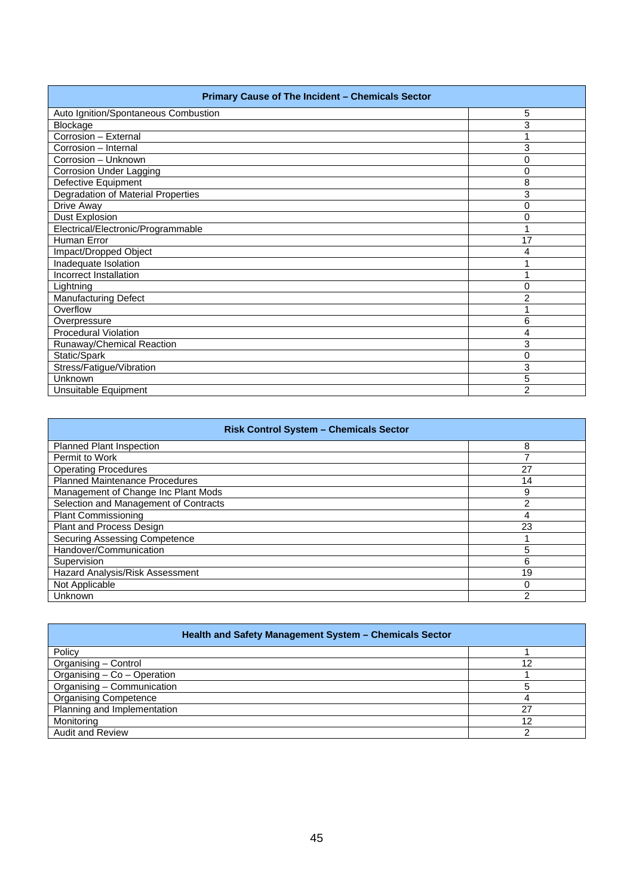| Primary Cause of The Incident - Chemicals Sector |                |
|--------------------------------------------------|----------------|
| Auto Ignition/Spontaneous Combustion             | 5              |
| Blockage                                         | 3              |
| Corrosion - External                             |                |
| Corrosion - Internal                             | 3              |
| Corrosion - Unknown                              | 0              |
| <b>Corrosion Under Lagging</b>                   | 0              |
| Defective Equipment                              | 8              |
| Degradation of Material Properties               | 3              |
| Drive Away                                       | 0              |
| <b>Dust Explosion</b>                            | 0              |
| Electrical/Electronic/Programmable               | 1              |
| Human Error                                      | 17             |
| Impact/Dropped Object                            | 4              |
| Inadequate Isolation                             | 1              |
| Incorrect Installation                           | 1              |
| Lightning                                        | 0              |
| <b>Manufacturing Defect</b>                      | $\overline{2}$ |
| Overflow                                         |                |
| Overpressure                                     | 6              |
| <b>Procedural Violation</b>                      | 4              |
| Runaway/Chemical Reaction                        | 3              |
| Static/Spark                                     | 0              |
| Stress/Fatigue/Vibration                         | 3              |
| Unknown                                          | 5              |
| Unsuitable Equipment                             | $\overline{2}$ |

| <b>Risk Control System - Chemicals Sector</b> |    |
|-----------------------------------------------|----|
| <b>Planned Plant Inspection</b>               | 8  |
| Permit to Work                                |    |
| <b>Operating Procedures</b>                   | 27 |
| <b>Planned Maintenance Procedures</b>         | 14 |
| Management of Change Inc Plant Mods           | 9  |
| Selection and Management of Contracts         | 2  |
| <b>Plant Commissioning</b>                    | 4  |
| Plant and Process Design                      | 23 |
| Securing Assessing Competence                 |    |
| Handover/Communication                        | 5  |
| Supervision                                   | 6  |
| Hazard Analysis/Risk Assessment               | 19 |
| Not Applicable                                | 0  |
| Unknown                                       | 2  |

| Health and Safety Management System - Chemicals Sector |    |
|--------------------------------------------------------|----|
| Policy                                                 |    |
| Organising - Control                                   | 12 |
| Organising - Co - Operation                            |    |
| Organising - Communication                             |    |
| <b>Organising Competence</b>                           | 4  |
| Planning and Implementation                            | 27 |
| Monitoring                                             | 12 |
| <b>Audit and Review</b>                                | ົ  |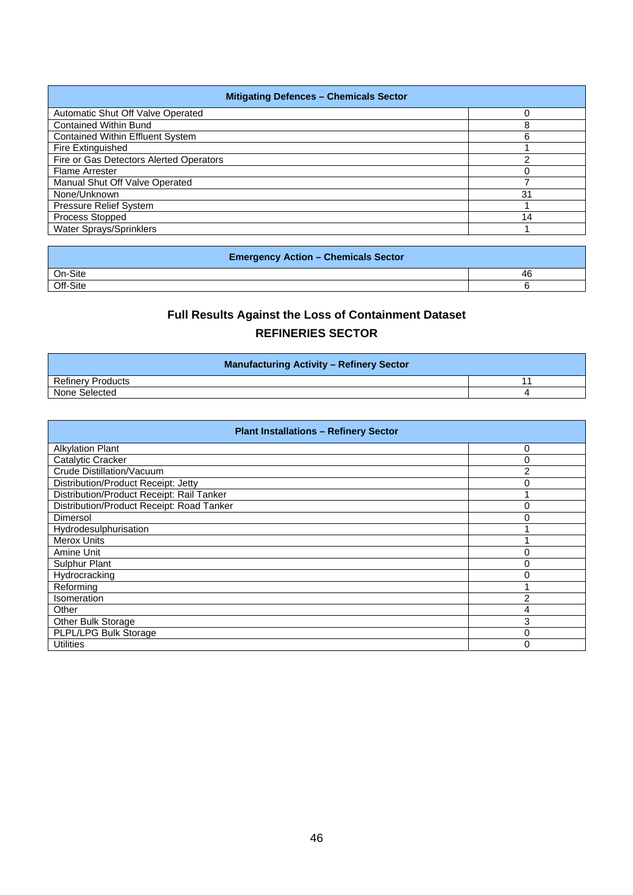<span id="page-46-0"></span>

| <b>Mitigating Defences - Chemicals Sector</b> |    |
|-----------------------------------------------|----|
| Automatic Shut Off Valve Operated             |    |
| <b>Contained Within Bund</b>                  | 8  |
| <b>Contained Within Effluent System</b>       | 6  |
| Fire Extinguished                             |    |
| Fire or Gas Detectors Alerted Operators       | ົ  |
| <b>Flame Arrester</b>                         |    |
| Manual Shut Off Valve Operated                |    |
| None/Unknown                                  | 31 |
| <b>Pressure Relief System</b>                 |    |
| Process Stopped                               | 14 |
| Water Sprays/Sprinklers                       |    |

| <b>Emergency Action - Chemicals Sector</b> |    |
|--------------------------------------------|----|
| On-Site                                    | 46 |
| Off-Site                                   |    |

## **Full Results Against the Loss of Containment Dataset REFINERIES SECTOR**

| <b>Manufacturing Activity - Refinery Sector</b> |  |
|-------------------------------------------------|--|
| <b>Refinery Products</b>                        |  |
| None Selected                                   |  |

| <b>Plant Installations - Refinery Sector</b> |                |
|----------------------------------------------|----------------|
| <b>Alkylation Plant</b>                      | 0              |
| Catalytic Cracker                            | 0              |
| Crude Distillation/Vacuum                    | $\overline{2}$ |
| Distribution/Product Receipt: Jetty          | 0              |
| Distribution/Product Receipt: Rail Tanker    |                |
| Distribution/Product Receipt: Road Tanker    | 0              |
| Dimersol                                     | 0              |
| Hydrodesulphurisation                        |                |
| <b>Merox Units</b>                           |                |
| Amine Unit                                   | 0              |
| Sulphur Plant                                | $\Omega$       |
| Hydrocracking                                | $\Omega$       |
| Reforming                                    |                |
| Isomeration                                  | 2              |
| Other                                        | 4              |
| Other Bulk Storage                           | 3              |
| PLPL/LPG Bulk Storage                        | 0              |
| <b>Utilities</b>                             | $\Omega$       |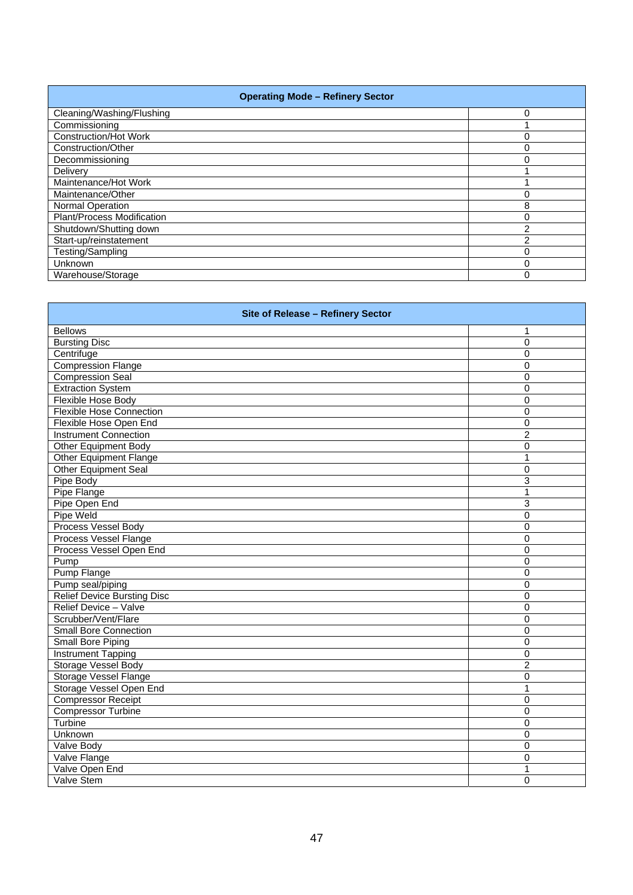| <b>Operating Mode - Refinery Sector</b> |   |
|-----------------------------------------|---|
| Cleaning/Washing/Flushing               | 0 |
| Commissioning                           |   |
| <b>Construction/Hot Work</b>            | 0 |
| Construction/Other                      | 0 |
| Decommissioning                         | 0 |
| Delivery                                |   |
| Maintenance/Hot Work                    |   |
| Maintenance/Other                       | 0 |
| Normal Operation                        | 8 |
| Plant/Process Modification              | 0 |
| Shutdown/Shutting down                  | 2 |
| Start-up/reinstatement                  | 2 |
| Testing/Sampling                        | 0 |
| <b>Unknown</b>                          | 0 |
| Warehouse/Storage                       | 0 |

| Site of Release - Refinery Sector  |                |
|------------------------------------|----------------|
| <b>Bellows</b>                     | 1              |
| <b>Bursting Disc</b>               | $\overline{0}$ |
| Centrifuge                         | 0              |
| <b>Compression Flange</b>          | 0              |
| <b>Compression Seal</b>            | $\mathbf{0}$   |
| <b>Extraction System</b>           | 0              |
| <b>Flexible Hose Body</b>          | 0              |
| <b>Flexible Hose Connection</b>    | 0              |
| Flexible Hose Open End             | 0              |
| <b>Instrument Connection</b>       | $\overline{2}$ |
| <b>Other Equipment Body</b>        | 0              |
| Other Equipment Flange             | 1              |
| <b>Other Equipment Seal</b>        | 0              |
| Pipe Body                          | 3              |
| Pipe Flange                        | 1              |
| Pipe Open End                      | 3              |
| Pipe Weld                          | $\overline{0}$ |
| Process Vessel Body                | $\mathbf 0$    |
| Process Vessel Flange              | 0              |
| Process Vessel Open End            | 0              |
| Pump                               | 0              |
| Pump Flange                        | 0              |
| Pump seal/piping                   | 0              |
| <b>Relief Device Bursting Disc</b> | $\mathbf{0}$   |
| Relief Device - Valve              | $\mathbf 0$    |
| Scrubber/Vent/Flare                | 0              |
| <b>Small Bore Connection</b>       | 0              |
| <b>Small Bore Piping</b>           | $\overline{0}$ |
| <b>Instrument Tapping</b>          | 0              |
| Storage Vessel Body                | $\overline{2}$ |
| <b>Storage Vessel Flange</b>       | 0              |
| Storage Vessel Open End            | 1              |
| <b>Compressor Receipt</b>          | 0              |
| <b>Compressor Turbine</b>          | 0              |
| Turbine                            | 0              |
| Unknown                            | $\overline{0}$ |
| Valve Body                         | 0              |
| Valve Flange                       | 0              |
| Valve Open End                     | 1              |
| Valve Stem                         | $\overline{0}$ |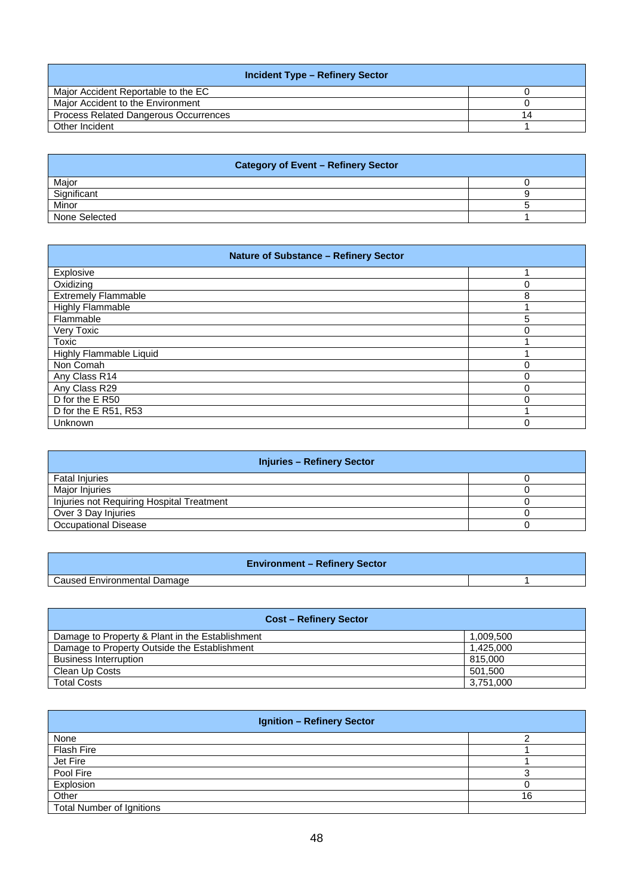| <b>Incident Type - Refinery Sector</b>       |    |
|----------------------------------------------|----|
| Maior Accident Reportable to the EC          |    |
| Maior Accident to the Environment            |    |
| <b>Process Related Dangerous Occurrences</b> | 14 |
| Other Incident                               |    |

| <b>Category of Event - Refinery Sector</b> |  |
|--------------------------------------------|--|
| Major                                      |  |
| Significant                                |  |
| Minor                                      |  |
| None Selected                              |  |

| <b>Nature of Substance - Refinery Sector</b> |   |
|----------------------------------------------|---|
| Explosive                                    |   |
| Oxidizing                                    | Ω |
| <b>Extremely Flammable</b>                   | 8 |
| Highly Flammable                             |   |
| Flammable                                    | 5 |
| Very Toxic                                   | 0 |
| Toxic                                        |   |
| Highly Flammable Liquid                      |   |
| Non Comah                                    | 0 |
| Any Class R14                                | 0 |
| Any Class R29                                | 0 |
| D for the E R50                              | U |
| D for the E R51, R53                         |   |
| Unknown                                      | O |

| <b>Injuries - Refinery Sector</b>         |  |
|-------------------------------------------|--|
| <b>Fatal Injuries</b>                     |  |
| Major Injuries                            |  |
| Injuries not Requiring Hospital Treatment |  |
| Over 3 Day Injuries                       |  |
| <b>Occupational Disease</b>               |  |

| <b>Environment - Refinery Sector</b> |  |
|--------------------------------------|--|
| Caused Environmental Damage          |  |

| <b>Cost – Refinery Sector</b>                   |           |
|-------------------------------------------------|-----------|
| Damage to Property & Plant in the Establishment | 1.009.500 |
| Damage to Property Outside the Establishment    | 1.425.000 |
| <b>Business Interruption</b>                    | 815,000   |
| Clean Up Costs                                  | 501,500   |
| <b>Total Costs</b>                              | 3.751.000 |

| <b>Ignition - Refinery Sector</b> |    |
|-----------------------------------|----|
| None                              |    |
| <b>Flash Fire</b>                 |    |
| Jet Fire                          |    |
| Pool Fire                         |    |
| Explosion                         |    |
| Other                             | 16 |
| <b>Total Number of Ignitions</b>  |    |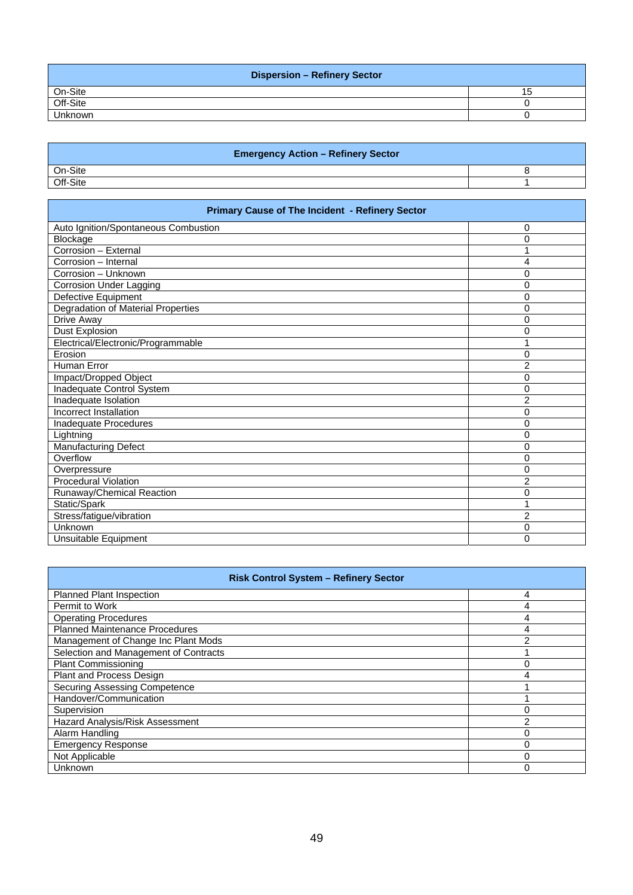| <b>Dispersion - Refinery Sector</b> |  |
|-------------------------------------|--|
| On-Site                             |  |
| Off-Site                            |  |
| <b>Unknown</b>                      |  |

| <b>Emergency Action - Refinery Sector</b> |  |
|-------------------------------------------|--|
| On-Site                                   |  |
| Off-Site                                  |  |

| Primary Cause of The Incident - Refinery Sector |                |
|-------------------------------------------------|----------------|
| Auto Ignition/Spontaneous Combustion            | 0              |
| Blockage                                        | 0              |
| Corrosion - External                            | 1              |
| Corrosion - Internal                            | 4              |
| Corrosion - Unknown                             | 0              |
| <b>Corrosion Under Lagging</b>                  | 0              |
| Defective Equipment                             | $\mathbf{0}$   |
| Degradation of Material Properties              | 0              |
| Drive Away                                      | 0              |
| <b>Dust Explosion</b>                           | 0              |
| Electrical/Electronic/Programmable              | 1              |
| Erosion                                         | 0              |
| <b>Human Error</b>                              | $\overline{2}$ |
| Impact/Dropped Object                           | 0              |
| Inadequate Control System                       | 0              |
| Inadequate Isolation                            | $\overline{2}$ |
| Incorrect Installation                          | 0              |
| Inadequate Procedures                           | 0              |
| Lightning                                       | 0              |
| <b>Manufacturing Defect</b>                     | 0              |
| Overflow                                        | 0              |
| Overpressure                                    | 0              |
| <b>Procedural Violation</b>                     | $\overline{2}$ |
| Runaway/Chemical Reaction                       | 0              |
| Static/Spark                                    | 1              |
| Stress/fatigue/vibration                        | 2              |
| Unknown                                         | 0              |
| Unsuitable Equipment                            | 0              |

| <b>Risk Control System - Refinery Sector</b> |                |
|----------------------------------------------|----------------|
| <b>Planned Plant Inspection</b>              | 4              |
| Permit to Work                               | 4              |
| <b>Operating Procedures</b>                  | 4              |
| <b>Planned Maintenance Procedures</b>        | 4              |
| Management of Change Inc Plant Mods          | 2              |
| Selection and Management of Contracts        |                |
| <b>Plant Commissioning</b>                   | 0              |
| Plant and Process Design                     | 4              |
| <b>Securing Assessing Competence</b>         |                |
| Handover/Communication                       |                |
| Supervision                                  | 0              |
| Hazard Analysis/Risk Assessment              | $\overline{2}$ |
| Alarm Handling                               | 0              |
| <b>Emergency Response</b>                    | 0              |
| Not Applicable                               | $\Omega$       |
| Unknown                                      | O              |